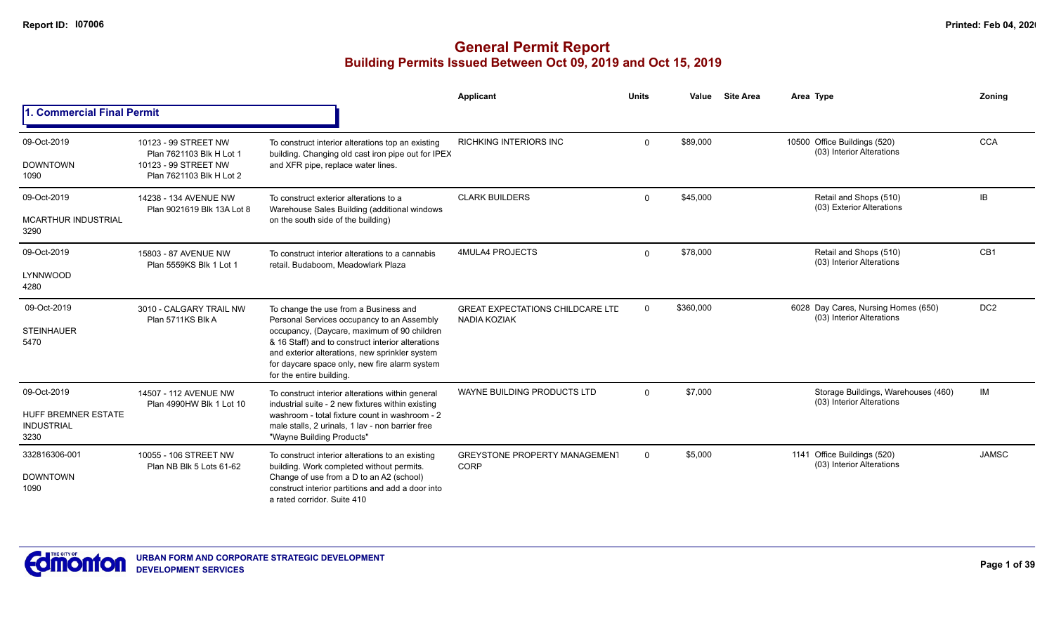|                                                                        |                                                                                                      |                                                                                                                                                                                                                                                                                                                        | Applicant                                                      | <b>Units</b> | Value     | <b>Site Area</b> | Area Type                                                        | Zoning          |
|------------------------------------------------------------------------|------------------------------------------------------------------------------------------------------|------------------------------------------------------------------------------------------------------------------------------------------------------------------------------------------------------------------------------------------------------------------------------------------------------------------------|----------------------------------------------------------------|--------------|-----------|------------------|------------------------------------------------------------------|-----------------|
| <b>1. Commercial Final Permit</b>                                      |                                                                                                      |                                                                                                                                                                                                                                                                                                                        |                                                                |              |           |                  |                                                                  |                 |
| 09-Oct-2019<br><b>DOWNTOWN</b><br>1090                                 | 10123 - 99 STREET NW<br>Plan 7621103 Blk H Lot 1<br>10123 - 99 STREET NW<br>Plan 7621103 Blk H Lot 2 | To construct interior alterations top an existing<br>building. Changing old cast iron pipe out for IPEX<br>and XFR pipe, replace water lines.                                                                                                                                                                          | <b>RICHKING INTERIORS INC</b>                                  | $\Omega$     | \$89,000  |                  | 10500 Office Buildings (520)<br>(03) Interior Alterations        | <b>CCA</b>      |
| 09-Oct-2019<br>MCARTHUR INDUSTRIAL<br>3290                             | 14238 - 134 AVENUE NW<br>Plan 9021619 Blk 13A Lot 8                                                  | To construct exterior alterations to a<br>Warehouse Sales Building (additional windows<br>on the south side of the building)                                                                                                                                                                                           | <b>CLARK BUILDERS</b>                                          | $\Omega$     | \$45,000  |                  | Retail and Shops (510)<br>(03) Exterior Alterations              | IB.             |
| 09-Oct-2019<br>LYNNWOOD<br>4280                                        | 15803 - 87 AVENUE NW<br>Plan 5559KS Blk 1 Lot 1                                                      | To construct interior alterations to a cannabis<br>retail. Budaboom. Meadowlark Plaza                                                                                                                                                                                                                                  | 4MULA4 PROJECTS                                                | $\Omega$     | \$78,000  |                  | Retail and Shops (510)<br>(03) Interior Alterations              | CB1             |
| 09-Oct-2019<br><b>STEINHAUER</b><br>5470                               | 3010 - CALGARY TRAIL NW<br>Plan 5711KS Blk A                                                         | To change the use from a Business and<br>Personal Services occupancy to an Assembly<br>occupancy, (Daycare, maximum of 90 children<br>& 16 Staff) and to construct interior alterations<br>and exterior alterations, new sprinkler system<br>for daycare space only, new fire alarm system<br>for the entire building. | <b>GREAT EXPECTATIONS CHILDCARE LTD</b><br><b>NADIA KOZIAK</b> | $\Omega$     | \$360,000 |                  | 6028 Day Cares, Nursing Homes (650)<br>(03) Interior Alterations | DC <sub>2</sub> |
| 09-Oct-2019<br><b>HUFF BREMNER ESTATE</b><br><b>INDUSTRIAL</b><br>3230 | 14507 - 112 AVENUE NW<br>Plan 4990HW Blk 1 Lot 10                                                    | To construct interior alterations within general<br>industrial suite - 2 new fixtures within existing<br>washroom - total fixture count in washroom - 2<br>male stalls, 2 urinals, 1 lav - non barrier free<br>"Wayne Building Products"                                                                               | WAYNE BUILDING PRODUCTS LTD                                    | $\Omega$     | \$7,000   |                  | Storage Buildings, Warehouses (460)<br>(03) Interior Alterations | IM              |
| 332816306-001<br><b>DOWNTOWN</b><br>1090                               | 10055 - 106 STREET NW<br>Plan NB Blk 5 Lots 61-62                                                    | To construct interior alterations to an existing<br>building. Work completed without permits.<br>Change of use from a D to an A2 (school)<br>construct interior partitions and add a door into<br>a rated corridor. Suite 410                                                                                          | <b>GREYSTONE PROPERTY MANAGEMENT</b><br>CORP                   | $\Omega$     | \$5,000   |                  | 1141 Office Buildings (520)<br>(03) Interior Alterations         | <b>JAMSC</b>    |

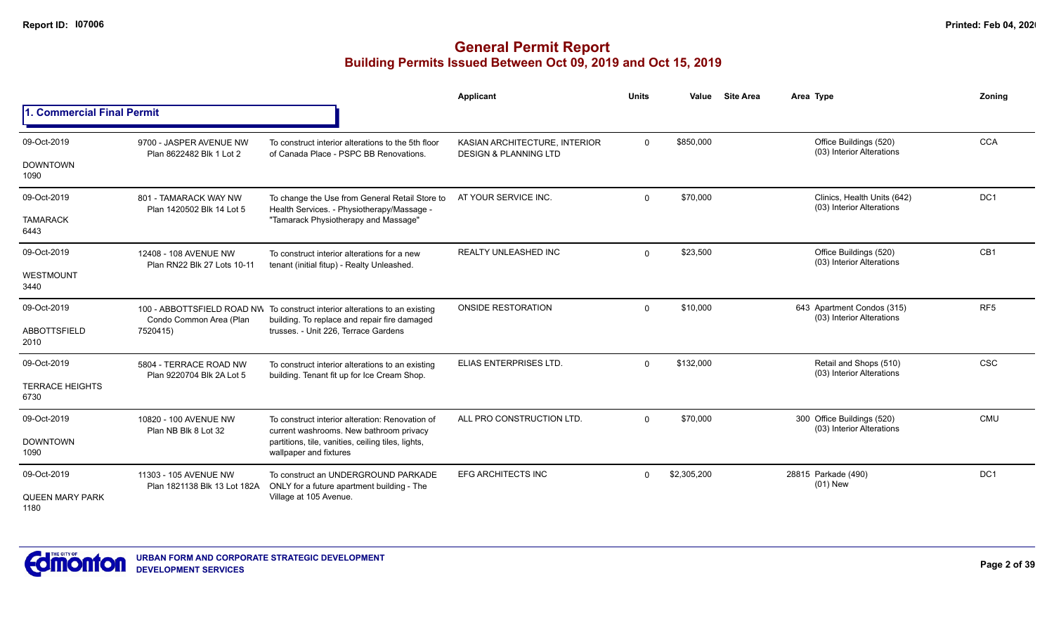|                                |                                                     |                                                                                                                         | Applicant                                                         | <b>Units</b> | Value       | <b>Site Area</b> | Area Type                                                | Zoning                                                                       |
|--------------------------------|-----------------------------------------------------|-------------------------------------------------------------------------------------------------------------------------|-------------------------------------------------------------------|--------------|-------------|------------------|----------------------------------------------------------|------------------------------------------------------------------------------|
| 1. Commercial Final Permit     |                                                     |                                                                                                                         |                                                                   |              |             |                  |                                                          | <b>CCA</b><br>DC <sub>1</sub><br>CB1<br>RF <sub>5</sub><br><b>CSC</b><br>CMU |
| 09-Oct-2019<br><b>DOWNTOWN</b> | 9700 - JASPER AVENUE NW<br>Plan 8622482 Blk 1 Lot 2 | To construct interior alterations to the 5th floor<br>of Canada Place - PSPC BB Renovations.                            | KASIAN ARCHITECTURE, INTERIOR<br><b>DESIGN &amp; PLANNING LTD</b> | $\mathbf 0$  | \$850,000   |                  | Office Buildings (520)<br>(03) Interior Alterations      |                                                                              |
| 1090                           |                                                     |                                                                                                                         |                                                                   |              |             |                  |                                                          |                                                                              |
| 09-Oct-2019                    | 801 - TAMARACK WAY NW<br>Plan 1420502 Blk 14 Lot 5  | To change the Use from General Retail Store to<br>Health Services. - Physiotherapy/Massage -                            | AT YOUR SERVICE INC.                                              | $\Omega$     | \$70,000    |                  | Clinics, Health Units (642)<br>(03) Interior Alterations |                                                                              |
| <b>TAMARACK</b><br>6443        |                                                     | "Tamarack Physiotherapy and Massage"                                                                                    |                                                                   |              |             |                  |                                                          |                                                                              |
| 09-Oct-2019                    | 12408 - 108 AVENUE NW                               | To construct interior alterations for a new                                                                             | <b>REALTY UNLEASHED INC</b>                                       | $\mathbf 0$  | \$23,500    |                  | Office Buildings (520)                                   |                                                                              |
| <b>WESTMOUNT</b><br>3440       | Plan RN22 Blk 27 Lots 10-11                         | tenant (initial fitup) - Realty Unleashed.                                                                              |                                                                   |              |             |                  | (03) Interior Alterations                                |                                                                              |
| 09-Oct-2019                    | Condo Common Area (Plan<br>7520415)                 | 100 - ABBOTTSFIELD ROAD NW To construct interior alterations to an existing                                             | <b>ONSIDE RESTORATION</b>                                         | $\Omega$     | \$10,000    |                  | 643 Apartment Condos (315)<br>(03) Interior Alterations  |                                                                              |
| <b>ABBOTTSFIELD</b><br>2010    |                                                     | building. To replace and repair fire damaged<br>trusses. - Unit 226, Terrace Gardens                                    |                                                                   |              |             |                  |                                                          |                                                                              |
| 09-Oct-2019                    | 5804 - TERRACE ROAD NW                              | To construct interior alterations to an existing                                                                        | ELIAS ENTERPRISES LTD.                                            | $\Omega$     | \$132,000   |                  | Retail and Shops (510)<br>(03) Interior Alterations      |                                                                              |
| <b>TERRACE HEIGHTS</b><br>6730 | Plan 9220704 Blk 2A Lot 5                           | building. Tenant fit up for Ice Cream Shop.                                                                             |                                                                   |              |             |                  |                                                          |                                                                              |
| 09-Oct-2019                    | 10820 - 100 AVENUE NW                               | To construct interior alteration: Renovation of                                                                         | ALL PRO CONSTRUCTION LTD.                                         | $\Omega$     | \$70,000    |                  | 300 Office Buildings (520)<br>(03) Interior Alterations  |                                                                              |
| <b>DOWNTOWN</b><br>1090        | Plan NB Blk 8 Lot 32                                | current washrooms. New bathroom privacy<br>partitions, tile, vanities, ceiling tiles, lights,<br>wallpaper and fixtures |                                                                   |              |             |                  |                                                          |                                                                              |
| 09-Oct-2019                    | 11303 - 105 AVENUE NW                               | To construct an UNDERGROUND PARKADE                                                                                     | <b>EFG ARCHITECTS INC</b>                                         | $\Omega$     | \$2,305,200 |                  | 28815 Parkade (490)                                      | DC <sub>1</sub>                                                              |
| <b>QUEEN MARY PARK</b><br>1180 | Plan 1821138 Blk 13 Lot 182A                        | ONLY for a future apartment building - The<br>Village at 105 Avenue.                                                    |                                                                   |              |             |                  | $(01)$ New                                               |                                                                              |

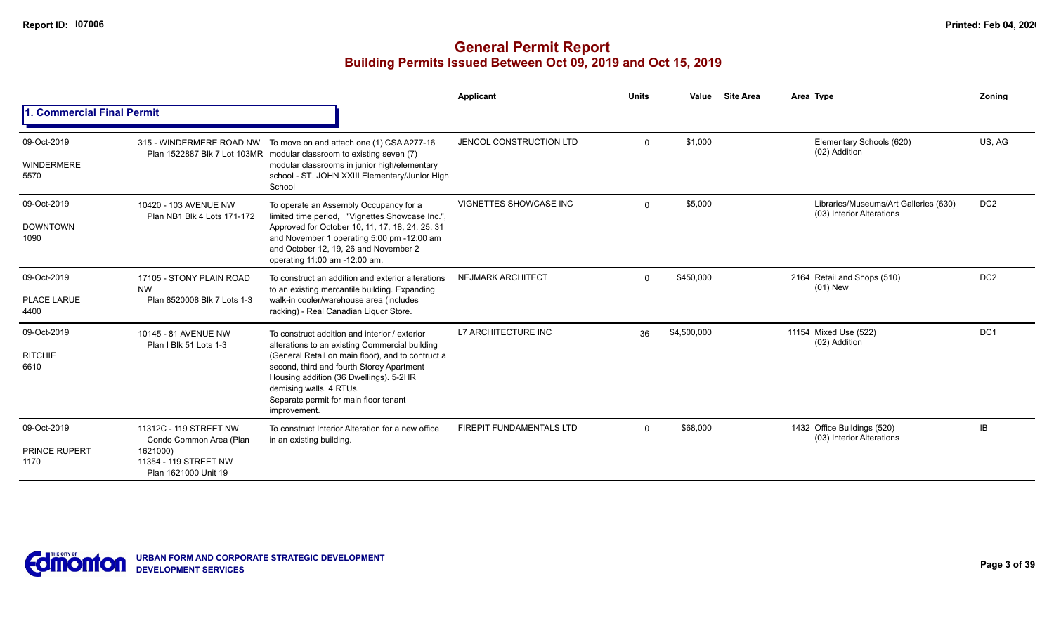|                                             |                                                                                                                |                                                                                                                                                                                                                                                                                                                                 | Applicant                       | <b>Units</b> | Value       | <b>Site Area</b> | Area Type                                                          | Zoning          |
|---------------------------------------------|----------------------------------------------------------------------------------------------------------------|---------------------------------------------------------------------------------------------------------------------------------------------------------------------------------------------------------------------------------------------------------------------------------------------------------------------------------|---------------------------------|--------------|-------------|------------------|--------------------------------------------------------------------|-----------------|
| . Commercial Final Permit                   |                                                                                                                |                                                                                                                                                                                                                                                                                                                                 |                                 |              |             |                  |                                                                    |                 |
| 09-Oct-2019<br>WINDERMERE<br>5570           |                                                                                                                | 315 - WINDERMERE ROAD NW To move on and attach one (1) CSA A277-16<br>Plan 1522887 Blk 7 Lot 103MR modular classroom to existing seven (7)<br>modular classrooms in junior high/elementary<br>school - ST. JOHN XXIII Elementary/Junior High<br>School                                                                          | JENCOL CONSTRUCTION LTD         | $\Omega$     | \$1,000     |                  | Elementary Schools (620)<br>(02) Addition                          | US, AG          |
| 09-Oct-2019<br><b>DOWNTOWN</b><br>1090      | 10420 - 103 AVENUE NW<br>Plan NB1 Blk 4 Lots 171-172                                                           | To operate an Assembly Occupancy for a<br>limited time period, "Vignettes Showcase Inc.",<br>Approved for October 10, 11, 17, 18, 24, 25, 31<br>and November 1 operating 5:00 pm -12:00 am<br>and October 12, 19, 26 and November 2<br>operating 11:00 am -12:00 am.                                                            | <b>VIGNETTES SHOWCASE INC</b>   | $\Omega$     | \$5,000     |                  | Libraries/Museums/Art Galleries (630)<br>(03) Interior Alterations | DC <sub>2</sub> |
| 09-Oct-2019<br><b>PLACE LARUE</b><br>4400   | 17105 - STONY PLAIN ROAD<br><b>NW</b><br>Plan 8520008 Blk 7 Lots 1-3                                           | To construct an addition and exterior alterations<br>to an existing mercantile building. Expanding<br>walk-in cooler/warehouse area (includes<br>racking) - Real Canadian Liquor Store.                                                                                                                                         | <b>NEJMARK ARCHITECT</b>        | $\Omega$     | \$450,000   |                  | 2164 Retail and Shops (510)<br>$(01)$ New                          | DC <sub>2</sub> |
| 09-Oct-2019<br><b>RITCHIE</b><br>6610       | 10145 - 81 AVENUE NW<br>Plan I Blk 51 Lots 1-3                                                                 | To construct addition and interior / exterior<br>alterations to an existing Commercial building<br>(General Retail on main floor), and to contruct a<br>second, third and fourth Storey Apartment<br>Housing addition (36 Dwellings). 5-2HR<br>demising walls. 4 RTUs.<br>Separate permit for main floor tenant<br>improvement. | L7 ARCHITECTURE INC             | 36           | \$4,500,000 |                  | 11154 Mixed Use (522)<br>(02) Addition                             | DC <sub>1</sub> |
| 09-Oct-2019<br><b>PRINCE RUPERT</b><br>1170 | 11312C - 119 STREET NW<br>Condo Common Area (Plan<br>1621000)<br>11354 - 119 STREET NW<br>Plan 1621000 Unit 19 | To construct Interior Alteration for a new office<br>in an existing building.                                                                                                                                                                                                                                                   | <b>FIREPIT FUNDAMENTALS LTD</b> | $\Omega$     | \$68,000    |                  | 1432 Office Buildings (520)<br>(03) Interior Alterations           | <b>IB</b>       |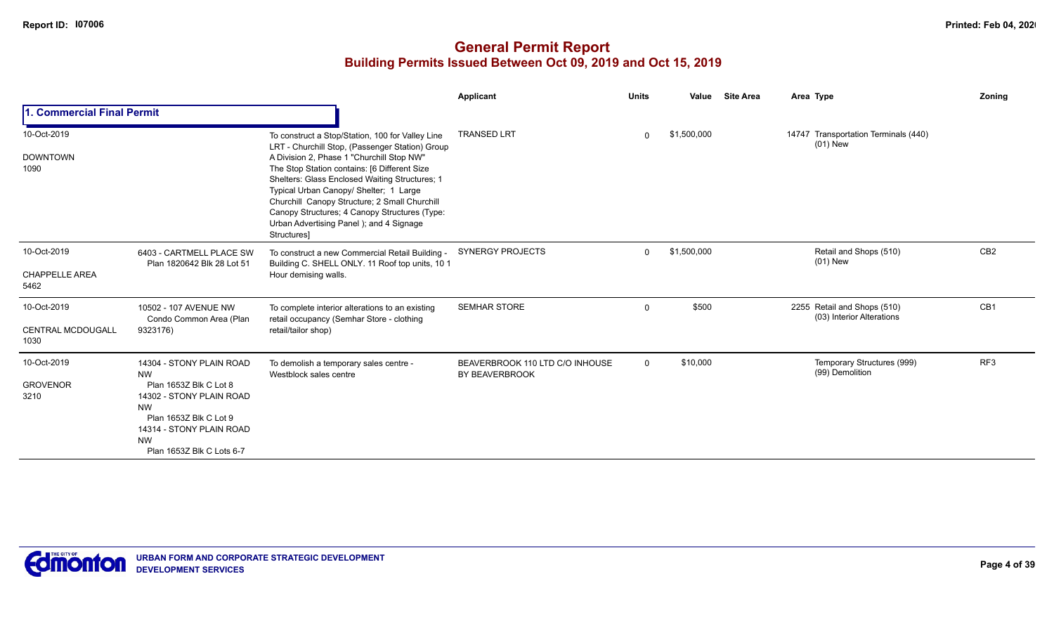|                                                 |                                                                                                                                                                 |                                                                                                                                                                                                                                                                                                                                                                                                                                                          | Applicant                                         | <b>Units</b> | Value       | <b>Site Area</b> | Area Type                                                | Zoning          |
|-------------------------------------------------|-----------------------------------------------------------------------------------------------------------------------------------------------------------------|----------------------------------------------------------------------------------------------------------------------------------------------------------------------------------------------------------------------------------------------------------------------------------------------------------------------------------------------------------------------------------------------------------------------------------------------------------|---------------------------------------------------|--------------|-------------|------------------|----------------------------------------------------------|-----------------|
| 1. Commercial Final Permit                      |                                                                                                                                                                 |                                                                                                                                                                                                                                                                                                                                                                                                                                                          |                                                   |              |             |                  |                                                          |                 |
| 10-Oct-2019<br><b>DOWNTOWN</b><br>1090          |                                                                                                                                                                 | To construct a Stop/Station, 100 for Valley Line<br>LRT - Churchill Stop, (Passenger Station) Group<br>A Division 2, Phase 1 "Churchill Stop NW"<br>The Stop Station contains: [6 Different Size<br>Shelters: Glass Enclosed Waiting Structures; 1<br>Typical Urban Canopy/ Shelter; 1 Large<br>Churchill Canopy Structure; 2 Small Churchill<br>Canopy Structures; 4 Canopy Structures (Type:<br>Urban Advertising Panel); and 4 Signage<br>Structures] | <b>TRANSED LRT</b>                                |              | \$1,500,000 |                  | 14747 Transportation Terminals (440)<br>$(01)$ New       |                 |
| 10-Oct-2019<br><b>CHAPPELLE AREA</b><br>5462    | 6403 - CARTMELL PLACE SW<br>Plan 1820642 Blk 28 Lot 51                                                                                                          | To construct a new Commercial Retail Building -<br>Building C. SHELL ONLY. 11 Roof top units, 10 1<br>Hour demising walls.                                                                                                                                                                                                                                                                                                                               | <b>SYNERGY PROJECTS</b>                           | $\Omega$     | \$1,500,000 |                  | Retail and Shops (510)<br>$(01)$ New                     | CB <sub>2</sub> |
|                                                 |                                                                                                                                                                 |                                                                                                                                                                                                                                                                                                                                                                                                                                                          |                                                   |              |             |                  |                                                          |                 |
| 10-Oct-2019<br><b>CENTRAL MCDOUGALL</b><br>1030 | 10502 - 107 AVENUE NW<br>Condo Common Area (Plan<br>9323176)                                                                                                    | To complete interior alterations to an existing<br>retail occupancy (Semhar Store - clothing<br>retail/tailor shop)                                                                                                                                                                                                                                                                                                                                      | <b>SEMHAR STORE</b>                               | $\mathbf 0$  | \$500       |                  | 2255 Retail and Shops (510)<br>(03) Interior Alterations | CB1             |
| 10-Oct-2019                                     | 14304 - STONY PLAIN ROAD<br><b>NW</b>                                                                                                                           | To demolish a temporary sales centre -<br>Westblock sales centre                                                                                                                                                                                                                                                                                                                                                                                         | BEAVERBROOK 110 LTD C/O INHOUSE<br>BY BEAVERBROOK | $\Omega$     | \$10,000    |                  | Temporary Structures (999)<br>(99) Demolition            | RF <sub>3</sub> |
| <b>GROVENOR</b><br>3210                         | Plan 1653Z Blk C Lot 8<br>14302 - STONY PLAIN ROAD<br><b>NW</b><br>Plan 1653Z Blk C Lot 9<br>14314 - STONY PLAIN ROAD<br><b>NW</b><br>Plan 1653Z Blk C Lots 6-7 |                                                                                                                                                                                                                                                                                                                                                                                                                                                          |                                                   |              |             |                  |                                                          |                 |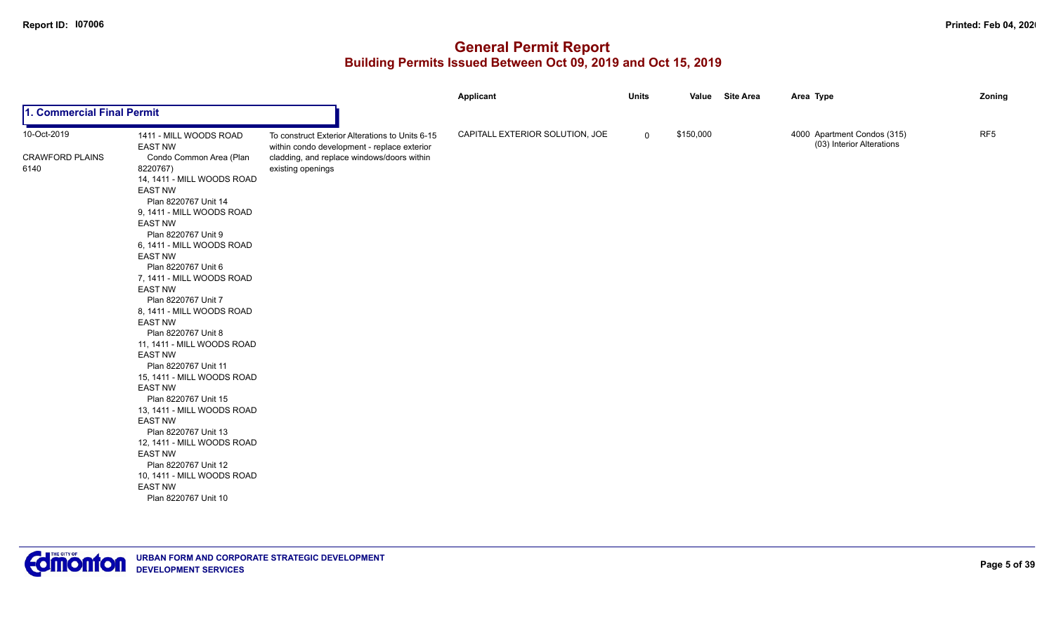|                            |                                             |                                                                                                | Applicant                       | <b>Units</b> |           | Value Site Area | Area Type                                                | Zoning          |
|----------------------------|---------------------------------------------|------------------------------------------------------------------------------------------------|---------------------------------|--------------|-----------|-----------------|----------------------------------------------------------|-----------------|
| 1. Commercial Final Permit |                                             |                                                                                                |                                 |              |           |                 |                                                          |                 |
| 10-Oct-2019                | 1411 - MILL WOODS ROAD<br><b>EAST NW</b>    | To construct Exterior Alterations to Units 6-15<br>within condo development - replace exterior | CAPITALL EXTERIOR SOLUTION, JOE | $\mathbf 0$  | \$150,000 |                 | 4000 Apartment Condos (315)<br>(03) Interior Alterations | RF <sub>5</sub> |
| <b>CRAWFORD PLAINS</b>     | Condo Common Area (Plan                     | cladding, and replace windows/doors within                                                     |                                 |              |           |                 |                                                          |                 |
| 6140                       | 8220767)                                    | existing openings                                                                              |                                 |              |           |                 |                                                          |                 |
|                            | 14, 1411 - MILL WOODS ROAD                  |                                                                                                |                                 |              |           |                 |                                                          |                 |
|                            | <b>EAST NW</b>                              |                                                                                                |                                 |              |           |                 |                                                          |                 |
|                            | Plan 8220767 Unit 14                        |                                                                                                |                                 |              |           |                 |                                                          |                 |
|                            | 9, 1411 - MILL WOODS ROAD                   |                                                                                                |                                 |              |           |                 |                                                          |                 |
|                            | <b>EAST NW</b>                              |                                                                                                |                                 |              |           |                 |                                                          |                 |
|                            | Plan 8220767 Unit 9                         |                                                                                                |                                 |              |           |                 |                                                          |                 |
|                            | 6, 1411 - MILL WOODS ROAD                   |                                                                                                |                                 |              |           |                 |                                                          |                 |
|                            | <b>EAST NW</b>                              |                                                                                                |                                 |              |           |                 |                                                          |                 |
|                            | Plan 8220767 Unit 6                         |                                                                                                |                                 |              |           |                 |                                                          |                 |
|                            | 7, 1411 - MILL WOODS ROAD                   |                                                                                                |                                 |              |           |                 |                                                          |                 |
|                            | <b>EAST NW</b>                              |                                                                                                |                                 |              |           |                 |                                                          |                 |
|                            | Plan 8220767 Unit 7                         |                                                                                                |                                 |              |           |                 |                                                          |                 |
|                            | 8, 1411 - MILL WOODS ROAD<br><b>EAST NW</b> |                                                                                                |                                 |              |           |                 |                                                          |                 |
|                            | Plan 8220767 Unit 8                         |                                                                                                |                                 |              |           |                 |                                                          |                 |
|                            | 11, 1411 - MILL WOODS ROAD                  |                                                                                                |                                 |              |           |                 |                                                          |                 |
|                            | <b>EAST NW</b>                              |                                                                                                |                                 |              |           |                 |                                                          |                 |
|                            | Plan 8220767 Unit 11                        |                                                                                                |                                 |              |           |                 |                                                          |                 |
|                            | 15, 1411 - MILL WOODS ROAD                  |                                                                                                |                                 |              |           |                 |                                                          |                 |
|                            | <b>EAST NW</b>                              |                                                                                                |                                 |              |           |                 |                                                          |                 |
|                            | Plan 8220767 Unit 15                        |                                                                                                |                                 |              |           |                 |                                                          |                 |
|                            | 13, 1411 - MILL WOODS ROAD                  |                                                                                                |                                 |              |           |                 |                                                          |                 |
|                            | <b>EAST NW</b>                              |                                                                                                |                                 |              |           |                 |                                                          |                 |
|                            | Plan 8220767 Unit 13                        |                                                                                                |                                 |              |           |                 |                                                          |                 |
|                            | 12, 1411 - MILL WOODS ROAD                  |                                                                                                |                                 |              |           |                 |                                                          |                 |
|                            | <b>EAST NW</b>                              |                                                                                                |                                 |              |           |                 |                                                          |                 |
|                            | Plan 8220767 Unit 12                        |                                                                                                |                                 |              |           |                 |                                                          |                 |
|                            | 10, 1411 - MILL WOODS ROAD                  |                                                                                                |                                 |              |           |                 |                                                          |                 |
|                            | <b>EAST NW</b>                              |                                                                                                |                                 |              |           |                 |                                                          |                 |
|                            | Plan 8220767 Unit 10                        |                                                                                                |                                 |              |           |                 |                                                          |                 |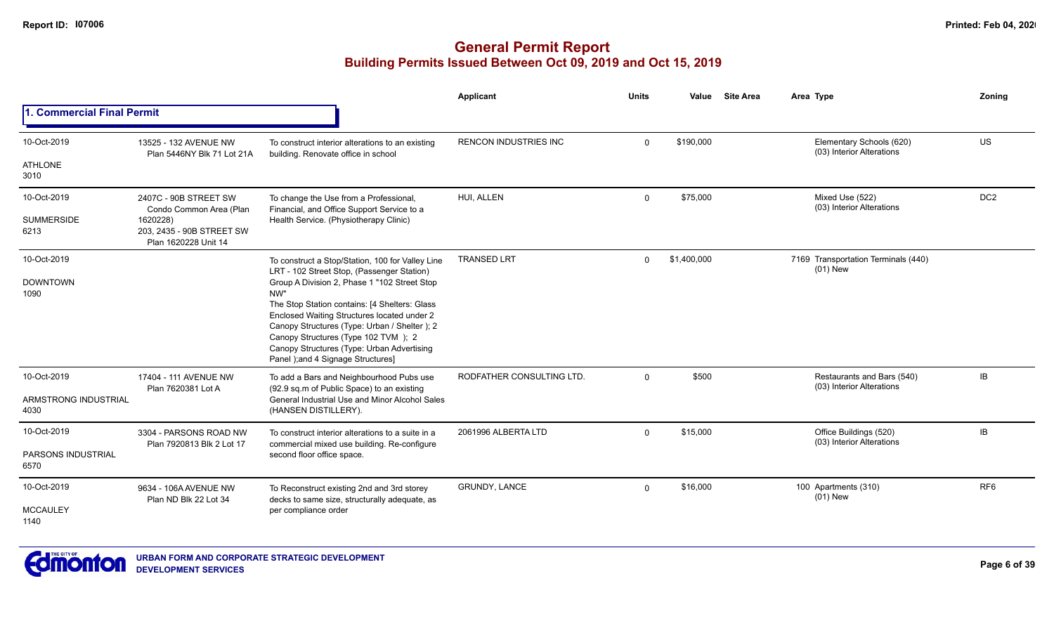|                              |                                                               |                                                                                                                                                                                                                                                                                                                                | Applicant                    | Units       | Value       | <b>Site Area</b> | Area Type                                               | Zoning          |
|------------------------------|---------------------------------------------------------------|--------------------------------------------------------------------------------------------------------------------------------------------------------------------------------------------------------------------------------------------------------------------------------------------------------------------------------|------------------------------|-------------|-------------|------------------|---------------------------------------------------------|-----------------|
| 1. Commercial Final Permit   |                                                               |                                                                                                                                                                                                                                                                                                                                |                              |             |             |                  |                                                         |                 |
| 10-Oct-2019                  | 13525 - 132 AVENUE NW<br>Plan 5446NY Blk 71 Lot 21A           | To construct interior alterations to an existing<br>building. Renovate office in school                                                                                                                                                                                                                                        | <b>RENCON INDUSTRIES INC</b> | $\Omega$    | \$190,000   |                  | Elementary Schools (620)<br>(03) Interior Alterations   | US              |
| <b>ATHLONE</b><br>3010       |                                                               |                                                                                                                                                                                                                                                                                                                                |                              |             |             |                  |                                                         |                 |
| 10-Oct-2019                  | 2407C - 90B STREET SW<br>Condo Common Area (Plan              | To change the Use from a Professional,<br>Financial, and Office Support Service to a                                                                                                                                                                                                                                           | HUI, ALLEN                   | $\mathbf 0$ | \$75,000    |                  | Mixed Use (522)<br>(03) Interior Alterations            | DC <sub>2</sub> |
| <b>SUMMERSIDE</b><br>6213    | 1620228)<br>203, 2435 - 90B STREET SW<br>Plan 1620228 Unit 14 | Health Service. (Physiotherapy Clinic)                                                                                                                                                                                                                                                                                         |                              |             |             |                  |                                                         |                 |
| 10-Oct-2019                  |                                                               | To construct a Stop/Station, 100 for Valley Line<br>LRT - 102 Street Stop, (Passenger Station)                                                                                                                                                                                                                                 | <b>TRANSED LRT</b>           | $\Omega$    | \$1,400,000 |                  | 7169 Transportation Terminals (440)<br>$(01)$ New       |                 |
| <b>DOWNTOWN</b><br>1090      |                                                               | Group A Division 2, Phase 1 "102 Street Stop<br>NW"<br>The Stop Station contains: [4 Shelters: Glass<br>Enclosed Waiting Structures located under 2<br>Canopy Structures (Type: Urban / Shelter); 2<br>Canopy Structures (Type 102 TVM); 2<br>Canopy Structures (Type: Urban Advertising<br>Panel ); and 4 Signage Structures] |                              |             |             |                  |                                                         |                 |
| 10-Oct-2019                  | 17404 - 111 AVENUE NW<br>Plan 7620381 Lot A                   | To add a Bars and Neighbourhood Pubs use<br>(92.9 sq.m of Public Space) to an existing                                                                                                                                                                                                                                         | RODFATHER CONSULTING LTD.    | $\Omega$    | \$500       |                  | Restaurants and Bars (540)<br>(03) Interior Alterations | IB              |
| ARMSTRONG INDUSTRIAL<br>4030 |                                                               | General Industrial Use and Minor Alcohol Sales<br>(HANSEN DISTILLERY).                                                                                                                                                                                                                                                         |                              |             |             |                  |                                                         |                 |
| 10-Oct-2019                  | 3304 - PARSONS ROAD NW                                        | To construct interior alterations to a suite in a<br>commercial mixed use building. Re-configure                                                                                                                                                                                                                               | 2061996 ALBERTA LTD          | $\Omega$    | \$15,000    |                  | Office Buildings (520)<br>(03) Interior Alterations     | <b>IB</b>       |
| PARSONS INDUSTRIAL<br>6570   | Plan 7920813 Blk 2 Lot 17                                     | second floor office space.                                                                                                                                                                                                                                                                                                     |                              |             |             |                  |                                                         |                 |
| 10-Oct-2019                  | 9634 - 106A AVENUE NW<br>Plan ND Blk 22 Lot 34                | To Reconstruct existing 2nd and 3rd storey<br>decks to same size, structurally adequate, as                                                                                                                                                                                                                                    | <b>GRUNDY, LANCE</b>         | $\Omega$    | \$16,000    |                  | 100 Apartments (310)<br>$(01)$ New                      | RF <sub>6</sub> |
| <b>MCCAULEY</b><br>1140      |                                                               | per compliance order                                                                                                                                                                                                                                                                                                           |                              |             |             |                  |                                                         |                 |

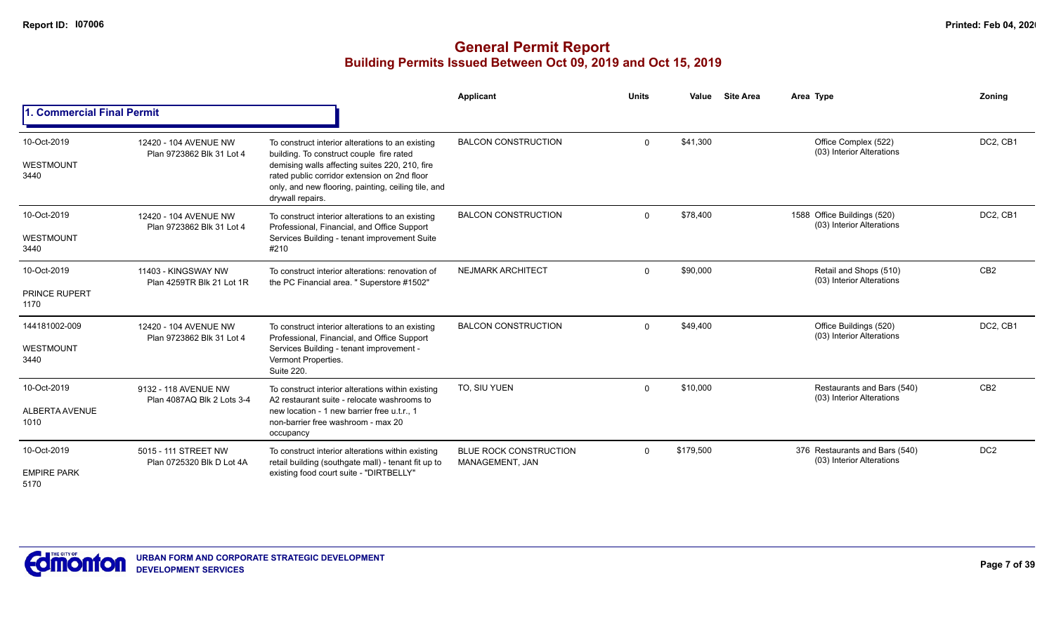|                                             |                                                    |                                                                                                                                                                                                                                                                           | <b>Applicant</b>                                 | <b>Units</b> | Value     | <b>Site Area</b> | Area Type                                                   | Zonina          |
|---------------------------------------------|----------------------------------------------------|---------------------------------------------------------------------------------------------------------------------------------------------------------------------------------------------------------------------------------------------------------------------------|--------------------------------------------------|--------------|-----------|------------------|-------------------------------------------------------------|-----------------|
| 1. Commercial Final Permit                  |                                                    |                                                                                                                                                                                                                                                                           |                                                  |              |           |                  |                                                             |                 |
| 10-Oct-2019<br>WESTMOUNT<br>3440            | 12420 - 104 AVENUE NW<br>Plan 9723862 Blk 31 Lot 4 | To construct interior alterations to an existing<br>building. To construct couple fire rated<br>demising walls affecting suites 220, 210, fire<br>rated public corridor extension on 2nd floor<br>only, and new flooring, painting, ceiling tile, and<br>drywall repairs. | <b>BALCON CONSTRUCTION</b>                       | $\Omega$     | \$41,300  |                  | Office Complex (522)<br>(03) Interior Alterations           | DC2, CB1        |
| 10-Oct-2019<br>WESTMOUNT<br>3440            | 12420 - 104 AVENUE NW<br>Plan 9723862 Blk 31 Lot 4 | To construct interior alterations to an existing<br>Professional, Financial, and Office Support<br>Services Building - tenant improvement Suite<br>#210                                                                                                                   | <b>BALCON CONSTRUCTION</b>                       | $\Omega$     | \$78,400  |                  | 1588 Office Buildings (520)<br>(03) Interior Alterations    | DC2, CB1        |
| 10-Oct-2019<br><b>PRINCE RUPERT</b><br>1170 | 11403 - KINGSWAY NW<br>Plan 4259TR Blk 21 Lot 1R   | To construct interior alterations: renovation of<br>the PC Financial area. " Superstore #1502"                                                                                                                                                                            | <b>NEJMARK ARCHITECT</b>                         | $\Omega$     | \$90,000  |                  | Retail and Shops (510)<br>(03) Interior Alterations         | CB <sub>2</sub> |
| 144181002-009<br>WESTMOUNT<br>3440          | 12420 - 104 AVENUE NW<br>Plan 9723862 Blk 31 Lot 4 | To construct interior alterations to an existing<br>Professional, Financial, and Office Support<br>Services Building - tenant improvement -<br>Vermont Properties.<br><b>Suite 220.</b>                                                                                   | <b>BALCON CONSTRUCTION</b>                       | $\Omega$     | \$49,400  |                  | Office Buildings (520)<br>(03) Interior Alterations         | DC2, CB1        |
| 10-Oct-2019<br>ALBERTA AVENUE<br>1010       | 9132 - 118 AVENUE NW<br>Plan 4087AQ Blk 2 Lots 3-4 | To construct interior alterations within existing<br>A2 restaurant suite - relocate washrooms to<br>new location - 1 new barrier free u.t.r., 1<br>non-barrier free washroom - max 20<br>occupancy                                                                        | TO. SIU YUEN                                     | $\Omega$     | \$10,000  |                  | Restaurants and Bars (540)<br>(03) Interior Alterations     | CB <sub>2</sub> |
| 10-Oct-2019<br><b>EMPIRE PARK</b><br>5170   | 5015 - 111 STREET NW<br>Plan 0725320 Blk D Lot 4A  | To construct interior alterations within existing<br>retail building (southgate mall) - tenant fit up to<br>existing food court suite - "DIRTBELLY"                                                                                                                       | <b>BLUE ROCK CONSTRUCTION</b><br>MANAGEMENT, JAN | $\Omega$     | \$179,500 |                  | 376 Restaurants and Bars (540)<br>(03) Interior Alterations | DC <sub>2</sub> |

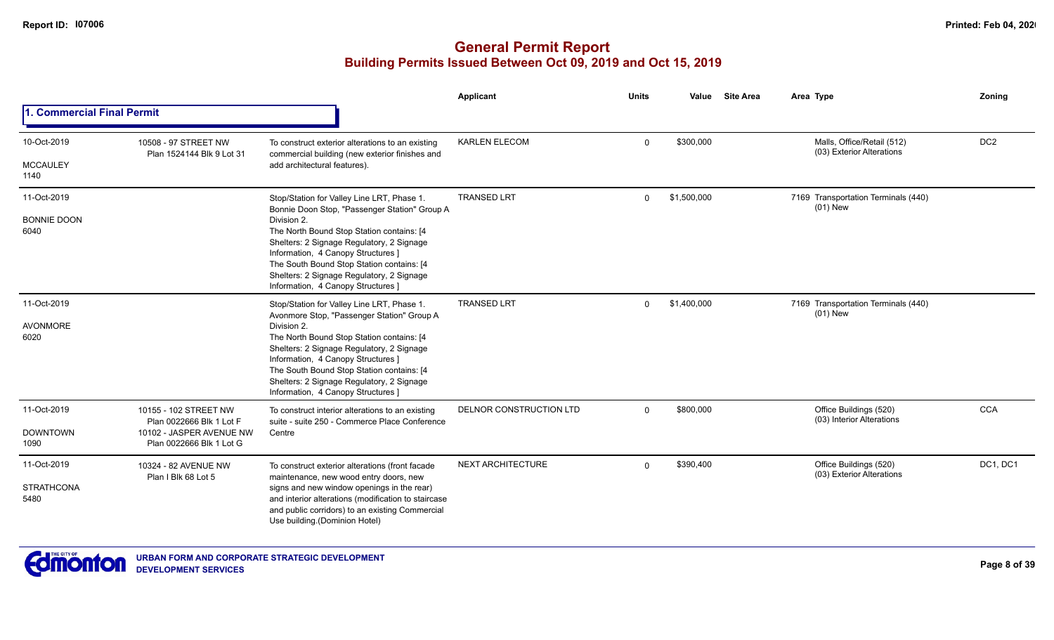|                                           |                                                                                                           |                                                                                                                                                                                                                                                                                                                                                                            | <b>Applicant</b>         | <b>Units</b> | Value       | <b>Site Area</b> | Area Type                                               | Zoning          |
|-------------------------------------------|-----------------------------------------------------------------------------------------------------------|----------------------------------------------------------------------------------------------------------------------------------------------------------------------------------------------------------------------------------------------------------------------------------------------------------------------------------------------------------------------------|--------------------------|--------------|-------------|------------------|---------------------------------------------------------|-----------------|
| 1. Commercial Final Permit                |                                                                                                           |                                                                                                                                                                                                                                                                                                                                                                            |                          |              |             |                  |                                                         |                 |
| 10-Oct-2019                               | 10508 - 97 STREET NW<br>Plan 1524144 Blk 9 Lot 31                                                         | To construct exterior alterations to an existing<br>commercial building (new exterior finishes and                                                                                                                                                                                                                                                                         | <b>KARLEN ELECOM</b>     | 0            | \$300,000   |                  | Malls, Office/Retail (512)<br>(03) Exterior Alterations | DC <sub>2</sub> |
| <b>MCCAULEY</b><br>1140                   |                                                                                                           | add architectural features).                                                                                                                                                                                                                                                                                                                                               |                          |              |             |                  |                                                         |                 |
| 11-Oct-2019<br><b>BONNIE DOON</b><br>6040 |                                                                                                           | Stop/Station for Valley Line LRT, Phase 1.<br>Bonnie Doon Stop, "Passenger Station" Group A<br>Division 2.<br>The North Bound Stop Station contains: [4<br>Shelters: 2 Signage Regulatory, 2 Signage<br>Information, 4 Canopy Structures ]<br>The South Bound Stop Station contains: [4<br>Shelters: 2 Signage Regulatory, 2 Signage<br>Information, 4 Canopy Structures ] | <b>TRANSED LRT</b>       | $\mathbf{0}$ | \$1,500,000 |                  | 7169 Transportation Terminals (440)<br>$(01)$ New       |                 |
| 11-Oct-2019<br>AVONMORE<br>6020           |                                                                                                           | Stop/Station for Valley Line LRT, Phase 1.<br>Avonmore Stop, "Passenger Station" Group A<br>Division 2.<br>The North Bound Stop Station contains: [4<br>Shelters: 2 Signage Regulatory, 2 Signage<br>Information, 4 Canopy Structures ]<br>The South Bound Stop Station contains: [4<br>Shelters: 2 Signage Regulatory, 2 Signage<br>Information, 4 Canopy Structures ]    | <b>TRANSED LRT</b>       | $\Omega$     | \$1,400,000 |                  | 7169 Transportation Terminals (440)<br>$(01)$ New       |                 |
| 11-Oct-2019<br><b>DOWNTOWN</b><br>1090    | 10155 - 102 STREET NW<br>Plan 0022666 Blk 1 Lot F<br>10102 - JASPER AVENUE NW<br>Plan 0022666 Blk 1 Lot G | To construct interior alterations to an existing<br>suite - suite 250 - Commerce Place Conference<br>Centre                                                                                                                                                                                                                                                                | DELNOR CONSTRUCTION LTD  | $\mathbf 0$  | \$800,000   |                  | Office Buildings (520)<br>(03) Interior Alterations     | <b>CCA</b>      |
| 11-Oct-2019<br><b>STRATHCONA</b><br>5480  | 10324 - 82 AVENUE NW<br>Plan I Blk 68 Lot 5                                                               | To construct exterior alterations (front facade<br>maintenance, new wood entry doors, new<br>signs and new window openings in the rear)<br>and interior alterations (modification to staircase<br>and public corridors) to an existing Commercial<br>Use building.(Dominion Hotel)                                                                                         | <b>NEXT ARCHITECTURE</b> | $\Omega$     | \$390,400   |                  | Office Buildings (520)<br>(03) Exterior Alterations     | DC1, DC1        |

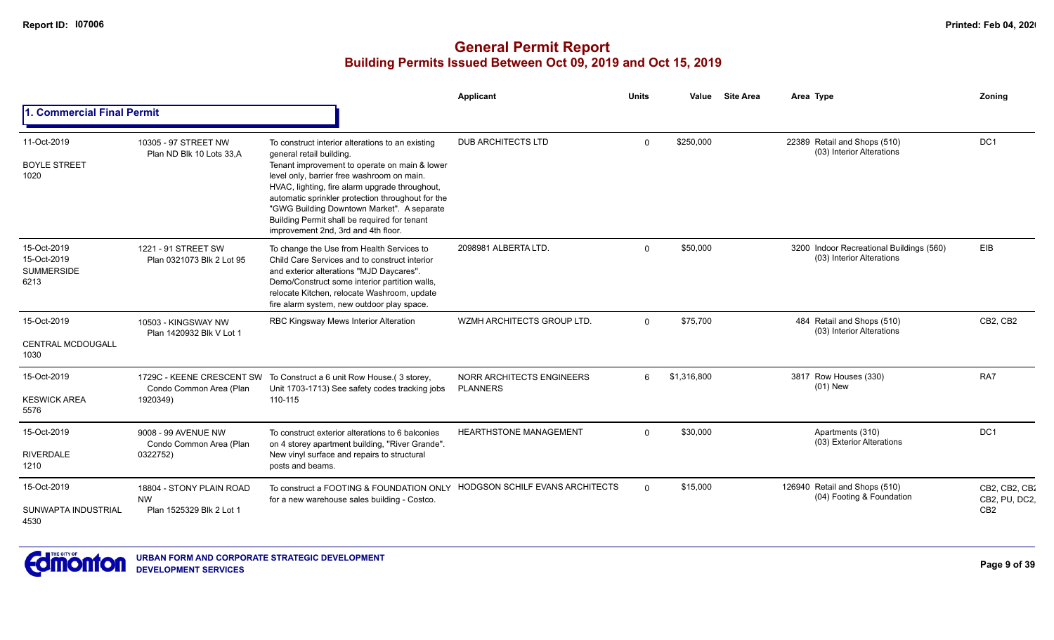|                                                         |                                                                   |                                                                                                                                                                                                                                                                                                                                                                                                                         | Applicant                                    | <b>Units</b> | Value       | <b>Site Area</b> | Area Type                                                             | Zoning                                            |
|---------------------------------------------------------|-------------------------------------------------------------------|-------------------------------------------------------------------------------------------------------------------------------------------------------------------------------------------------------------------------------------------------------------------------------------------------------------------------------------------------------------------------------------------------------------------------|----------------------------------------------|--------------|-------------|------------------|-----------------------------------------------------------------------|---------------------------------------------------|
| <b>1. Commercial Final Permit</b>                       |                                                                   |                                                                                                                                                                                                                                                                                                                                                                                                                         |                                              |              |             |                  |                                                                       |                                                   |
| 11-Oct-2019<br><b>BOYLE STREET</b><br>1020              | 10305 - 97 STREET NW<br>Plan ND Blk 10 Lots 33.A                  | To construct interior alterations to an existing<br>general retail building.<br>Tenant improvement to operate on main & lower<br>level only, barrier free washroom on main.<br>HVAC, lighting, fire alarm upgrade throughout,<br>automatic sprinkler protection throughout for the<br>"GWG Building Downtown Market". A separate<br>Building Permit shall be required for tenant<br>improvement 2nd, 3rd and 4th floor. | <b>DUB ARCHITECTS LTD</b>                    | $\Omega$     | \$250,000   |                  | 22389 Retail and Shops (510)<br>(03) Interior Alterations             | DC <sub>1</sub>                                   |
| 15-Oct-2019<br>15-Oct-2019<br><b>SUMMERSIDE</b><br>6213 | 1221 - 91 STREET SW<br>Plan 0321073 Blk 2 Lot 95                  | To change the Use from Health Services to<br>Child Care Services and to construct interior<br>and exterior alterations "MJD Daycares".<br>Demo/Construct some interior partition walls,<br>relocate Kitchen, relocate Washroom, update<br>fire alarm system, new outdoor play space.                                                                                                                                    | 2098981 ALBERTA LTD.                         | $\Omega$     | \$50,000    |                  | 3200 Indoor Recreational Buildings (560)<br>(03) Interior Alterations | EIB                                               |
| 15-Oct-2019<br><b>CENTRAL MCDOUGALL</b><br>1030         | 10503 - KINGSWAY NW<br>Plan 1420932 Blk V Lot 1                   | RBC Kingsway Mews Interior Alteration                                                                                                                                                                                                                                                                                                                                                                                   | WZMH ARCHITECTS GROUP LTD.                   | $\Omega$     | \$75,700    |                  | 484 Retail and Shops (510)<br>(03) Interior Alterations               | CB2, CB2                                          |
| 15-Oct-2019<br><b>KESWICK AREA</b><br>5576              | Condo Common Area (Plan<br>1920349)                               | 1729C - KEENE CRESCENT SW To Construct a 6 unit Row House.(3 storey,<br>Unit 1703-1713) See safety codes tracking jobs<br>110-115                                                                                                                                                                                                                                                                                       | NORR ARCHITECTS ENGINEERS<br><b>PLANNERS</b> | 6            | \$1,316,800 |                  | 3817 Row Houses (330)<br>$(01)$ New                                   | RA7                                               |
| 15-Oct-2019<br><b>RIVERDALE</b><br>1210                 | 9008 - 99 AVENUE NW<br>Condo Common Area (Plan<br>0322752)        | To construct exterior alterations to 6 balconies<br>on 4 storey apartment building, "River Grande".<br>New vinyl surface and repairs to structural<br>posts and beams.                                                                                                                                                                                                                                                  | <b>HEARTHSTONE MANAGEMENT</b>                | $\Omega$     | \$30,000    |                  | Apartments (310)<br>(03) Exterior Alterations                         | DC <sub>1</sub>                                   |
| 15-Oct-2019<br>SUNWAPTA INDUSTRIAL<br>4530              | 18804 - STONY PLAIN ROAD<br><b>NW</b><br>Plan 1525329 Blk 2 Lot 1 | To construct a FOOTING & FOUNDATION ONLY HODGSON SCHILF EVANS ARCHITECTS<br>for a new warehouse sales building - Costco.                                                                                                                                                                                                                                                                                                |                                              | $\Omega$     | \$15,000    |                  | 126940 Retail and Shops (510)<br>(04) Footing & Foundation            | CB2, CB2, CB2<br>CB2, PU, DC2,<br>CB <sub>2</sub> |

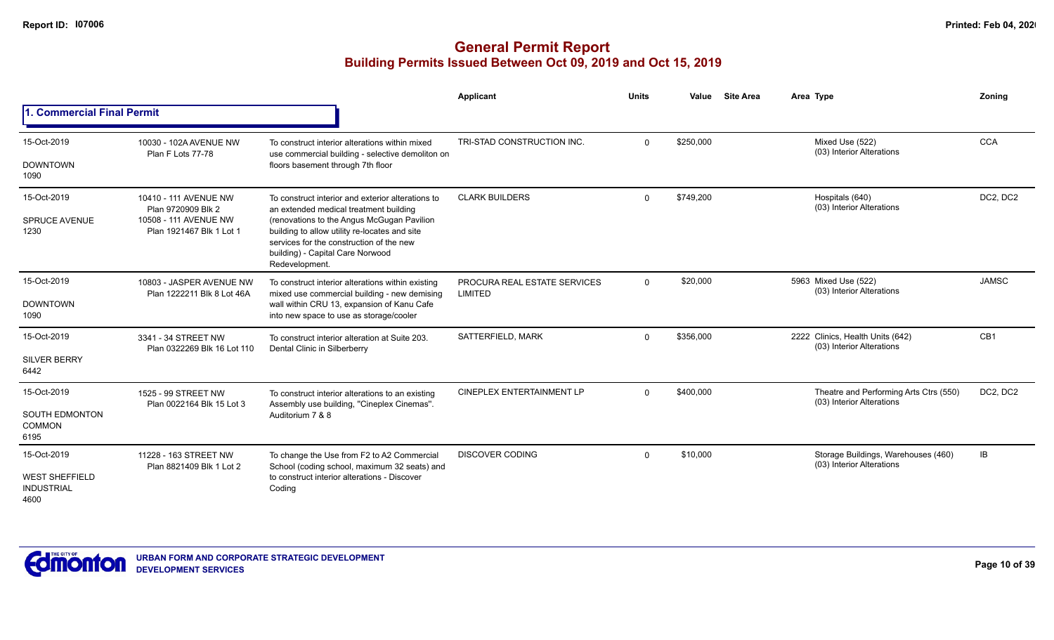|                                                                   |                                                                                                  |                                                                                                                                                                                                                                                                                              | Applicant                               | <b>Units</b> | Value     | <b>Site Area</b> | Area Type                                                           | Zoning          |
|-------------------------------------------------------------------|--------------------------------------------------------------------------------------------------|----------------------------------------------------------------------------------------------------------------------------------------------------------------------------------------------------------------------------------------------------------------------------------------------|-----------------------------------------|--------------|-----------|------------------|---------------------------------------------------------------------|-----------------|
| <b>1. Commercial Final Permit</b>                                 |                                                                                                  |                                                                                                                                                                                                                                                                                              |                                         |              |           |                  |                                                                     |                 |
| 15-Oct-2019<br><b>DOWNTOWN</b><br>1090                            | 10030 - 102A AVENUE NW<br>Plan F Lots 77-78                                                      | To construct interior alterations within mixed<br>use commercial building - selective demoliton on<br>floors basement through 7th floor                                                                                                                                                      | TRI-STAD CONSTRUCTION INC.              | $\Omega$     | \$250,000 |                  | Mixed Use (522)<br>(03) Interior Alterations                        | <b>CCA</b>      |
| 15-Oct-2019<br><b>SPRUCE AVENUE</b><br>1230                       | 10410 - 111 AVENUE NW<br>Plan 9720909 Blk 2<br>10508 - 111 AVENUE NW<br>Plan 1921467 Blk 1 Lot 1 | To construct interior and exterior alterations to<br>an extended medical treatment building<br>(renovations to the Angus McGugan Pavilion<br>building to allow utility re-locates and site<br>services for the construction of the new<br>building) - Capital Care Norwood<br>Redevelopment. | <b>CLARK BUILDERS</b>                   | $\Omega$     | \$749,200 |                  | Hospitals (640)<br>(03) Interior Alterations                        | DC2, DC2        |
| 15-Oct-2019<br><b>DOWNTOWN</b><br>1090                            | 10803 - JASPER AVENUE NW<br>Plan 1222211 Blk 8 Lot 46A                                           | To construct interior alterations within existing<br>mixed use commercial building - new demising<br>wall within CRU 13, expansion of Kanu Cafe<br>into new space to use as storage/cooler                                                                                                   | PROCURA REAL ESTATE SERVICES<br>LIMITED | $\Omega$     | \$20,000  |                  | 5963 Mixed Use (522)<br>(03) Interior Alterations                   | <b>JAMSC</b>    |
| 15-Oct-2019<br><b>SILVER BERRY</b><br>6442                        | 3341 - 34 STREET NW<br>Plan 0322269 Blk 16 Lot 110                                               | To construct interior alteration at Suite 203.<br>Dental Clinic in Silberberry                                                                                                                                                                                                               | SATTERFIELD, MARK                       | $\Omega$     | \$356.000 |                  | 2222 Clinics, Health Units (642)<br>(03) Interior Alterations       | CB <sub>1</sub> |
| 15-Oct-2019<br><b>SOUTH EDMONTON</b><br><b>COMMON</b><br>6195     | 1525 - 99 STREET NW<br>Plan 0022164 Blk 15 Lot 3                                                 | To construct interior alterations to an existing<br>Assembly use building, "Cineplex Cinemas".<br>Auditorium 7 & 8                                                                                                                                                                           | <b>CINEPLEX ENTERTAINMENT LP</b>        | $\Omega$     | \$400,000 |                  | Theatre and Performing Arts Ctrs (550)<br>(03) Interior Alterations | DC2, DC2        |
| 15-Oct-2019<br><b>WEST SHEFFIELD</b><br><b>INDUSTRIAL</b><br>4600 | 11228 - 163 STREET NW<br>Plan 8821409 Blk 1 Lot 2                                                | To change the Use from F2 to A2 Commercial<br>School (coding school, maximum 32 seats) and<br>to construct interior alterations - Discover<br>Coding                                                                                                                                         | <b>DISCOVER CODING</b>                  | $\Omega$     | \$10,000  |                  | Storage Buildings, Warehouses (460)<br>(03) Interior Alterations    | IB              |

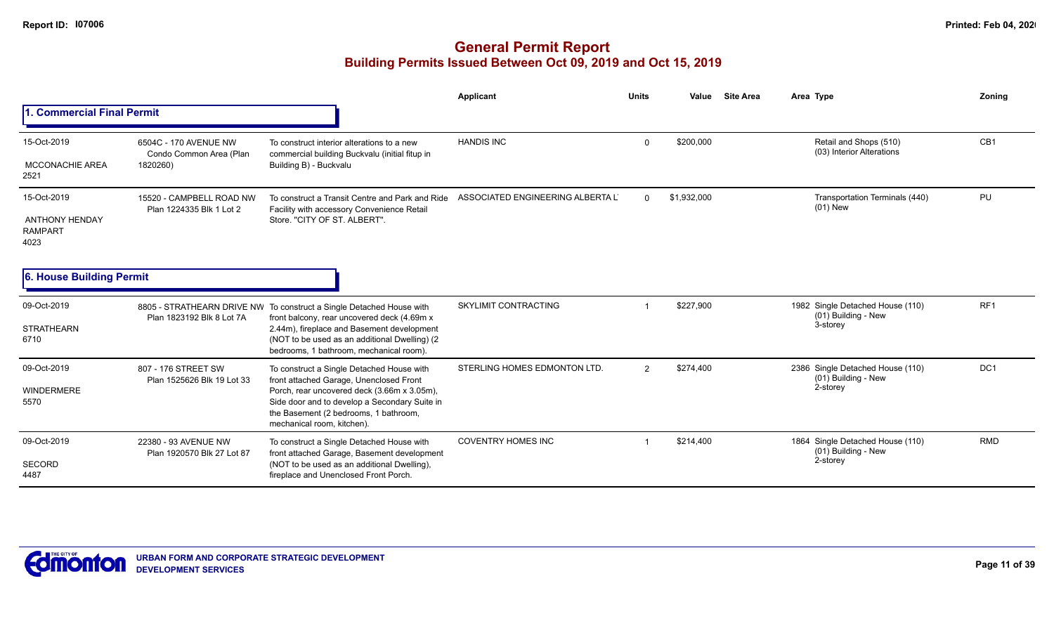|                                                 |                                                      |                                                                                                                                                                     | Applicant                        | <b>Units</b> | Value       | <b>Site Area</b> | Area Type                                               | <b>Zoning</b>   |
|-------------------------------------------------|------------------------------------------------------|---------------------------------------------------------------------------------------------------------------------------------------------------------------------|----------------------------------|--------------|-------------|------------------|---------------------------------------------------------|-----------------|
| 1. Commercial Final Permit                      |                                                      |                                                                                                                                                                     |                                  |              |             |                  |                                                         |                 |
| 15-Oct-2019                                     | 6504C - 170 AVENUE NW<br>Condo Common Area (Plan     | To construct interior alterations to a new<br>commercial building Buckvalu (initial fitup in                                                                        | <b>HANDIS INC</b>                | $\Omega$     | \$200,000   |                  | Retail and Shops (510)<br>(03) Interior Alterations     | CB <sub>1</sub> |
| <b>MCCONACHIE AREA</b><br>2521                  | 1820260)                                             | Building B) - Buckvalu                                                                                                                                              |                                  |              |             |                  |                                                         |                 |
| 15-Oct-2019                                     | 15520 - CAMPBELL ROAD NW<br>Plan 1224335 Blk 1 Lot 2 | To construct a Transit Centre and Park and Ride<br>Facility with accessory Convenience Retail                                                                       | ASSOCIATED ENGINEERING ALBERTA L | $\Omega$     | \$1,932,000 |                  | Transportation Terminals (440)<br>(01) New              | PU              |
| <b>ANTHONY HENDAY</b><br><b>RAMPART</b><br>4023 |                                                      | Store. "CITY OF ST. ALBERT".                                                                                                                                        |                                  |              |             |                  |                                                         |                 |
| 6. House Building Permit                        |                                                      |                                                                                                                                                                     |                                  |              |             |                  |                                                         |                 |
| 09-Oct-2019                                     | Plan 1823192 Blk 8 Lot 7A                            | 8805 - STRATHEARN DRIVE NW To construct a Single Detached House with<br>front balcony, rear uncovered deck (4.69m x                                                 | SKYLIMIT CONTRACTING             |              | \$227,900   |                  | 1982 Single Detached House (110)<br>(01) Building - New | RF1             |
| <b>STRATHEARN</b><br>6710                       |                                                      | 2.44m), fireplace and Basement development<br>(NOT to be used as an additional Dwelling) (2)<br>bedrooms, 1 bathroom, mechanical room).                             |                                  |              |             |                  | 3-storey                                                |                 |
| 09-Oct-2019                                     | 807 - 176 STREET SW<br>Plan 1525626 Blk 19 Lot 33    | To construct a Single Detached House with<br>front attached Garage, Unenclosed Front                                                                                | STERLING HOMES EDMONTON LTD.     | 2            | \$274,400   |                  | 2386 Single Detached House (110)<br>(01) Building - New | DC <sub>1</sub> |
| WINDERMERE<br>5570                              |                                                      | Porch, rear uncovered deck (3.66m x 3.05m),<br>Side door and to develop a Secondary Suite in<br>the Basement (2 bedrooms, 1 bathroom,<br>mechanical room, kitchen). |                                  |              |             |                  | 2-storey                                                |                 |
| 09-Oct-2019                                     | 22380 - 93 AVENUE NW<br>Plan 1920570 Blk 27 Lot 87   | To construct a Single Detached House with<br>front attached Garage, Basement development                                                                            | <b>COVENTRY HOMES INC</b>        |              | \$214.400   |                  | 1864 Single Detached House (110)<br>(01) Building - New | <b>RMD</b>      |
| <b>SECORD</b><br>4487                           |                                                      | (NOT to be used as an additional Dwelling),<br>fireplace and Unenclosed Front Porch.                                                                                |                                  |              |             |                  | 2-storey                                                |                 |

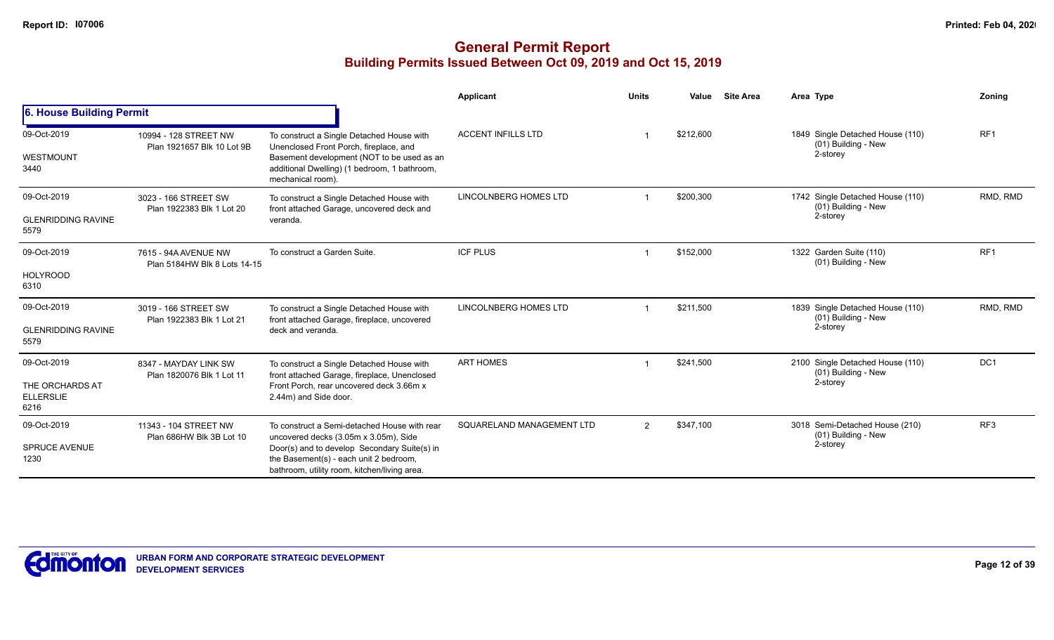|                                                            |                                                      |                                                                                                                                                                                                                                 | Applicant                    | <b>Units</b> | Value     | <b>Site Area</b> | Area Type                                                           | <b>Zoning</b>   |
|------------------------------------------------------------|------------------------------------------------------|---------------------------------------------------------------------------------------------------------------------------------------------------------------------------------------------------------------------------------|------------------------------|--------------|-----------|------------------|---------------------------------------------------------------------|-----------------|
| 6. House Building Permit                                   |                                                      |                                                                                                                                                                                                                                 |                              |              |           |                  |                                                                     |                 |
| 09-Oct-2019<br>WESTMOUNT<br>3440                           | 10994 - 128 STREET NW<br>Plan 1921657 Blk 10 Lot 9B  | To construct a Single Detached House with<br>Unenclosed Front Porch, fireplace, and<br>Basement development (NOT to be used as an<br>additional Dwelling) (1 bedroom, 1 bathroom,<br>mechanical room).                          | <b>ACCENT INFILLS LTD</b>    |              | \$212,600 |                  | 1849 Single Detached House (110)<br>(01) Building - New<br>2-storey | RF <sub>1</sub> |
| 09-Oct-2019<br><b>GLENRIDDING RAVINE</b><br>5579           | 3023 - 166 STREET SW<br>Plan 1922383 Blk 1 Lot 20    | To construct a Single Detached House with<br>front attached Garage, uncovered deck and<br>veranda.                                                                                                                              | <b>LINCOLNBERG HOMES LTD</b> |              | \$200,300 |                  | 1742 Single Detached House (110)<br>(01) Building - New<br>2-storey | RMD, RMD        |
| 09-Oct-2019<br><b>HOLYROOD</b><br>6310                     | 7615 - 94A AVENUE NW<br>Plan 5184HW Blk 8 Lots 14-15 | To construct a Garden Suite.                                                                                                                                                                                                    | <b>ICF PLUS</b>              |              | \$152,000 |                  | 1322 Garden Suite (110)<br>(01) Building - New                      | RF <sub>1</sub> |
| 09-Oct-2019<br><b>GLENRIDDING RAVINE</b><br>5579           | 3019 - 166 STREET SW<br>Plan 1922383 Blk 1 Lot 21    | To construct a Single Detached House with<br>front attached Garage, fireplace, uncovered<br>deck and veranda.                                                                                                                   | <b>LINCOLNBERG HOMES LTD</b> |              | \$211,500 |                  | 1839 Single Detached House (110)<br>(01) Building - New<br>2-storey | RMD, RMD        |
| 09-Oct-2019<br>THE ORCHARDS AT<br><b>ELLERSLIE</b><br>6216 | 8347 - MAYDAY LINK SW<br>Plan 1820076 Blk 1 Lot 11   | To construct a Single Detached House with<br>front attached Garage, fireplace, Unenclosed<br>Front Porch, rear uncovered deck 3.66m x<br>2.44m) and Side door.                                                                  | <b>ART HOMES</b>             |              | \$241,500 |                  | 2100 Single Detached House (110)<br>(01) Building - New<br>2-storey | DC <sub>1</sub> |
| 09-Oct-2019<br><b>SPRUCE AVENUE</b><br>1230                | 11343 - 104 STREET NW<br>Plan 686HW Blk 3B Lot 10    | To construct a Semi-detached House with rear<br>uncovered decks (3.05m x 3.05m), Side<br>Door(s) and to develop Secondary Suite(s) in<br>the Basement(s) - each unit 2 bedroom,<br>bathroom, utility room, kitchen/living area. | SQUARELAND MANAGEMENT LTD    | 2            | \$347,100 |                  | 3018 Semi-Detached House (210)<br>(01) Building - New<br>2-storey   | RF <sub>3</sub> |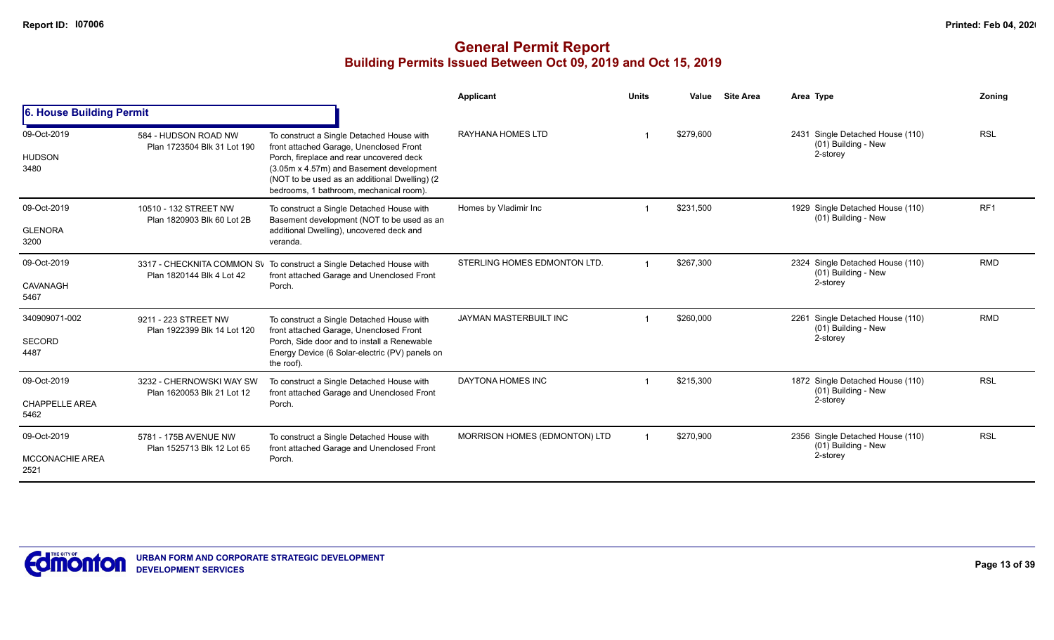|                                               |                                                        |                                                                                                                                                                                                                                                                           | Applicant                     | <b>Units</b> | Value     | <b>Site Area</b> | Area Type                                                              | Zoning          |
|-----------------------------------------------|--------------------------------------------------------|---------------------------------------------------------------------------------------------------------------------------------------------------------------------------------------------------------------------------------------------------------------------------|-------------------------------|--------------|-----------|------------------|------------------------------------------------------------------------|-----------------|
| 6. House Building Permit                      |                                                        |                                                                                                                                                                                                                                                                           |                               |              |           |                  |                                                                        |                 |
| 09-Oct-2019<br><b>HUDSON</b><br>3480          | 584 - HUDSON ROAD NW<br>Plan 1723504 Blk 31 Lot 190    | To construct a Single Detached House with<br>front attached Garage, Unenclosed Front<br>Porch, fireplace and rear uncovered deck<br>(3.05m x 4.57m) and Basement development<br>(NOT to be used as an additional Dwelling) (2)<br>bedrooms, 1 bathroom, mechanical room). | RAYHANA HOMES LTD             |              | \$279,600 |                  | Single Detached House (110)<br>2431<br>(01) Building - New<br>2-storey | <b>RSL</b>      |
| 09-Oct-2019<br><b>GLENORA</b><br>3200         | 10510 - 132 STREET NW<br>Plan 1820903 Blk 60 Lot 2B    | To construct a Single Detached House with<br>Basement development (NOT to be used as an<br>additional Dwelling), uncovered deck and<br>veranda.                                                                                                                           | Homes by Vladimir Inc         |              | \$231,500 |                  | 1929 Single Detached House (110)<br>(01) Building - New                | RF <sub>1</sub> |
| 09-Oct-2019<br>CAVANAGH<br>5467               | Plan 1820144 Blk 4 Lot 42                              | 3317 - CHECKNITA COMMON SV To construct a Single Detached House with<br>front attached Garage and Unenclosed Front<br>Porch.                                                                                                                                              | STERLING HOMES EDMONTON LTD.  |              | \$267,300 |                  | 2324 Single Detached House (110)<br>(01) Building - New<br>2-storey    | <b>RMD</b>      |
| 340909071-002<br>SECORD<br>4487               | 9211 - 223 STREET NW<br>Plan 1922399 Blk 14 Lot 120    | To construct a Single Detached House with<br>front attached Garage, Unenclosed Front<br>Porch. Side door and to install a Renewable<br>Energy Device (6 Solar-electric (PV) panels on<br>the roof).                                                                       | JAYMAN MASTERBUILT INC        |              | \$260,000 |                  | 2261 Single Detached House (110)<br>(01) Building - New<br>2-storey    | <b>RMD</b>      |
| 09-Oct-2019<br><b>CHAPPELLE AREA</b><br>5462  | 3232 - CHERNOWSKI WAY SW<br>Plan 1620053 Blk 21 Lot 12 | To construct a Single Detached House with<br>front attached Garage and Unenclosed Front<br>Porch.                                                                                                                                                                         | DAYTONA HOMES INC             |              | \$215,300 |                  | 1872 Single Detached House (110)<br>$(01)$ Building - New<br>2-storey  | <b>RSL</b>      |
| 09-Oct-2019<br><b>MCCONACHIE AREA</b><br>2521 | 5781 - 175B AVENUE NW<br>Plan 1525713 Blk 12 Lot 65    | To construct a Single Detached House with<br>front attached Garage and Unenclosed Front<br>Porch.                                                                                                                                                                         | MORRISON HOMES (EDMONTON) LTD |              | \$270,900 |                  | 2356 Single Detached House (110)<br>(01) Building - New<br>2-storey    | <b>RSL</b>      |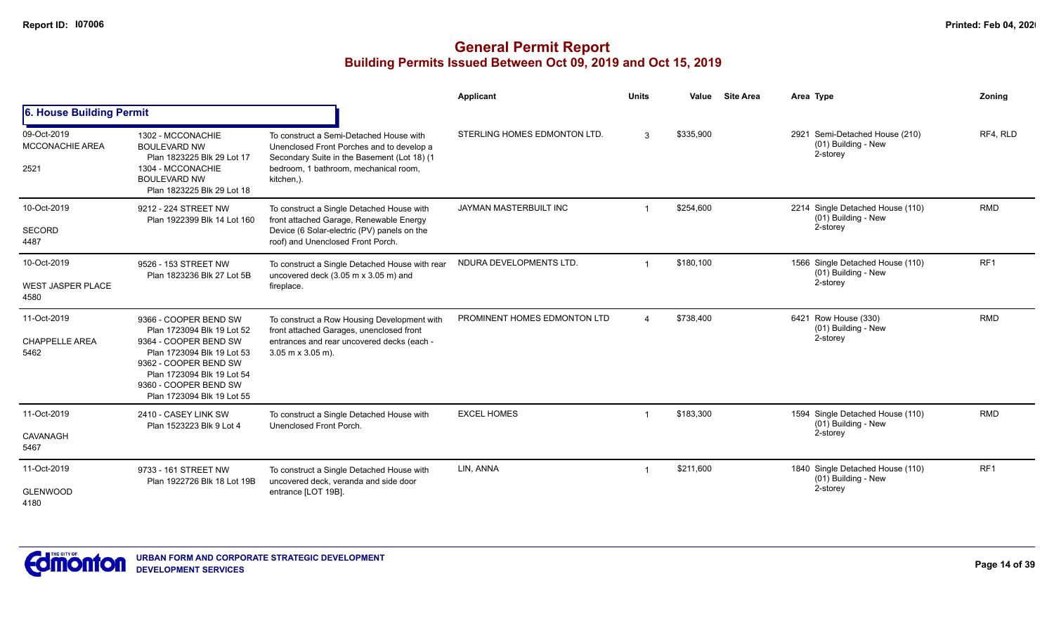|                                                 |                                                                                                                                                                                                                          |                                                                                                                                                                                            | <b>Applicant</b>             | <b>Units</b> | Value     | <b>Site Area</b> | Area Type                                                            | Zoning          |
|-------------------------------------------------|--------------------------------------------------------------------------------------------------------------------------------------------------------------------------------------------------------------------------|--------------------------------------------------------------------------------------------------------------------------------------------------------------------------------------------|------------------------------|--------------|-----------|------------------|----------------------------------------------------------------------|-----------------|
| 6. House Building Permit                        |                                                                                                                                                                                                                          |                                                                                                                                                                                            |                              |              |           |                  |                                                                      |                 |
| 09-Oct-2019<br><b>MCCONACHIE AREA</b><br>2521   | 1302 - MCCONACHIE<br><b>BOULEVARD NW</b><br>Plan 1823225 Blk 29 Lot 17<br>1304 - MCCONACHIE<br><b>BOULEVARD NW</b><br>Plan 1823225 Blk 29 Lot 18                                                                         | To construct a Semi-Detached House with<br>Unenclosed Front Porches and to develop a<br>Secondary Suite in the Basement (Lot 18) (1<br>bedroom. 1 bathroom. mechanical room.<br>kitchen,). | STERLING HOMES EDMONTON LTD. | 3            | \$335,900 |                  | Semi-Detached House (210)<br>2921<br>(01) Building - New<br>2-storey | RF4, RLD        |
| 10-Oct-2019<br>SECORD<br>4487                   | 9212 - 224 STREET NW<br>Plan 1922399 Blk 14 Lot 160                                                                                                                                                                      | To construct a Single Detached House with<br>front attached Garage, Renewable Energy<br>Device (6 Solar-electric (PV) panels on the<br>roof) and Unenclosed Front Porch.                   | JAYMAN MASTERBUILT INC       |              | \$254,600 |                  | 2214 Single Detached House (110)<br>(01) Building - New<br>2-storey  | <b>RMD</b>      |
| 10-Oct-2019<br><b>WEST JASPER PLACE</b><br>4580 | 9526 - 153 STREET NW<br>Plan 1823236 Blk 27 Lot 5B                                                                                                                                                                       | To construct a Single Detached House with rear<br>uncovered deck (3.05 m x 3.05 m) and<br>fireplace.                                                                                       | NDURA DEVELOPMENTS LTD       | $\mathbf{1}$ | \$180,100 |                  | 1566 Single Detached House (110)<br>(01) Building - New<br>2-storey  | RF <sub>1</sub> |
| 11-Oct-2019<br><b>CHAPPELLE AREA</b><br>5462    | 9366 - COOPER BEND SW<br>Plan 1723094 Blk 19 Lot 52<br>9364 - COOPER BEND SW<br>Plan 1723094 Blk 19 Lot 53<br>9362 - COOPER BEND SW<br>Plan 1723094 Blk 19 Lot 54<br>9360 - COOPER BEND SW<br>Plan 1723094 Blk 19 Lot 55 | To construct a Row Housing Development with<br>front attached Garages, unenclosed front<br>entrances and rear uncovered decks (each -<br>$3.05$ m x $3.05$ m).                             | PROMINENT HOMES EDMONTON LTD |              | \$738,400 |                  | 6421 Row House (330)<br>(01) Building - New<br>2-storey              | <b>RMD</b>      |
| 11-Oct-2019<br>CAVANAGH<br>5467                 | 2410 - CASEY LINK SW<br>Plan 1523223 Blk 9 Lot 4                                                                                                                                                                         | To construct a Single Detached House with<br>Unenclosed Front Porch.                                                                                                                       | <b>EXCEL HOMES</b>           | -1           | \$183,300 |                  | 1594 Single Detached House (110)<br>(01) Building - New<br>2-storey  | <b>RMD</b>      |
| 11-Oct-2019<br><b>GLENWOOD</b><br>4180          | 9733 - 161 STREET NW<br>Plan 1922726 Blk 18 Lot 19B                                                                                                                                                                      | To construct a Single Detached House with<br>uncovered deck, veranda and side door<br>entrance [LOT 19B].                                                                                  | LIN, ANNA                    | -1           | \$211,600 |                  | 1840 Single Detached House (110)<br>(01) Building - New<br>2-storey  | RF <sub>1</sub> |

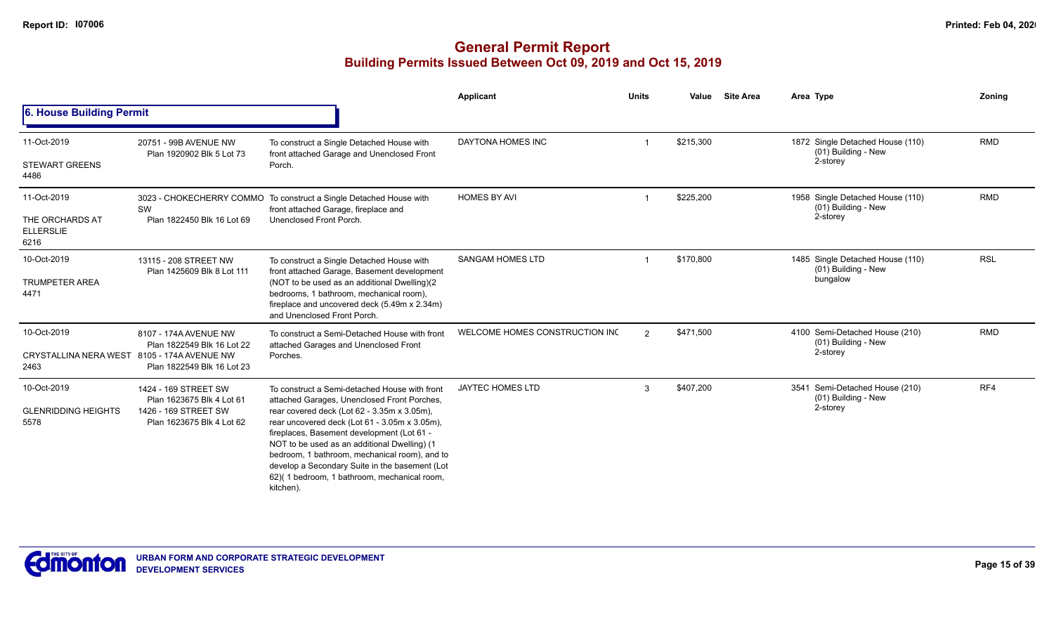|                                                                    |                                                                                                        |                                                                                                                                                                                                                                                                                                                                                                                                                                                           | Applicant                      | <b>Units</b> | Value     | <b>Site Area</b> | Area Type                                                           | Zoning     |
|--------------------------------------------------------------------|--------------------------------------------------------------------------------------------------------|-----------------------------------------------------------------------------------------------------------------------------------------------------------------------------------------------------------------------------------------------------------------------------------------------------------------------------------------------------------------------------------------------------------------------------------------------------------|--------------------------------|--------------|-----------|------------------|---------------------------------------------------------------------|------------|
| 6. House Building Permit                                           |                                                                                                        |                                                                                                                                                                                                                                                                                                                                                                                                                                                           |                                |              |           |                  |                                                                     |            |
| 11-Oct-2019<br><b>STEWART GREENS</b><br>4486                       | 20751 - 99B AVENUE NW<br>Plan 1920902 Blk 5 Lot 73                                                     | To construct a Single Detached House with<br>front attached Garage and Unenclosed Front<br>Porch.                                                                                                                                                                                                                                                                                                                                                         | DAYTONA HOMES INC              |              | \$215,300 |                  | 1872 Single Detached House (110)<br>(01) Building - New<br>2-storey | <b>RMD</b> |
| 11-Oct-2019<br>THE ORCHARDS AT<br><b>ELLERSLIE</b><br>6216         | SW<br>Plan 1822450 Blk 16 Lot 69                                                                       | 3023 - CHOKECHERRY COMMO To construct a Single Detached House with<br>front attached Garage, fireplace and<br>Unenclosed Front Porch.                                                                                                                                                                                                                                                                                                                     | <b>HOMES BY AVI</b>            |              | \$225,200 |                  | 1958 Single Detached House (110)<br>(01) Building - New<br>2-storey | <b>RMD</b> |
| 10-Oct-2019<br><b>TRUMPETER AREA</b><br>4471                       | 13115 - 208 STREET NW<br>Plan 1425609 Blk 8 Lot 111                                                    | To construct a Single Detached House with<br>front attached Garage, Basement development<br>(NOT to be used as an additional Dwelling)(2<br>bedrooms, 1 bathroom, mechanical room),<br>fireplace and uncovered deck (5.49m x 2.34m)<br>and Unenclosed Front Porch.                                                                                                                                                                                        | <b>SANGAM HOMES LTD</b>        |              | \$170,800 |                  | 1485 Single Detached House (110)<br>(01) Building - New<br>bungalow | <b>RSL</b> |
| 10-Oct-2019<br>CRYSTALLINA NERA WEST 8105 - 174A AVENUE NW<br>2463 | 8107 - 174A AVENUE NW<br>Plan 1822549 Blk 16 Lot 22<br>Plan 1822549 Blk 16 Lot 23                      | To construct a Semi-Detached House with front<br>attached Garages and Unenclosed Front<br>Porches.                                                                                                                                                                                                                                                                                                                                                        | WELCOME HOMES CONSTRUCTION INC | 2            | \$471,500 |                  | 4100 Semi-Detached House (210)<br>(01) Building - New<br>2-storey   | <b>RMD</b> |
| 10-Oct-2019<br><b>GLENRIDDING HEIGHTS</b><br>5578                  | 1424 - 169 STREET SW<br>Plan 1623675 Blk 4 Lot 61<br>1426 - 169 STREET SW<br>Plan 1623675 Blk 4 Lot 62 | To construct a Semi-detached House with front<br>attached Garages, Unenclosed Front Porches,<br>rear covered deck (Lot 62 - 3.35m x 3.05m),<br>rear uncovered deck (Lot 61 - 3.05m x 3.05m),<br>fireplaces, Basement development (Lot 61 -<br>NOT to be used as an additional Dwelling) (1<br>bedroom, 1 bathroom, mechanical room), and to<br>develop a Secondary Suite in the basement (Lot<br>62)(1 bedroom, 1 bathroom, mechanical room,<br>kitchen). | <b>JAYTEC HOMES LTD</b>        | 3            | \$407,200 |                  | 3541 Semi-Detached House (210)<br>(01) Building - New<br>2-storey   | RF4        |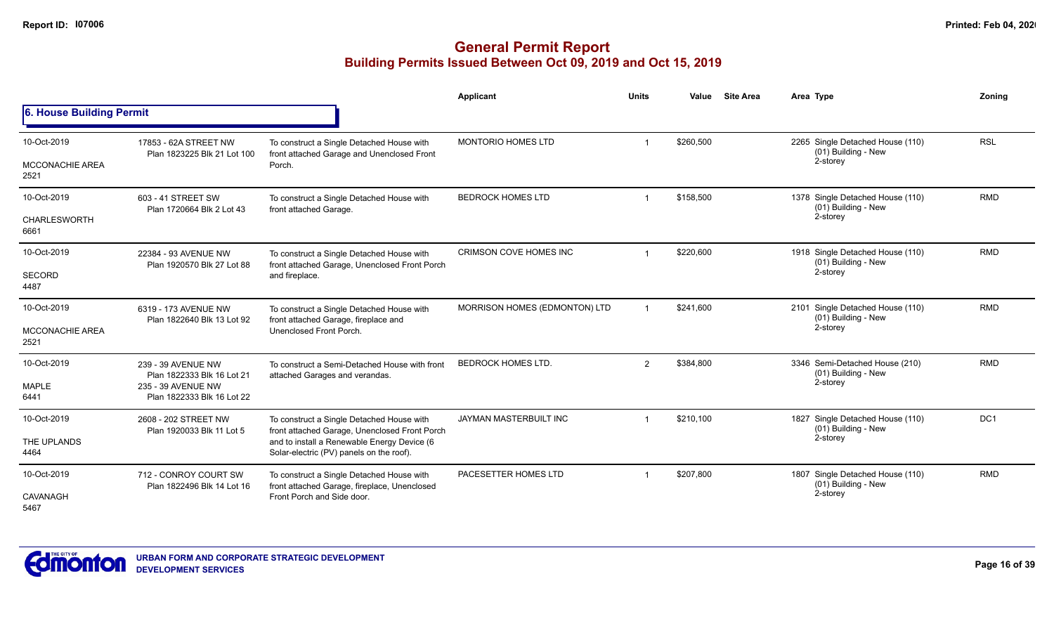|                                               |                                                                                                      |                                                                                                                                                                                       | Applicant                     | <b>Units</b>   | Value     | <b>Site Area</b> | Area Type                                                           | Zoning     |
|-----------------------------------------------|------------------------------------------------------------------------------------------------------|---------------------------------------------------------------------------------------------------------------------------------------------------------------------------------------|-------------------------------|----------------|-----------|------------------|---------------------------------------------------------------------|------------|
| 6. House Building Permit                      |                                                                                                      |                                                                                                                                                                                       |                               |                |           |                  |                                                                     |            |
| 10-Oct-2019<br><b>MCCONACHIE AREA</b><br>2521 | 17853 - 62A STREET NW<br>Plan 1823225 Blk 21 Lot 100                                                 | To construct a Single Detached House with<br>front attached Garage and Unenclosed Front<br>Porch.                                                                                     | MONTORIO HOMES LTD            |                | \$260,500 |                  | 2265 Single Detached House (110)<br>(01) Building - New<br>2-storey | <b>RSL</b> |
| 10-Oct-2019<br><b>CHARLESWORTH</b><br>6661    | 603 - 41 STREET SW<br>Plan 1720664 Blk 2 Lot 43                                                      | To construct a Single Detached House with<br>front attached Garage.                                                                                                                   | <b>BEDROCK HOMES LTD</b>      |                | \$158,500 |                  | 1378 Single Detached House (110)<br>(01) Building - New<br>2-storey | <b>RMD</b> |
| 10-Oct-2019<br><b>SECORD</b><br>4487          | 22384 - 93 AVENUE NW<br>Plan 1920570 Blk 27 Lot 88                                                   | To construct a Single Detached House with<br>front attached Garage, Unenclosed Front Porch<br>and fireplace.                                                                          | CRIMSON COVE HOMES INC        |                | \$220,600 |                  | 1918 Single Detached House (110)<br>(01) Building - New<br>2-storey | <b>RMD</b> |
| 10-Oct-2019<br><b>MCCONACHIE AREA</b><br>2521 | 6319 - 173 AVENUE NW<br>Plan 1822640 Blk 13 Lot 92                                                   | To construct a Single Detached House with<br>front attached Garage, fireplace and<br>Unenclosed Front Porch.                                                                          | MORRISON HOMES (EDMONTON) LTD |                | \$241,600 |                  | 2101 Single Detached House (110)<br>(01) Building - New<br>2-storey | <b>RMD</b> |
| 10-Oct-2019<br><b>MAPLE</b><br>6441           | 239 - 39 AVENUE NW<br>Plan 1822333 Blk 16 Lot 21<br>235 - 39 AVENUE NW<br>Plan 1822333 Blk 16 Lot 22 | To construct a Semi-Detached House with front<br>attached Garages and verandas.                                                                                                       | <b>BEDROCK HOMES LTD.</b>     | $\overline{2}$ | \$384,800 |                  | 3346 Semi-Detached House (210)<br>(01) Building - New<br>2-storey   | <b>RMD</b> |
| 10-Oct-2019<br>THE UPLANDS<br>4464            | 2608 - 202 STREET NW<br>Plan 1920033 Blk 11 Lot 5                                                    | To construct a Single Detached House with<br>front attached Garage, Unenclosed Front Porch<br>and to install a Renewable Energy Device (6<br>Solar-electric (PV) panels on the roof). | JAYMAN MASTERBUILT INC        |                | \$210,100 |                  | 1827 Single Detached House (110)<br>(01) Building - New<br>2-storey | DC1        |
| 10-Oct-2019<br>CAVANAGH<br>5467               | 712 - CONROY COURT SW<br>Plan 1822496 Blk 14 Lot 16                                                  | To construct a Single Detached House with<br>front attached Garage, fireplace, Unenclosed<br>Front Porch and Side door.                                                               | PACESETTER HOMES LTD          |                | \$207,800 |                  | 1807 Single Detached House (110)<br>(01) Building - New<br>2-storey | <b>RMD</b> |

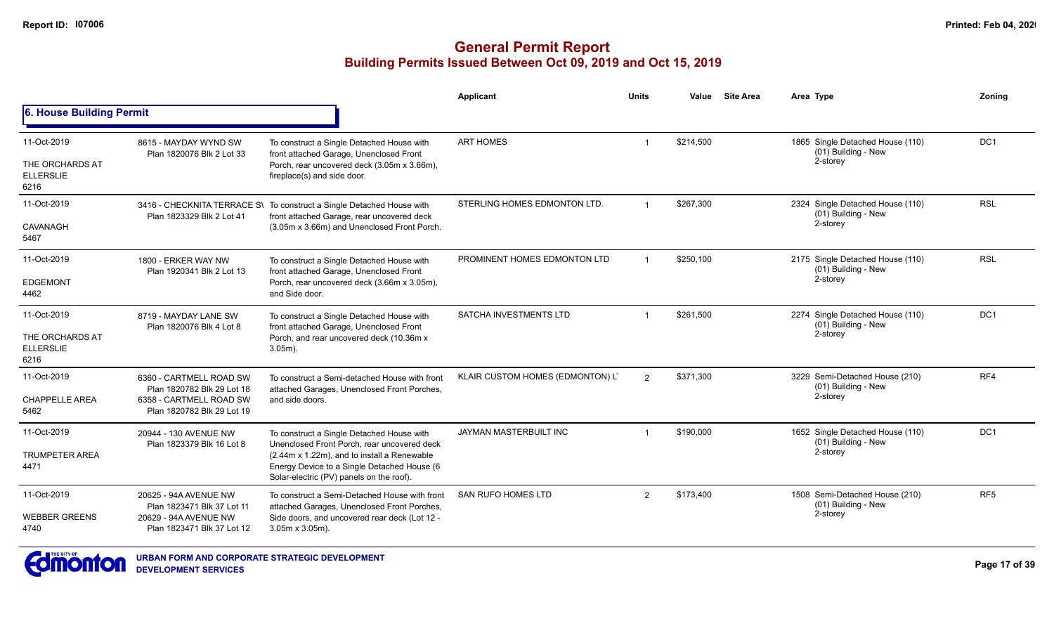#### **General Permit Report Building Permits Issued Between Oct 09, 2019 and Oct 15, 2019**

|                                                            |                                                                                                                |                                                                                                                                                                                                                                    | Applicant                        | <b>Units</b>   | Value     | <b>Site Area</b> | Area Type                                                           | Zoning          |
|------------------------------------------------------------|----------------------------------------------------------------------------------------------------------------|------------------------------------------------------------------------------------------------------------------------------------------------------------------------------------------------------------------------------------|----------------------------------|----------------|-----------|------------------|---------------------------------------------------------------------|-----------------|
| 6. House Building Permit                                   |                                                                                                                |                                                                                                                                                                                                                                    |                                  |                |           |                  |                                                                     |                 |
| 11-Oct-2019<br>THE ORCHARDS AT<br><b>ELLERSLIE</b><br>6216 | 8615 - MAYDAY WYND SW<br>Plan 1820076 Blk 2 Lot 33                                                             | To construct a Single Detached House with<br>front attached Garage, Unenclosed Front<br>Porch, rear uncovered deck (3.05m x 3.66m),<br>fireplace(s) and side door.                                                                 | <b>ART HOMES</b>                 |                | \$214,500 |                  | 1865 Single Detached House (110)<br>(01) Building - New<br>2-storey | DC <sub>1</sub> |
| 11-Oct-2019<br><b>CAVANAGH</b><br>5467                     | Plan 1823329 Blk 2 Lot 41                                                                                      | 3416 - CHECKNITA TERRACE S\ To construct a Single Detached House with<br>front attached Garage, rear uncovered deck<br>(3.05m x 3.66m) and Unenclosed Front Porch.                                                                 | STERLING HOMES EDMONTON LTD.     |                | \$267,300 |                  | 2324 Single Detached House (110)<br>(01) Building - New<br>2-storey | <b>RSL</b>      |
| 11-Oct-2019<br><b>EDGEMONT</b><br>4462                     | 1800 - ERKER WAY NW<br>Plan 1920341 Blk 2 Lot 13                                                               | To construct a Single Detached House with<br>front attached Garage, Unenclosed Front<br>Porch, rear uncovered deck (3.66m x 3.05m),<br>and Side door.                                                                              | PROMINENT HOMES EDMONTON LTD     |                | \$250,100 |                  | 2175 Single Detached House (110)<br>(01) Building - New<br>2-storey | <b>RSL</b>      |
| 11-Oct-2019<br>THE ORCHARDS AT<br><b>ELLERSLIE</b><br>6216 | 8719 - MAYDAY LANE SW<br>Plan 1820076 Blk 4 Lot 8                                                              | To construct a Single Detached House with<br>front attached Garage, Unenclosed Front<br>Porch, and rear uncovered deck (10.36m x<br>$3.05m$ ).                                                                                     | SATCHA INVESTMENTS LTD           |                | \$261,500 |                  | 2274 Single Detached House (110)<br>(01) Building - New<br>2-storey | DC1             |
| 11-Oct-2019<br><b>CHAPPELLE AREA</b><br>5462               | 6360 - CARTMELL ROAD SW<br>Plan 1820782 Blk 29 Lot 18<br>6358 - CARTMELL ROAD SW<br>Plan 1820782 Blk 29 Lot 19 | To construct a Semi-detached House with front<br>attached Garages, Unenclosed Front Porches,<br>and side doors.                                                                                                                    | KLAIR CUSTOM HOMES (EDMONTON) L' | $\mathcal{P}$  | \$371,300 |                  | 3229 Semi-Detached House (210)<br>(01) Building - New<br>2-storey   | RF4             |
| 11-Oct-2019<br><b>TRUMPETER AREA</b><br>4471               | 20944 - 130 AVENUE NW<br>Plan 1823379 Blk 16 Lot 8                                                             | To construct a Single Detached House with<br>Unenclosed Front Porch, rear uncovered deck<br>(2.44m x 1.22m), and to install a Renewable<br>Energy Device to a Single Detached House (6<br>Solar-electric (PV) panels on the roof). | <b>JAYMAN MASTERBUILT INC</b>    |                | \$190,000 |                  | 1652 Single Detached House (110)<br>(01) Building - New<br>2-storey | DC <sub>1</sub> |
| 11-Oct-2019<br><b>WEBBER GREENS</b><br>4740                | 20625 - 94A AVENUE NW<br>Plan 1823471 Blk 37 Lot 11<br>20629 - 94A AVENUE NW<br>Plan 1823471 Blk 37 Lot 12     | To construct a Semi-Detached House with front<br>attached Garages, Unenclosed Front Porches,<br>Side doors, and uncovered rear deck (Lot 12 -<br>$3.05m \times 3.05m$ ).                                                           | <b>SAN RUFO HOMES LTD</b>        | $\mathfrak{p}$ | \$173,400 |                  | 1508 Semi-Detached House (210)<br>(01) Building - New<br>2-storey   | RF <sub>5</sub> |



**URBAN FORM AND CORPORATE STRATEGIC DEVELOPMENT DEVELOPMENT SERVICES**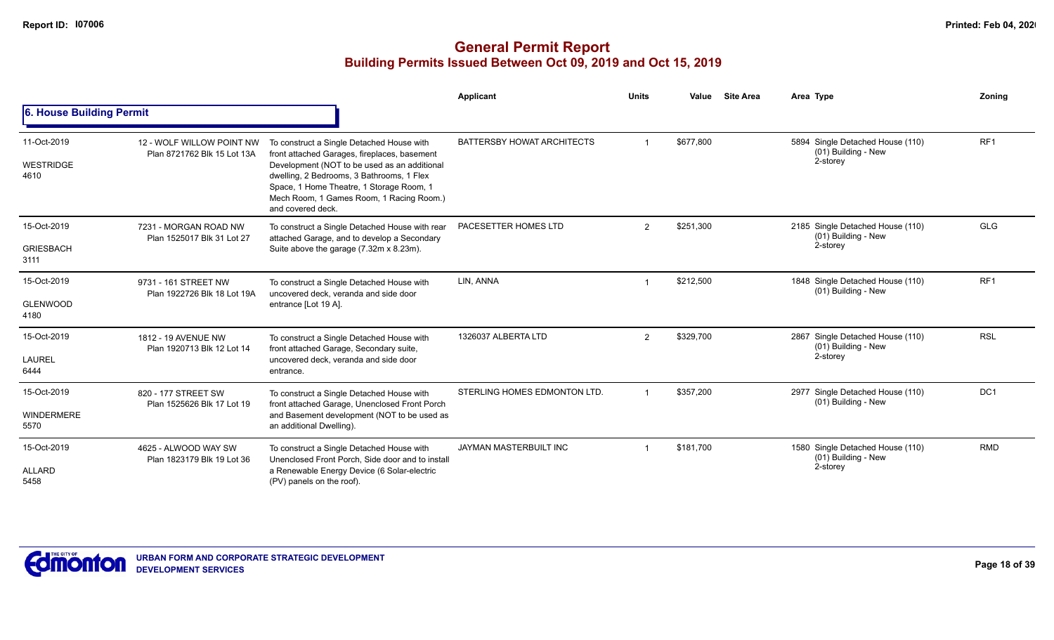|                                          |                                                          |                                                                                                                                                                                                                                                                                                     | Applicant                     | <b>Units</b>   | Value     | <b>Site Area</b> | Area Type                                                           | Zoning          |
|------------------------------------------|----------------------------------------------------------|-----------------------------------------------------------------------------------------------------------------------------------------------------------------------------------------------------------------------------------------------------------------------------------------------------|-------------------------------|----------------|-----------|------------------|---------------------------------------------------------------------|-----------------|
| 6. House Building Permit                 |                                                          |                                                                                                                                                                                                                                                                                                     |                               |                |           |                  |                                                                     |                 |
| 11-Oct-2019<br><b>WESTRIDGE</b><br>4610  | 12 - WOLF WILLOW POINT NW<br>Plan 8721762 Blk 15 Lot 13A | To construct a Single Detached House with<br>front attached Garages, fireplaces, basement<br>Development (NOT to be used as an additional<br>dwelling, 2 Bedrooms, 3 Bathrooms, 1 Flex<br>Space, 1 Home Theatre, 1 Storage Room, 1<br>Mech Room, 1 Games Room, 1 Racing Room.)<br>and covered deck. | BATTERSBY HOWAT ARCHITECTS    |                | \$677,800 |                  | 5894 Single Detached House (110)<br>(01) Building - New<br>2-storey | RF <sub>1</sub> |
| 15-Oct-2019<br><b>GRIESBACH</b><br>3111  | 7231 - MORGAN ROAD NW<br>Plan 1525017 Blk 31 Lot 27      | To construct a Single Detached House with rear<br>attached Garage, and to develop a Secondary<br>Suite above the garage (7.32m x 8.23m).                                                                                                                                                            | PACESETTER HOMES LTD          | $\overline{2}$ | \$251,300 |                  | 2185 Single Detached House (110)<br>(01) Building - New<br>2-storey | <b>GLG</b>      |
| 15-Oct-2019<br><b>GLENWOOD</b><br>4180   | 9731 - 161 STREET NW<br>Plan 1922726 Blk 18 Lot 19A      | To construct a Single Detached House with<br>uncovered deck, veranda and side door<br>entrance [Lot 19 A].                                                                                                                                                                                          | LIN, ANNA                     |                | \$212,500 |                  | 1848 Single Detached House (110)<br>(01) Building - New             | RF1             |
| 15-Oct-2019<br><b>LAUREL</b><br>6444     | 1812 - 19 AVENUE NW<br>Plan 1920713 Blk 12 Lot 14        | To construct a Single Detached House with<br>front attached Garage, Secondary suite,<br>uncovered deck, veranda and side door<br>entrance.                                                                                                                                                          | 1326037 ALBERTA LTD           | $\overline{2}$ | \$329,700 |                  | 2867 Single Detached House (110)<br>(01) Building - New<br>2-storey | <b>RSL</b>      |
| 15-Oct-2019<br><b>WINDERMERE</b><br>5570 | 820 - 177 STREET SW<br>Plan 1525626 Blk 17 Lot 19        | To construct a Single Detached House with<br>front attached Garage, Unenclosed Front Porch<br>and Basement development (NOT to be used as<br>an additional Dwelling).                                                                                                                               | STERLING HOMES EDMONTON LTD.  |                | \$357.200 |                  | 2977 Single Detached House (110)<br>(01) Building - New             | DC <sub>1</sub> |
| 15-Oct-2019<br><b>ALLARD</b><br>5458     | 4625 - ALWOOD WAY SW<br>Plan 1823179 Blk 19 Lot 36       | To construct a Single Detached House with<br>Unenclosed Front Porch. Side door and to install<br>a Renewable Energy Device (6 Solar-electric<br>(PV) panels on the roof).                                                                                                                           | <b>JAYMAN MASTERBUILT INC</b> |                | \$181,700 |                  | 1580 Single Detached House (110)<br>(01) Building - New<br>2-storey | <b>RMD</b>      |

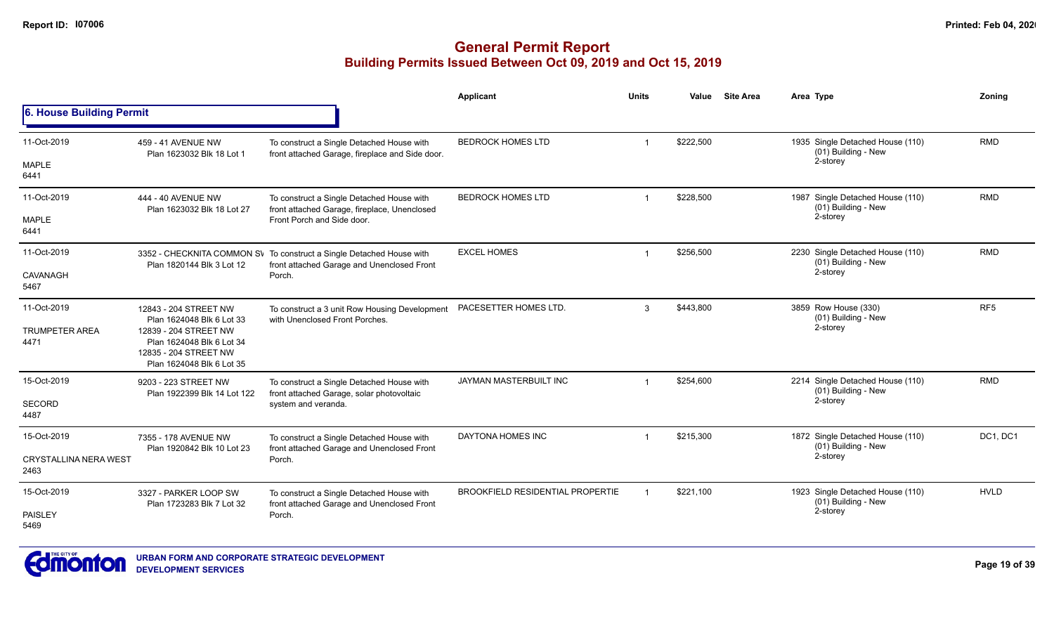|                                              |                                                                                                                                                                |                                                                                                                    | <b>Applicant</b>                        | <b>Units</b> | Value     | <b>Site Area</b> | Area Type                                                 | Zoning          |
|----------------------------------------------|----------------------------------------------------------------------------------------------------------------------------------------------------------------|--------------------------------------------------------------------------------------------------------------------|-----------------------------------------|--------------|-----------|------------------|-----------------------------------------------------------|-----------------|
| 6. House Building Permit                     |                                                                                                                                                                |                                                                                                                    |                                         |              |           |                  |                                                           |                 |
| 11-Oct-2019                                  | 459 - 41 AVENUE NW<br>Plan 1623032 Blk 18 Lot 1                                                                                                                | To construct a Single Detached House with<br>front attached Garage, fireplace and Side door.                       | <b>BEDROCK HOMES LTD</b>                |              | \$222.500 |                  | 1935 Single Detached House (110)<br>(01) Building - New   | <b>RMD</b>      |
| <b>MAPLE</b><br>6441                         |                                                                                                                                                                |                                                                                                                    |                                         |              |           |                  | 2-storey                                                  |                 |
| 11-Oct-2019                                  | 444 - 40 AVENUE NW<br>Plan 1623032 Blk 18 Lot 27                                                                                                               | To construct a Single Detached House with<br>front attached Garage, fireplace, Unenclosed                          | <b>BEDROCK HOMES LTD</b>                |              | \$228,500 |                  | 1987 Single Detached House (110)<br>$(01)$ Building - New | <b>RMD</b>      |
| <b>MAPLE</b><br>6441                         |                                                                                                                                                                | Front Porch and Side door.                                                                                         |                                         |              |           |                  | 2-storey                                                  |                 |
| 11-Oct-2019                                  | Plan 1820144 Blk 3 Lot 12                                                                                                                                      | 3352 - CHECKNITA COMMON SV To construct a Single Detached House with<br>front attached Garage and Unenclosed Front | <b>EXCEL HOMES</b>                      | $\mathbf{1}$ | \$256.500 |                  | 2230 Single Detached House (110)<br>(01) Building - New   | <b>RMD</b>      |
| CAVANAGH<br>5467                             |                                                                                                                                                                | Porch.                                                                                                             |                                         |              |           |                  | 2-storey                                                  |                 |
| 11-Oct-2019<br><b>TRUMPETER AREA</b><br>4471 | 12843 - 204 STREET NW<br>Plan 1624048 Blk 6 Lot 33<br>12839 - 204 STREET NW<br>Plan 1624048 Blk 6 Lot 34<br>12835 - 204 STREET NW<br>Plan 1624048 Blk 6 Lot 35 | To construct a 3 unit Row Housing Development<br>with Unenclosed Front Porches.                                    | PACESETTER HOMES LTD.                   | 3            | \$443,800 |                  | 3859 Row House (330)<br>(01) Building - New<br>2-storey   | RF <sub>5</sub> |
| 15-Oct-2019                                  | 9203 - 223 STREET NW<br>Plan 1922399 Blk 14 Lot 122                                                                                                            | To construct a Single Detached House with<br>front attached Garage, solar photovoltaic                             | JAYMAN MASTERBUILT INC                  |              | \$254,600 |                  | 2214 Single Detached House (110)<br>(01) Building - New   | <b>RMD</b>      |
| SECORD<br>4487                               |                                                                                                                                                                | system and veranda.                                                                                                |                                         |              |           |                  | 2-storey                                                  |                 |
| 15-Oct-2019                                  | 7355 - 178 AVENUE NW<br>Plan 1920842 Blk 10 Lot 23                                                                                                             | To construct a Single Detached House with<br>front attached Garage and Unenclosed Front                            | DAYTONA HOMES INC                       |              | \$215,300 |                  | 1872 Single Detached House (110)<br>(01) Building - New   | DC1, DC1        |
| <b>CRYSTALLINA NERA WEST</b><br>2463         |                                                                                                                                                                | Porch.                                                                                                             |                                         |              |           |                  | 2-storey                                                  |                 |
| 15-Oct-2019                                  | 3327 - PARKER LOOP SW<br>Plan 1723283 Blk 7 Lot 32                                                                                                             | To construct a Single Detached House with<br>front attached Garage and Unenclosed Front                            | <b>BROOKFIELD RESIDENTIAL PROPERTIE</b> |              | \$221,100 |                  | 1923 Single Detached House (110)<br>(01) Building - New   | <b>HVLD</b>     |
| PAISLEY<br>5469                              |                                                                                                                                                                | Porch.                                                                                                             |                                         |              |           |                  | 2-storey                                                  |                 |

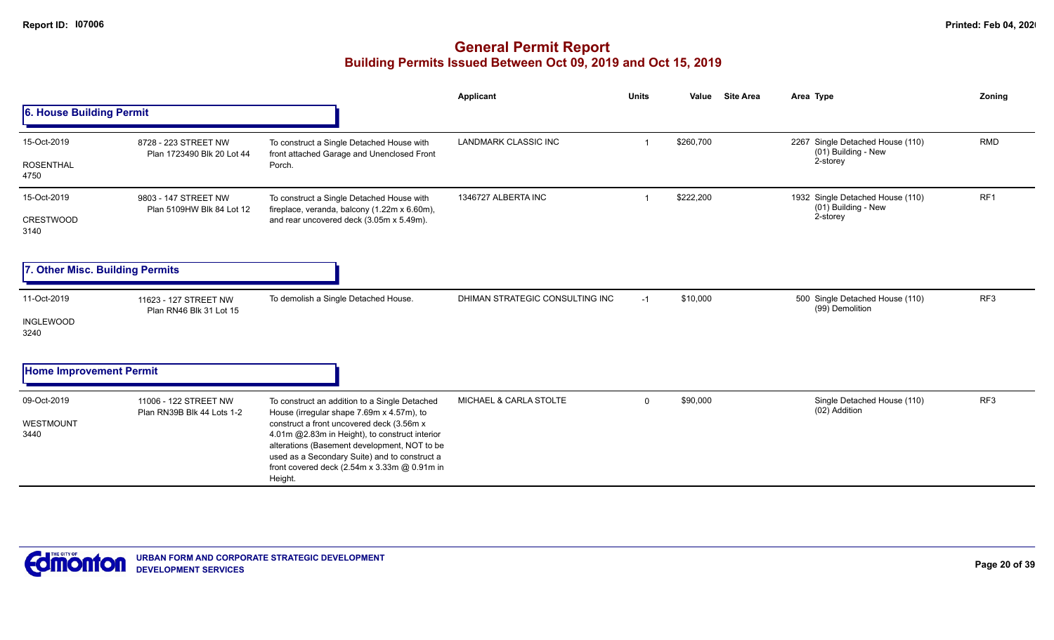|                                 |                                                     |                                                                                                                                                                                                                                                         | <b>Applicant</b>                | <b>Units</b> | Value<br><b>Site Area</b> | Area Type                                               | Zoning          |
|---------------------------------|-----------------------------------------------------|---------------------------------------------------------------------------------------------------------------------------------------------------------------------------------------------------------------------------------------------------------|---------------------------------|--------------|---------------------------|---------------------------------------------------------|-----------------|
| 6. House Building Permit        |                                                     |                                                                                                                                                                                                                                                         |                                 |              |                           |                                                         |                 |
| 15-Oct-2019                     | 8728 - 223 STREET NW<br>Plan 1723490 Blk 20 Lot 44  | To construct a Single Detached House with                                                                                                                                                                                                               | <b>LANDMARK CLASSIC INC</b>     |              | \$260,700                 | 2267 Single Detached House (110)<br>(01) Building - New | <b>RMD</b>      |
| <b>ROSENTHAL</b><br>4750        |                                                     | front attached Garage and Unenclosed Front<br>Porch.                                                                                                                                                                                                    |                                 |              |                           | 2-storey                                                |                 |
| 15-Oct-2019                     | 9803 - 147 STREET NW<br>Plan 5109HW Blk 84 Lot 12   | To construct a Single Detached House with<br>fireplace, veranda, balcony (1.22m x 6.60m),                                                                                                                                                               | 1346727 ALBERTA INC             |              | \$222,200                 | 1932 Single Detached House (110)<br>(01) Building - New | RF1             |
| <b>CRESTWOOD</b><br>3140        |                                                     | and rear uncovered deck (3.05m x 5.49m).                                                                                                                                                                                                                |                                 |              |                           | 2-storey                                                |                 |
| 7. Other Misc. Building Permits |                                                     |                                                                                                                                                                                                                                                         |                                 |              |                           |                                                         |                 |
| 11-Oct-2019                     | 11623 - 127 STREET NW<br>Plan RN46 Blk 31 Lot 15    | To demolish a Single Detached House.                                                                                                                                                                                                                    | DHIMAN STRATEGIC CONSULTING INC | $-1$         | \$10,000                  | 500 Single Detached House (110)<br>(99) Demolition      | RF <sub>3</sub> |
| <b>INGLEWOOD</b><br>3240        |                                                     |                                                                                                                                                                                                                                                         |                                 |              |                           |                                                         |                 |
| <b>Home Improvement Permit</b>  |                                                     |                                                                                                                                                                                                                                                         |                                 |              |                           |                                                         |                 |
| 09-Oct-2019                     | 11006 - 122 STREET NW<br>Plan RN39B Blk 44 Lots 1-2 | To construct an addition to a Single Detached<br>House (irregular shape 7.69m x 4.57m), to                                                                                                                                                              | MICHAEL & CARLA STOLTE          | $\mathbf{0}$ | \$90,000                  | Single Detached House (110)<br>(02) Addition            | RF3             |
| WESTMOUNT<br>3440               |                                                     | construct a front uncovered deck (3.56m x<br>4.01m @2.83m in Height), to construct interior<br>alterations (Basement development, NOT to be<br>used as a Secondary Suite) and to construct a<br>front covered deck (2.54m x 3.33m @ 0.91m in<br>Height. |                                 |              |                           |                                                         |                 |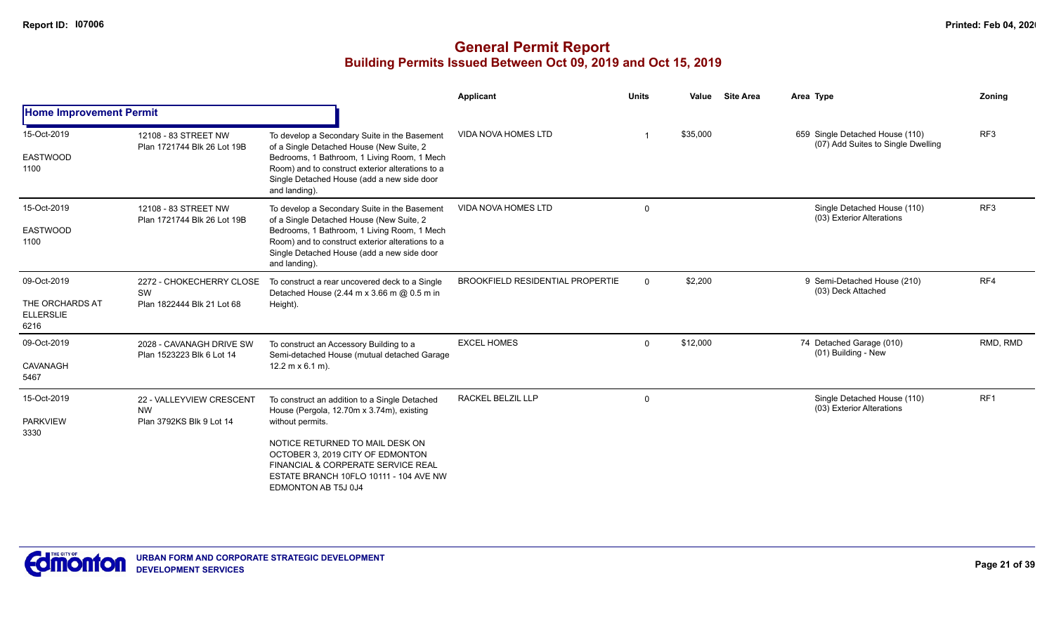|                                                            |                                                                   |                                                                                                                                                                                                                                                                                              | Applicant                               | <b>Units</b> | Value<br><b>Site Area</b> | Area Type                                                             | Zoning          |
|------------------------------------------------------------|-------------------------------------------------------------------|----------------------------------------------------------------------------------------------------------------------------------------------------------------------------------------------------------------------------------------------------------------------------------------------|-----------------------------------------|--------------|---------------------------|-----------------------------------------------------------------------|-----------------|
| <b>Home Improvement Permit</b>                             |                                                                   |                                                                                                                                                                                                                                                                                              |                                         |              |                           |                                                                       |                 |
| 15-Oct-2019<br><b>EASTWOOD</b><br>1100                     | 12108 - 83 STREET NW<br>Plan 1721744 Blk 26 Lot 19B               | To develop a Secondary Suite in the Basement<br>of a Single Detached House (New Suite, 2<br>Bedrooms, 1 Bathroom, 1 Living Room, 1 Mech<br>Room) and to construct exterior alterations to a<br>Single Detached House (add a new side door<br>and landing).                                   | <b>VIDA NOVA HOMES LTD</b>              |              | \$35,000                  | 659 Single Detached House (110)<br>(07) Add Suites to Single Dwelling | RF <sub>3</sub> |
| 15-Oct-2019<br><b>EASTWOOD</b><br>1100                     | 12108 - 83 STREET NW<br>Plan 1721744 Blk 26 Lot 19B               | To develop a Secondary Suite in the Basement<br>of a Single Detached House (New Suite, 2<br>Bedrooms, 1 Bathroom, 1 Living Room, 1 Mech<br>Room) and to construct exterior alterations to a<br>Single Detached House (add a new side door<br>and landing).                                   | <b>VIDA NOVA HOMES LTD</b>              | $\Omega$     |                           | Single Detached House (110)<br>(03) Exterior Alterations              | RF <sub>3</sub> |
| 09-Oct-2019<br>THE ORCHARDS AT<br><b>ELLERSLIE</b><br>6216 | 2272 - CHOKECHERRY CLOSE<br>SW<br>Plan 1822444 Blk 21 Lot 68      | To construct a rear uncovered deck to a Single<br>Detached House (2.44 m x 3.66 m @ 0.5 m in<br>Height).                                                                                                                                                                                     | <b>BROOKFIELD RESIDENTIAL PROPERTIE</b> | $\Omega$     | \$2,200                   | 9 Semi-Detached House (210)<br>(03) Deck Attached                     | RF4             |
| 09-Oct-2019<br><b>CAVANAGH</b><br>5467                     | 2028 - CAVANAGH DRIVE SW<br>Plan 1523223 Blk 6 Lot 14             | To construct an Accessory Building to a<br>Semi-detached House (mutual detached Garage<br>$12.2 \text{ m} \times 6.1 \text{ m}$ ).                                                                                                                                                           | <b>EXCEL HOMES</b>                      | $\Omega$     | \$12,000                  | 74 Detached Garage (010)<br>(01) Building - New                       | RMD, RMD        |
| 15-Oct-2019<br><b>PARKVIEW</b><br>3330                     | 22 - VALLEYVIEW CRESCENT<br><b>NW</b><br>Plan 3792KS Blk 9 Lot 14 | To construct an addition to a Single Detached<br>House (Pergola, 12.70m x 3.74m), existing<br>without permits.<br>NOTICE RETURNED TO MAIL DESK ON<br>OCTOBER 3, 2019 CITY OF EDMONTON<br>FINANCIAL & CORPERATE SERVICE REAL<br>ESTATE BRANCH 10FLO 10111 - 104 AVE NW<br>EDMONTON AB T5J 0J4 | RACKEL BELZIL LLP                       | 0            |                           | Single Detached House (110)<br>(03) Exterior Alterations              | RF1             |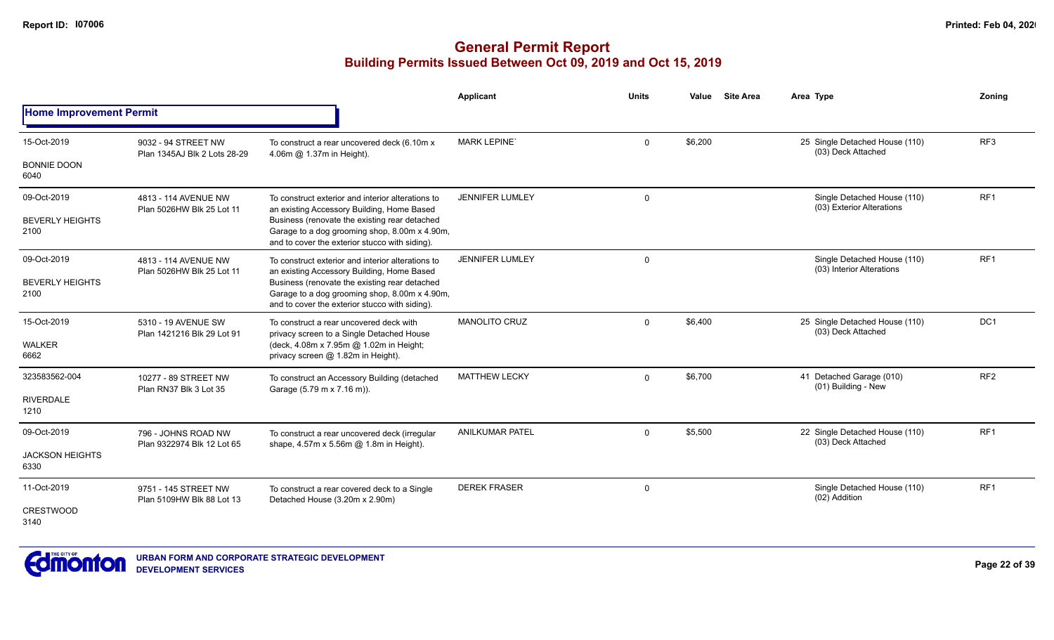|                                |                                                     |                                                                                                                                                  | Applicant              | <b>Units</b> | Value   | <b>Site Area</b> | Area Type                                                | Zonina          |
|--------------------------------|-----------------------------------------------------|--------------------------------------------------------------------------------------------------------------------------------------------------|------------------------|--------------|---------|------------------|----------------------------------------------------------|-----------------|
| <b>Home Improvement Permit</b> |                                                     |                                                                                                                                                  |                        |              |         |                  |                                                          |                 |
| 15-Oct-2019                    | 9032 - 94 STREET NW<br>Plan 1345AJ Blk 2 Lots 28-29 | To construct a rear uncovered deck (6.10m x<br>4.06m @ 1.37m in Height).                                                                         | <b>MARK LEPINE</b>     | $\mathbf 0$  | \$6,200 |                  | 25 Single Detached House (110)<br>(03) Deck Attached     | RF <sub>3</sub> |
| <b>BONNIE DOON</b><br>6040     |                                                     |                                                                                                                                                  |                        |              |         |                  |                                                          |                 |
| 09-Oct-2019                    | 4813 - 114 AVENUE NW<br>Plan 5026HW Blk 25 Lot 11   | To construct exterior and interior alterations to<br>an existing Accessory Building, Home Based                                                  | JENNIFER LUMLEY        | 0            |         |                  | Single Detached House (110)<br>(03) Exterior Alterations | RF <sub>1</sub> |
| <b>BEVERLY HEIGHTS</b><br>2100 |                                                     | Business (renovate the existing rear detached<br>Garage to a dog grooming shop, 8.00m x 4.90m,<br>and to cover the exterior stucco with siding). |                        |              |         |                  |                                                          |                 |
| 09-Oct-2019                    | 4813 - 114 AVENUE NW<br>Plan 5026HW Blk 25 Lot 11   | To construct exterior and interior alterations to<br>an existing Accessory Building, Home Based                                                  | <b>JENNIFER LUMLEY</b> | $\mathbf 0$  |         |                  | Single Detached House (110)<br>(03) Interior Alterations | RF <sub>1</sub> |
| <b>BEVERLY HEIGHTS</b><br>2100 |                                                     | Business (renovate the existing rear detached<br>Garage to a dog grooming shop, 8.00m x 4.90m,<br>and to cover the exterior stucco with siding). |                        |              |         |                  |                                                          |                 |
| 15-Oct-2019<br><b>WALKER</b>   | 5310 - 19 AVENUE SW<br>Plan 1421216 Blk 29 Lot 91   | To construct a rear uncovered deck with<br>privacy screen to a Single Detached House<br>(deck, 4.08m x 7.95m @ 1.02m in Height;                  | <b>MANOLITO CRUZ</b>   | $\mathbf{0}$ | \$6,400 |                  | 25 Single Detached House (110)<br>(03) Deck Attached     | DC <sub>1</sub> |
| 6662                           |                                                     | privacy screen @ 1.82m in Height).                                                                                                               |                        |              |         |                  |                                                          |                 |
| 323583562-004                  | 10277 - 89 STREET NW<br>Plan RN37 Blk 3 Lot 35      | To construct an Accessory Building (detached<br>Garage (5.79 m x 7.16 m)).                                                                       | <b>MATTHEW LECKY</b>   | $\mathbf 0$  | \$6,700 |                  | 41 Detached Garage (010)<br>(01) Building - New          | RF <sub>2</sub> |
| <b>RIVERDALE</b><br>1210       |                                                     |                                                                                                                                                  |                        |              |         |                  |                                                          |                 |
| 09-Oct-2019                    | 796 - JOHNS ROAD NW<br>Plan 9322974 Blk 12 Lot 65   | To construct a rear uncovered deck (irregular<br>shape, 4.57m x 5.56m @ 1.8m in Height).                                                         | <b>ANILKUMAR PATEL</b> | $\mathbf 0$  | \$5,500 |                  | 22 Single Detached House (110)<br>(03) Deck Attached     | RF <sub>1</sub> |
| <b>JACKSON HEIGHTS</b><br>6330 |                                                     |                                                                                                                                                  |                        |              |         |                  |                                                          |                 |
| 11-Oct-2019                    | 9751 - 145 STREET NW                                | To construct a rear covered deck to a Single                                                                                                     | <b>DEREK FRASER</b>    | $\mathbf 0$  |         |                  | Single Detached House (110)<br>(02) Addition             | RF <sub>1</sub> |
| <b>CRESTWOOD</b><br>3140       | Plan 5109HW Blk 88 Lot 13                           | Detached House (3.20m x 2.90m)                                                                                                                   |                        |              |         |                  |                                                          |                 |

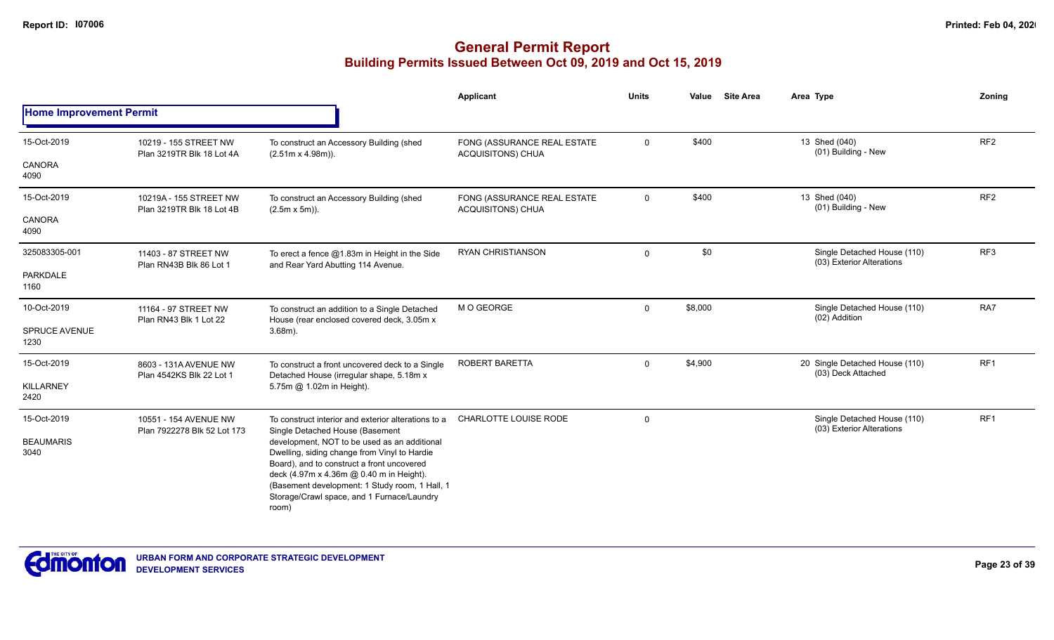|                                |                                                      |                                                                                                                                                                                                                                                                                                 | Applicant                                        | <b>Units</b> | <b>Site Area</b><br>Value | Area Type                                                | Zoning          |
|--------------------------------|------------------------------------------------------|-------------------------------------------------------------------------------------------------------------------------------------------------------------------------------------------------------------------------------------------------------------------------------------------------|--------------------------------------------------|--------------|---------------------------|----------------------------------------------------------|-----------------|
| <b>Home Improvement Permit</b> |                                                      |                                                                                                                                                                                                                                                                                                 |                                                  |              |                           |                                                          |                 |
| 15-Oct-2019                    | 10219 - 155 STREET NW<br>Plan 3219TR Blk 18 Lot 4A   | To construct an Accessory Building (shed<br>$(2.51m \times 4.98m)$ ).                                                                                                                                                                                                                           | FONG (ASSURANCE REAL ESTATE<br>ACQUISITONS) CHUA | $\mathbf{0}$ | \$400                     | 13 Shed (040)<br>(01) Building - New                     | RF <sub>2</sub> |
| <b>CANORA</b><br>4090          |                                                      |                                                                                                                                                                                                                                                                                                 |                                                  |              |                           |                                                          |                 |
| 15-Oct-2019                    | 10219A - 155 STREET NW<br>Plan 3219TR Blk 18 Lot 4B  | To construct an Accessory Building (shed<br>$(2.5m \times 5m)$ ).                                                                                                                                                                                                                               | FONG (ASSURANCE REAL ESTATE<br>ACQUISITONS) CHUA | $\mathbf 0$  | \$400                     | 13 Shed (040)<br>(01) Building - New                     | RF <sub>2</sub> |
| <b>CANORA</b><br>4090          |                                                      |                                                                                                                                                                                                                                                                                                 |                                                  |              |                           |                                                          |                 |
| 325083305-001                  | 11403 - 87 STREET NW<br>Plan RN43B Blk 86 Lot 1      | To erect a fence $@1.83m$ in Height in the Side<br>and Rear Yard Abutting 114 Avenue.                                                                                                                                                                                                           | <b>RYAN CHRISTIANSON</b>                         | $\Omega$     | \$0                       | Single Detached House (110)<br>(03) Exterior Alterations | RF3             |
| PARKDALE<br>1160               |                                                      |                                                                                                                                                                                                                                                                                                 |                                                  |              |                           |                                                          |                 |
| 10-Oct-2019                    | 11164 - 97 STREET NW<br>Plan RN43 Blk 1 Lot 22       | To construct an addition to a Single Detached<br>House (rear enclosed covered deck, 3.05m x                                                                                                                                                                                                     | M O GEORGE                                       | $\mathbf 0$  | \$8,000                   | Single Detached House (110)<br>(02) Addition             | RA7             |
| <b>SPRUCE AVENUE</b><br>1230   |                                                      | $3.68m$ ).                                                                                                                                                                                                                                                                                      |                                                  |              |                           |                                                          |                 |
| 15-Oct-2019                    | 8603 - 131A AVENUE NW<br>Plan 4542KS Blk 22 Lot 1    | To construct a front uncovered deck to a Single<br>Detached House (irregular shape, 5.18m x                                                                                                                                                                                                     | ROBERT BARETTA                                   | $\mathbf{0}$ | \$4,900                   | 20 Single Detached House (110)<br>(03) Deck Attached     | RF1             |
| <b>KILLARNEY</b><br>2420       |                                                      | 5.75m @ 1.02m in Height).                                                                                                                                                                                                                                                                       |                                                  |              |                           |                                                          |                 |
| 15-Oct-2019                    | 10551 - 154 AVENUE NW<br>Plan 7922278 Blk 52 Lot 173 | To construct interior and exterior alterations to a<br>Single Detached House (Basement                                                                                                                                                                                                          | CHARLOTTE LOUISE RODE                            | $\mathbf 0$  |                           | Single Detached House (110)<br>(03) Exterior Alterations | RF1             |
| <b>BEAUMARIS</b><br>3040       |                                                      | development, NOT to be used as an additional<br>Dwelling, siding change from Vinyl to Hardie<br>Board), and to construct a front uncovered<br>deck (4.97m x 4.36m @ 0.40 m in Height).<br>(Basement development: 1 Study room, 1 Hall, 1<br>Storage/Crawl space, and 1 Furnace/Laundry<br>room) |                                                  |              |                           |                                                          |                 |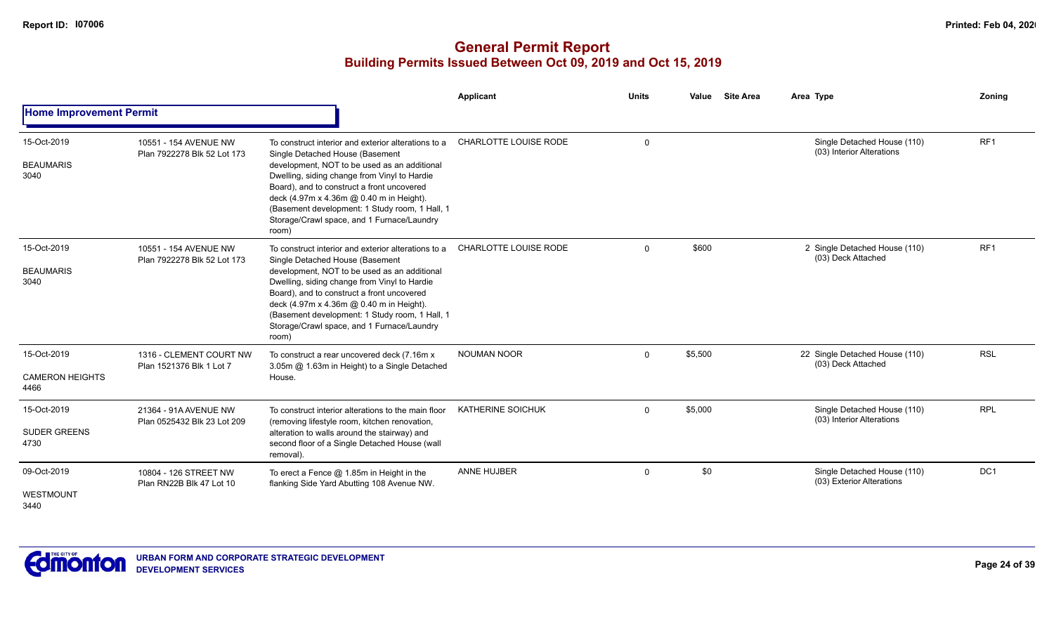|                                               |                                                      |                                                                                                                                                                                                                                                                                                                                                                                           | Applicant                    | <b>Units</b> | <b>Site Area</b><br>Value | Area Type                                                | Zoning          |
|-----------------------------------------------|------------------------------------------------------|-------------------------------------------------------------------------------------------------------------------------------------------------------------------------------------------------------------------------------------------------------------------------------------------------------------------------------------------------------------------------------------------|------------------------------|--------------|---------------------------|----------------------------------------------------------|-----------------|
| <b>Home Improvement Permit</b>                |                                                      |                                                                                                                                                                                                                                                                                                                                                                                           |                              |              |                           |                                                          |                 |
| 15-Oct-2019<br><b>BEAUMARIS</b><br>3040       | 10551 - 154 AVENUE NW<br>Plan 7922278 Blk 52 Lot 173 | To construct interior and exterior alterations to a<br>Single Detached House (Basement<br>development, NOT to be used as an additional<br>Dwelling, siding change from Vinyl to Hardie<br>Board), and to construct a front uncovered<br>deck (4.97m x 4.36m @ 0.40 m in Height).<br>(Basement development: 1 Study room, 1 Hall, 1<br>Storage/Crawl space, and 1 Furnace/Laundry<br>room) | CHARLOTTE LOUISE RODE        | $\Omega$     |                           | Single Detached House (110)<br>(03) Interior Alterations | RF <sub>1</sub> |
| 15-Oct-2019<br><b>BEAUMARIS</b><br>3040       | 10551 - 154 AVENUE NW<br>Plan 7922278 Blk 52 Lot 173 | To construct interior and exterior alterations to a<br>Single Detached House (Basement<br>development, NOT to be used as an additional<br>Dwelling, siding change from Vinyl to Hardie<br>Board), and to construct a front uncovered<br>deck (4.97m x 4.36m @ 0.40 m in Height).<br>(Basement development: 1 Study room, 1 Hall, 1<br>Storage/Crawl space, and 1 Furnace/Laundry<br>room) | <b>CHARLOTTE LOUISE RODE</b> | $\Omega$     | \$600                     | 2 Single Detached House (110)<br>(03) Deck Attached      | RF <sub>1</sub> |
| 15-Oct-2019<br><b>CAMERON HEIGHTS</b><br>4466 | 1316 - CLEMENT COURT NW<br>Plan 1521376 Blk 1 Lot 7  | To construct a rear uncovered deck (7.16m x<br>3.05m @ 1.63m in Height) to a Single Detached<br>House.                                                                                                                                                                                                                                                                                    | <b>NOUMAN NOOR</b>           | $\Omega$     | \$5,500                   | 22 Single Detached House (110)<br>(03) Deck Attached     | <b>RSL</b>      |
| 15-Oct-2019<br><b>SUDER GREENS</b><br>4730    | 21364 - 91A AVENUE NW<br>Plan 0525432 Blk 23 Lot 209 | To construct interior alterations to the main floor<br>(removing lifestyle room, kitchen renovation,<br>alteration to walls around the stairway) and<br>second floor of a Single Detached House (wall<br>removal).                                                                                                                                                                        | KATHERINE SOICHUK            | $\Omega$     | \$5,000                   | Single Detached House (110)<br>(03) Interior Alterations | <b>RPL</b>      |
| 09-Oct-2019<br>WESTMOUNT<br>3440              | 10804 - 126 STREET NW<br>Plan RN22B Blk 47 Lot 10    | To erect a Fence $@$ 1.85m in Height in the<br>flanking Side Yard Abutting 108 Avenue NW.                                                                                                                                                                                                                                                                                                 | ANNE HUJBER                  | $\Omega$     | \$0                       | Single Detached House (110)<br>(03) Exterior Alterations | DC <sub>1</sub> |

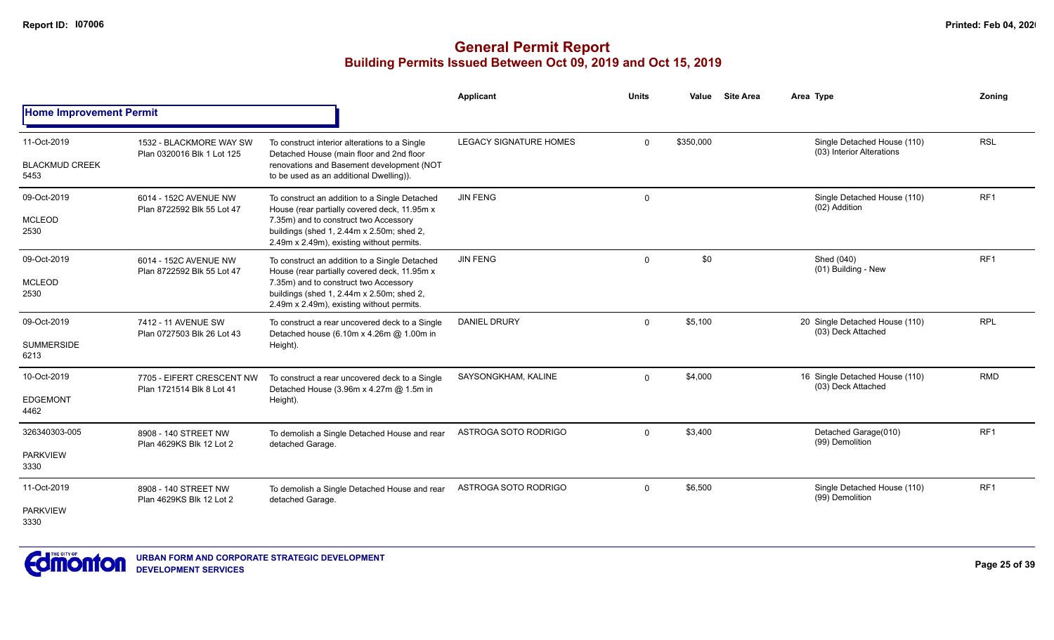|                                      |                                                        |                                                                                                                                        | Applicant                     | <b>Units</b> | Value     | <b>Site Area</b> | Area Type                                                | Zonina          |
|--------------------------------------|--------------------------------------------------------|----------------------------------------------------------------------------------------------------------------------------------------|-------------------------------|--------------|-----------|------------------|----------------------------------------------------------|-----------------|
| <b>Home Improvement Permit</b>       |                                                        |                                                                                                                                        |                               |              |           |                  |                                                          |                 |
| 11-Oct-2019<br><b>BLACKMUD CREEK</b> | 1532 - BLACKMORE WAY SW<br>Plan 0320016 Blk 1 Lot 125  | To construct interior alterations to a Single<br>Detached House (main floor and 2nd floor<br>renovations and Basement development (NOT | <b>LEGACY SIGNATURE HOMES</b> | $\mathbf 0$  | \$350,000 |                  | Single Detached House (110)<br>(03) Interior Alterations | <b>RSL</b>      |
| 5453                                 |                                                        | to be used as an additional Dwelling)).                                                                                                |                               |              |           |                  |                                                          |                 |
| 09-Oct-2019                          | 6014 - 152C AVENUE NW<br>Plan 8722592 Blk 55 Lot 47    | To construct an addition to a Single Detached<br>House (rear partially covered deck, 11.95m x                                          | <b>JIN FENG</b>               | 0            |           |                  | Single Detached House (110)<br>(02) Addition             | RF <sub>1</sub> |
| <b>MCLEOD</b><br>2530                | 6014 - 152C AVENUE NW                                  | 7.35m) and to construct two Accessory<br>buildings (shed 1, 2.44m x 2.50m; shed 2,<br>2.49m x 2.49m), existing without permits.        |                               |              |           |                  |                                                          |                 |
| 09-Oct-2019                          | Plan 8722592 Blk 55 Lot 47                             | To construct an addition to a Single Detached<br>House (rear partially covered deck, 11.95m x                                          | <b>JIN FENG</b>               | $\mathbf 0$  | \$0       |                  | Shed (040)<br>(01) Building - New                        | RF1             |
| <b>MCLEOD</b><br>2530                |                                                        | 7.35m) and to construct two Accessory<br>buildings (shed 1, 2.44m x 2.50m; shed 2,<br>2.49m x 2.49m), existing without permits.        |                               |              |           |                  |                                                          |                 |
| 09-Oct-2019                          | 7412 - 11 AVENUE SW<br>Plan 0727503 Blk 26 Lot 43      | To construct a rear uncovered deck to a Single<br>Detached house (6.10m x 4.26m @ 1.00m in                                             | <b>DANIEL DRURY</b>           | $\mathbf 0$  | \$5,100   |                  | 20 Single Detached House (110)<br>(03) Deck Attached     | <b>RPL</b>      |
| <b>SUMMERSIDE</b><br>6213            |                                                        | Height).                                                                                                                               |                               |              |           |                  |                                                          |                 |
| 10-Oct-2019                          | 7705 - EIFERT CRESCENT NW<br>Plan 1721514 Blk 8 Lot 41 | To construct a rear uncovered deck to a Single<br>Detached House (3.96m x 4.27m @ 1.5m in                                              | SAYSONGKHAM, KALINE           | $\Omega$     | \$4,000   |                  | 16 Single Detached House (110)<br>(03) Deck Attached     | <b>RMD</b>      |
| <b>EDGEMONT</b><br>4462              |                                                        | Height).                                                                                                                               |                               |              |           |                  |                                                          |                 |
| 326340303-005                        | 8908 - 140 STREET NW<br>Plan 4629KS Blk 12 Lot 2       | To demolish a Single Detached House and rear<br>detached Garage.                                                                       | ASTROGA SOTO RODRIGO          | $\Omega$     | \$3,400   |                  | Detached Garage(010)<br>(99) Demolition                  | RF1             |
| <b>PARKVIEW</b><br>3330              |                                                        |                                                                                                                                        |                               |              |           |                  |                                                          |                 |
| 11-Oct-2019                          | 8908 - 140 STREET NW<br>Plan 4629KS Blk 12 Lot 2       | To demolish a Single Detached House and rear<br>detached Garage.                                                                       | ASTROGA SOTO RODRIGO          | $\mathbf 0$  | \$6,500   |                  | Single Detached House (110)<br>(99) Demolition           | RF <sub>1</sub> |
| <b>PARKVIEW</b><br>3330              |                                                        |                                                                                                                                        |                               |              |           |                  |                                                          |                 |

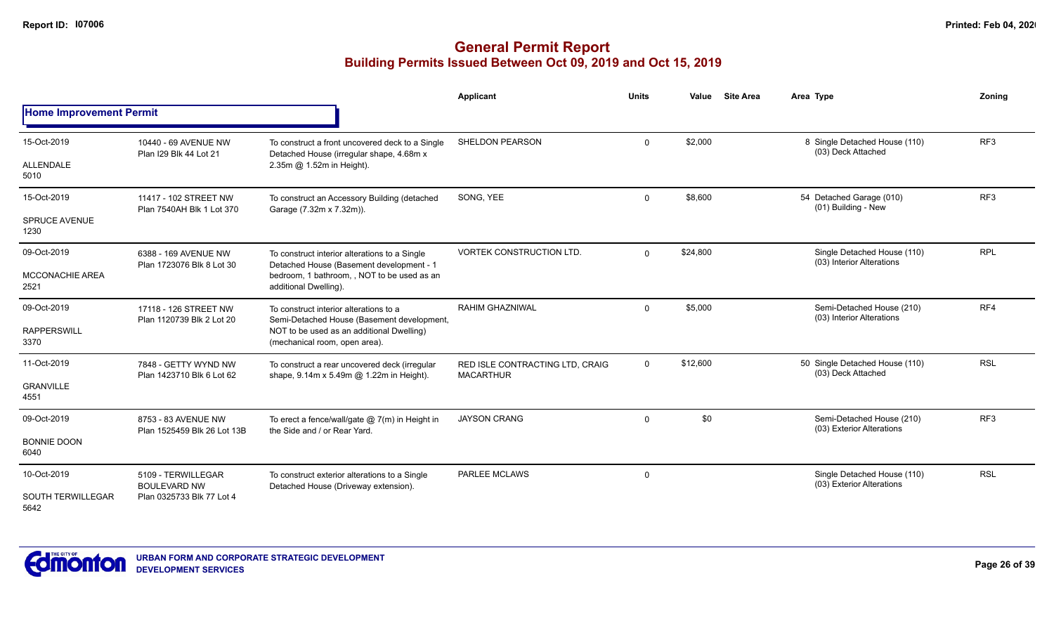|                                                 |                                                                        |                                                                                                                                                                    | <b>Applicant</b>                                    | <b>Units</b> | Value    | <b>Site Area</b> | Area Type                                                | Zonina          |
|-------------------------------------------------|------------------------------------------------------------------------|--------------------------------------------------------------------------------------------------------------------------------------------------------------------|-----------------------------------------------------|--------------|----------|------------------|----------------------------------------------------------|-----------------|
| <b>Home Improvement Permit</b>                  |                                                                        |                                                                                                                                                                    |                                                     |              |          |                  |                                                          |                 |
| 15-Oct-2019<br>ALLENDALE<br>5010                | 10440 - 69 AVENUE NW<br>Plan I29 Blk 44 Lot 21                         | To construct a front uncovered deck to a Single<br>Detached House (irregular shape, 4.68m x<br>2.35m @ 1.52m in Height).                                           | SHELDON PEARSON                                     | $\mathbf 0$  | \$2,000  |                  | 8 Single Detached House (110)<br>(03) Deck Attached      | RF <sub>3</sub> |
| 15-Oct-2019<br><b>SPRUCE AVENUE</b><br>1230     | 11417 - 102 STREET NW<br>Plan 7540AH Blk 1 Lot 370                     | To construct an Accessory Building (detached<br>Garage (7.32m x 7.32m)).                                                                                           | SONG, YEE                                           | $\mathbf 0$  | \$8,600  |                  | 54 Detached Garage (010)<br>(01) Building - New          | RF <sub>3</sub> |
| 09-Oct-2019<br><b>MCCONACHIE AREA</b><br>2521   | 6388 - 169 AVENUE NW<br>Plan 1723076 Blk 8 Lot 30                      | To construct interior alterations to a Single<br>Detached House (Basement development - 1<br>bedroom, 1 bathroom, , NOT to be used as an<br>additional Dwelling).  | <b>VORTEK CONSTRUCTION LTD.</b>                     | $\mathbf 0$  | \$24,800 |                  | Single Detached House (110)<br>(03) Interior Alterations | <b>RPL</b>      |
| 09-Oct-2019<br><b>RAPPERSWILL</b><br>3370       | 17118 - 126 STREET NW<br>Plan 1120739 Blk 2 Lot 20                     | To construct interior alterations to a<br>Semi-Detached House (Basement development,<br>NOT to be used as an additional Dwelling)<br>(mechanical room, open area). | RAHIM GHAZNIWAL                                     | $\mathbf 0$  | \$5,000  |                  | Semi-Detached House (210)<br>(03) Interior Alterations   | RF4             |
| 11-Oct-2019<br><b>GRANVILLE</b><br>4551         | 7848 - GETTY WYND NW<br>Plan 1423710 Blk 6 Lot 62                      | To construct a rear uncovered deck (irregular<br>shape, 9.14m x 5.49m @ 1.22m in Height).                                                                          | RED ISLE CONTRACTING LTD, CRAIG<br><b>MACARTHUR</b> | $\Omega$     | \$12,600 |                  | 50 Single Detached House (110)<br>(03) Deck Attached     | <b>RSL</b>      |
| 09-Oct-2019<br><b>BONNIE DOON</b><br>6040       | 8753 - 83 AVENUE NW<br>Plan 1525459 Blk 26 Lot 13B                     | To erect a fence/wall/gate $@7(m)$ in Height in<br>the Side and / or Rear Yard.                                                                                    | <b>JAYSON CRANG</b>                                 | $\mathbf 0$  | \$0      |                  | Semi-Detached House (210)<br>(03) Exterior Alterations   | RF <sub>3</sub> |
| 10-Oct-2019<br><b>SOUTH TERWILLEGAR</b><br>5642 | 5109 - TERWILLEGAR<br><b>BOULEVARD NW</b><br>Plan 0325733 Blk 77 Lot 4 | To construct exterior alterations to a Single<br>Detached House (Driveway extension).                                                                              | <b>PARLEE MCLAWS</b>                                | 0            |          |                  | Single Detached House (110)<br>(03) Exterior Alterations | <b>RSL</b>      |

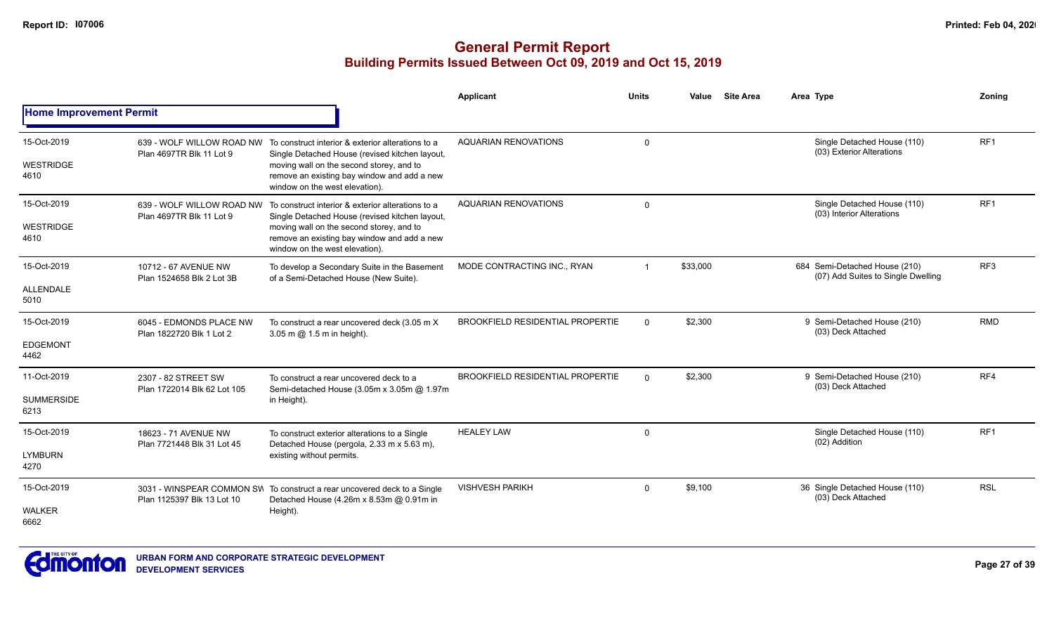|                                 |                                                    |                                                                                                                               | <b>Applicant</b>                        | <b>Units</b>            | Value    | <b>Site Area</b> | Area Type                                                           | Zonina          |
|---------------------------------|----------------------------------------------------|-------------------------------------------------------------------------------------------------------------------------------|-----------------------------------------|-------------------------|----------|------------------|---------------------------------------------------------------------|-----------------|
| <b>Home Improvement Permit</b>  |                                                    |                                                                                                                               |                                         |                         |          |                  |                                                                     |                 |
| 15-Oct-2019<br><b>WESTRIDGE</b> | Plan 4697TR Blk 11 Lot 9                           | 639 - WOLF WILLOW ROAD NW To construct interior & exterior alterations to a<br>Single Detached House (revised kitchen layout, | <b>AQUARIAN RENOVATIONS</b>             | $\mathbf 0$             |          |                  | Single Detached House (110)<br>(03) Exterior Alterations            | RF <sub>1</sub> |
| 4610                            |                                                    | moving wall on the second storey, and to<br>remove an existing bay window and add a new<br>window on the west elevation).     |                                         |                         |          |                  |                                                                     |                 |
| 15-Oct-2019                     | Plan 4697TR Blk 11 Lot 9                           | 639 - WOLF WILLOW ROAD NW To construct interior & exterior alterations to a<br>Single Detached House (revised kitchen layout, | <b>AQUARIAN RENOVATIONS</b>             | $\mathbf 0$             |          |                  | Single Detached House (110)<br>(03) Interior Alterations            | RF <sub>1</sub> |
| <b>WESTRIDGE</b><br>4610        |                                                    | moving wall on the second storey, and to<br>remove an existing bay window and add a new<br>window on the west elevation).     |                                         |                         |          |                  |                                                                     |                 |
| 15-Oct-2019                     | 10712 - 67 AVENUE NW<br>Plan 1524658 Blk 2 Lot 3B  | To develop a Secondary Suite in the Basement<br>of a Semi-Detached House (New Suite).                                         | MODE CONTRACTING INC., RYAN             | $\overline{\mathbf{1}}$ | \$33,000 |                  | 684 Semi-Detached House (210)<br>(07) Add Suites to Single Dwelling | RF <sub>3</sub> |
| <b>ALLENDALE</b><br>5010        |                                                    |                                                                                                                               |                                         |                         |          |                  |                                                                     |                 |
| 15-Oct-2019                     | 6045 - EDMONDS PLACE NW                            | To construct a rear uncovered deck (3.05 m X<br>3.05 m @ 1.5 m in height).                                                    | <b>BROOKFIELD RESIDENTIAL PROPERTIE</b> | $\Omega$                | \$2,300  |                  | 9 Semi-Detached House (210)<br>(03) Deck Attached                   | <b>RMD</b>      |
| <b>EDGEMONT</b><br>4462         | Plan 1822720 Blk 1 Lot 2                           |                                                                                                                               |                                         |                         |          |                  |                                                                     |                 |
| 11-Oct-2019                     | 2307 - 82 STREET SW<br>Plan 1722014 Blk 62 Lot 105 | To construct a rear uncovered deck to a<br>Semi-detached House (3.05m x 3.05m @ 1.97m                                         | <b>BROOKFIELD RESIDENTIAL PROPERTIE</b> | $\Omega$                | \$2,300  |                  | 9 Semi-Detached House (210)<br>(03) Deck Attached                   | RF4             |
| <b>SUMMERSIDE</b><br>6213       |                                                    | in Height).                                                                                                                   |                                         |                         |          |                  |                                                                     |                 |
| 15-Oct-2019                     | 18623 - 71 AVENUE NW                               | To construct exterior alterations to a Single<br>Detached House (pergola, 2.33 m x 5.63 m),                                   | <b>HEALEY LAW</b>                       | 0                       |          |                  | Single Detached House (110)<br>(02) Addition                        | RF <sub>1</sub> |
| <b>LYMBURN</b><br>4270          | Plan 7721448 Blk 31 Lot 45                         | existing without permits.                                                                                                     |                                         |                         |          |                  |                                                                     |                 |
| 15-Oct-2019                     | Plan 1125397 Blk 13 Lot 10                         | 3031 - WINSPEAR COMMON SW To construct a rear uncovered deck to a Single<br>Detached House (4.26m x 8.53m @ 0.91m in          | <b>VISHVESH PARIKH</b>                  | $\Omega$                | \$9,100  |                  | 36 Single Detached House (110)<br>(03) Deck Attached                | <b>RSL</b>      |
| <b>WALKER</b><br>6662           |                                                    | Height).                                                                                                                      |                                         |                         |          |                  |                                                                     |                 |

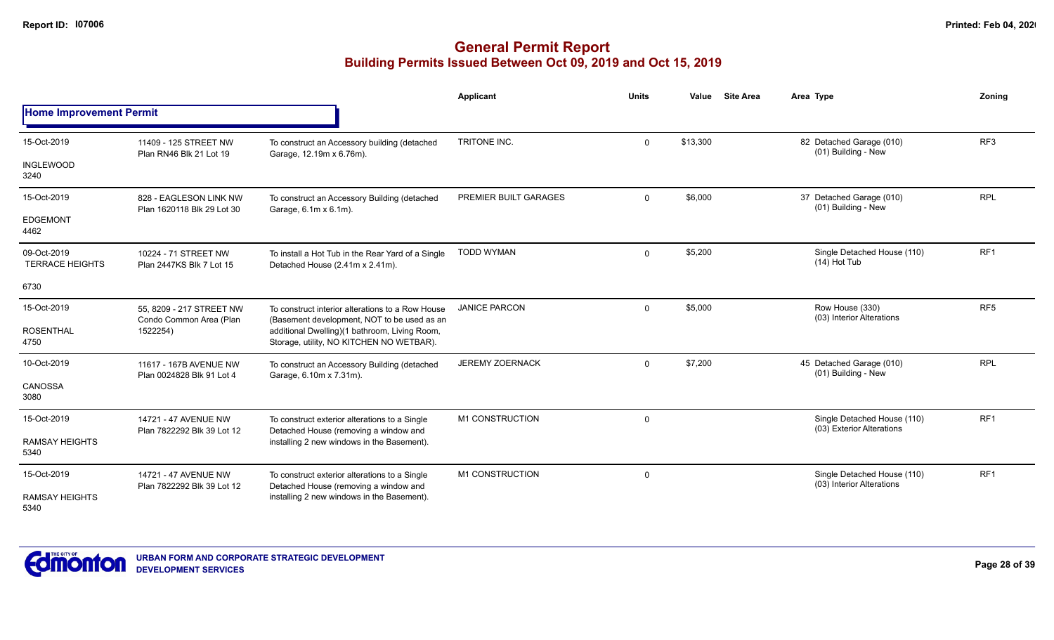|                                       |                                                      |                                                                                                 | <b>Applicant</b>       | <b>Units</b> | Value    | <b>Site Area</b><br>Area Type                            | Zoning          |
|---------------------------------------|------------------------------------------------------|-------------------------------------------------------------------------------------------------|------------------------|--------------|----------|----------------------------------------------------------|-----------------|
| <b>Home Improvement Permit</b>        |                                                      |                                                                                                 |                        |              |          |                                                          |                 |
| 15-Oct-2019                           | 11409 - 125 STREET NW<br>Plan RN46 Blk 21 Lot 19     | To construct an Accessory building (detached<br>Garage, 12.19m x 6.76m).                        | TRITONE INC.           | $\Omega$     | \$13,300 | 82 Detached Garage (010)<br>(01) Building - New          | RF <sub>3</sub> |
| <b>INGLEWOOD</b><br>3240              |                                                      |                                                                                                 |                        |              |          |                                                          |                 |
| 15-Oct-2019                           | 828 - EAGLESON LINK NW<br>Plan 1620118 Blk 29 Lot 30 | To construct an Accessory Building (detached<br>Garage, 6.1m x 6.1m).                           | PREMIER BUILT GARAGES  | $\Omega$     | \$6,000  | 37 Detached Garage (010)<br>(01) Building - New          | <b>RPL</b>      |
| <b>EDGEMONT</b><br>4462               |                                                      |                                                                                                 |                        |              |          |                                                          |                 |
| 09-Oct-2019<br><b>TERRACE HEIGHTS</b> | 10224 - 71 STREET NW<br>Plan 2447KS Blk 7 Lot 15     | To install a Hot Tub in the Rear Yard of a Single<br>Detached House (2.41m x 2.41m).            | <b>TODD WYMAN</b>      | $\Omega$     | \$5,200  | Single Detached House (110)<br>$(14)$ Hot Tub            | RF1             |
| 6730                                  |                                                      |                                                                                                 |                        |              |          |                                                          |                 |
| 15-Oct-2019                           | 55, 8209 - 217 STREET NW<br>Condo Common Area (Plan  | To construct interior alterations to a Row House<br>(Basement development, NOT to be used as an | <b>JANICE PARCON</b>   | $\Omega$     | \$5,000  | Row House (330)<br>(03) Interior Alterations             | RF <sub>5</sub> |
| <b>ROSENTHAL</b><br>4750              | 1522254)                                             | additional Dwelling)(1 bathroom, Living Room,<br>Storage, utility, NO KITCHEN NO WETBAR).       |                        |              |          |                                                          |                 |
| 10-Oct-2019                           | 11617 - 167B AVENUE NW<br>Plan 0024828 Blk 91 Lot 4  | To construct an Accessory Building (detached<br>Garage, 6.10m x 7.31m).                         | <b>JEREMY ZOERNACK</b> | $\Omega$     | \$7,200  | 45 Detached Garage (010)<br>(01) Building - New          | <b>RPL</b>      |
| <b>CANOSSA</b><br>3080                |                                                      |                                                                                                 |                        |              |          |                                                          |                 |
| 15-Oct-2019                           | 14721 - 47 AVENUE NW<br>Plan 7822292 Blk 39 Lot 12   | To construct exterior alterations to a Single                                                   | M1 CONSTRUCTION        | $\Omega$     |          | Single Detached House (110)<br>(03) Exterior Alterations | RF <sub>1</sub> |
| <b>RAMSAY HEIGHTS</b><br>5340         |                                                      | Detached House (removing a window and<br>installing 2 new windows in the Basement).             |                        |              |          |                                                          |                 |
| 15-Oct-2019                           | 14721 - 47 AVENUE NW<br>Plan 7822292 Blk 39 Lot 12   | To construct exterior alterations to a Single<br>Detached House (removing a window and          | M1 CONSTRUCTION        | $\Omega$     |          | Single Detached House (110)<br>(03) Interior Alterations | RF <sub>1</sub> |
| <b>RAMSAY HEIGHTS</b><br>5340         |                                                      | installing 2 new windows in the Basement).                                                      |                        |              |          |                                                          |                 |

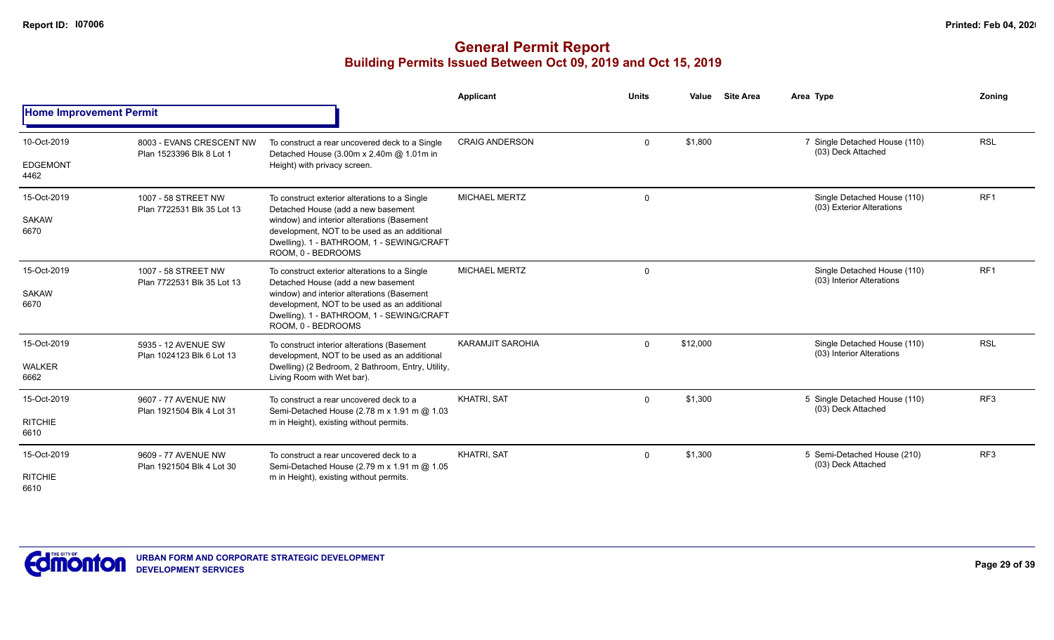|                                |                                                      |                                                                                                                                                               | Applicant                                                                                                                                                                                                                                                                                                                                                                                                                                                                                                                                                                                                                                                                            | <b>Units</b> | Value   | Area Type                                         | Zoning          |
|--------------------------------|------------------------------------------------------|---------------------------------------------------------------------------------------------------------------------------------------------------------------|--------------------------------------------------------------------------------------------------------------------------------------------------------------------------------------------------------------------------------------------------------------------------------------------------------------------------------------------------------------------------------------------------------------------------------------------------------------------------------------------------------------------------------------------------------------------------------------------------------------------------------------------------------------------------------------|--------------|---------|---------------------------------------------------|-----------------|
| <b>Home Improvement Permit</b> |                                                      |                                                                                                                                                               | <b>Site Area</b><br>\$1,800<br><b>RSL</b><br>7 Single Detached House (110)<br><b>CRAIG ANDERSON</b><br>$\mathbf 0$<br>(03) Deck Attached<br>RF <sub>1</sub><br><b>MICHAEL MERTZ</b><br>Single Detached House (110)<br>0<br>(03) Exterior Alterations<br>RF <sub>1</sub><br><b>MICHAEL MERTZ</b><br>Single Detached House (110)<br>$\mathbf 0$<br>(03) Interior Alterations<br>window) and interior alterations (Basement<br><b>RSL</b><br><b>KARAMJIT SAROHIA</b><br>\$12,000<br>Single Detached House (110)<br>$\mathbf{0}$<br>(03) Interior Alterations<br>RF <sub>3</sub><br><b>KHATRI, SAT</b><br>\$1,300<br>5 Single Detached House (110)<br>$\mathbf{0}$<br>(03) Deck Attached |              |         |                                                   |                 |
| 10-Oct-2019                    | 8003 - EVANS CRESCENT NW<br>Plan 1523396 Blk 8 Lot 1 | To construct a rear uncovered deck to a Single<br>Detached House (3.00m x 2.40m @ 1.01m in                                                                    |                                                                                                                                                                                                                                                                                                                                                                                                                                                                                                                                                                                                                                                                                      |              |         |                                                   |                 |
| <b>EDGEMONT</b><br>4462        |                                                      | Height) with privacy screen.                                                                                                                                  |                                                                                                                                                                                                                                                                                                                                                                                                                                                                                                                                                                                                                                                                                      |              |         |                                                   |                 |
| 15-Oct-2019                    | 1007 - 58 STREET NW<br>Plan 7722531 Blk 35 Lot 13    | To construct exterior alterations to a Single<br>Detached House (add a new basement                                                                           |                                                                                                                                                                                                                                                                                                                                                                                                                                                                                                                                                                                                                                                                                      |              |         |                                                   |                 |
| <b>SAKAW</b><br>6670           |                                                      | window) and interior alterations (Basement<br>development, NOT to be used as an additional<br>Dwelling). 1 - BATHROOM, 1 - SEWING/CRAFT<br>ROOM. 0 - BEDROOMS |                                                                                                                                                                                                                                                                                                                                                                                                                                                                                                                                                                                                                                                                                      |              |         |                                                   |                 |
| 15-Oct-2019<br><b>SAKAW</b>    | 1007 - 58 STREET NW<br>Plan 7722531 Blk 35 Lot 13    | To construct exterior alterations to a Single<br>Detached House (add a new basement                                                                           |                                                                                                                                                                                                                                                                                                                                                                                                                                                                                                                                                                                                                                                                                      |              |         |                                                   |                 |
| 6670                           |                                                      | development, NOT to be used as an additional<br>Dwelling). 1 - BATHROOM, 1 - SEWING/CRAFT<br>ROOM. 0 - BEDROOMS                                               |                                                                                                                                                                                                                                                                                                                                                                                                                                                                                                                                                                                                                                                                                      |              |         |                                                   |                 |
| 15-Oct-2019                    | 5935 - 12 AVENUE SW<br>Plan 1024123 Blk 6 Lot 13     | To construct interior alterations (Basement<br>development, NOT to be used as an additional                                                                   |                                                                                                                                                                                                                                                                                                                                                                                                                                                                                                                                                                                                                                                                                      |              |         |                                                   |                 |
| <b>WALKER</b><br>6662          |                                                      | Dwelling) (2 Bedroom, 2 Bathroom, Entry, Utility,<br>Living Room with Wet bar).                                                                               |                                                                                                                                                                                                                                                                                                                                                                                                                                                                                                                                                                                                                                                                                      |              |         |                                                   |                 |
| 15-Oct-2019                    | 9607 - 77 AVENUE NW                                  | To construct a rear uncovered deck to a<br>Semi-Detached House (2.78 m x 1.91 m @ 1.03                                                                        |                                                                                                                                                                                                                                                                                                                                                                                                                                                                                                                                                                                                                                                                                      |              |         |                                                   |                 |
| <b>RITCHIE</b><br>6610         | Plan 1921504 Blk 4 Lot 31                            | m in Height), existing without permits.                                                                                                                       |                                                                                                                                                                                                                                                                                                                                                                                                                                                                                                                                                                                                                                                                                      |              |         |                                                   |                 |
| 15-Oct-2019                    | 9609 - 77 AVENUE NW<br>Plan 1921504 Blk 4 Lot 30     | To construct a rear uncovered deck to a<br>Semi-Detached House (2.79 m x 1.91 m @ 1.05                                                                        | <b>KHATRI, SAT</b>                                                                                                                                                                                                                                                                                                                                                                                                                                                                                                                                                                                                                                                                   | $\mathbf{0}$ | \$1,300 | 5 Semi-Detached House (210)<br>(03) Deck Attached | RF <sub>3</sub> |
| <b>RITCHIE</b><br>6610         |                                                      | m in Height), existing without permits.                                                                                                                       |                                                                                                                                                                                                                                                                                                                                                                                                                                                                                                                                                                                                                                                                                      |              |         |                                                   |                 |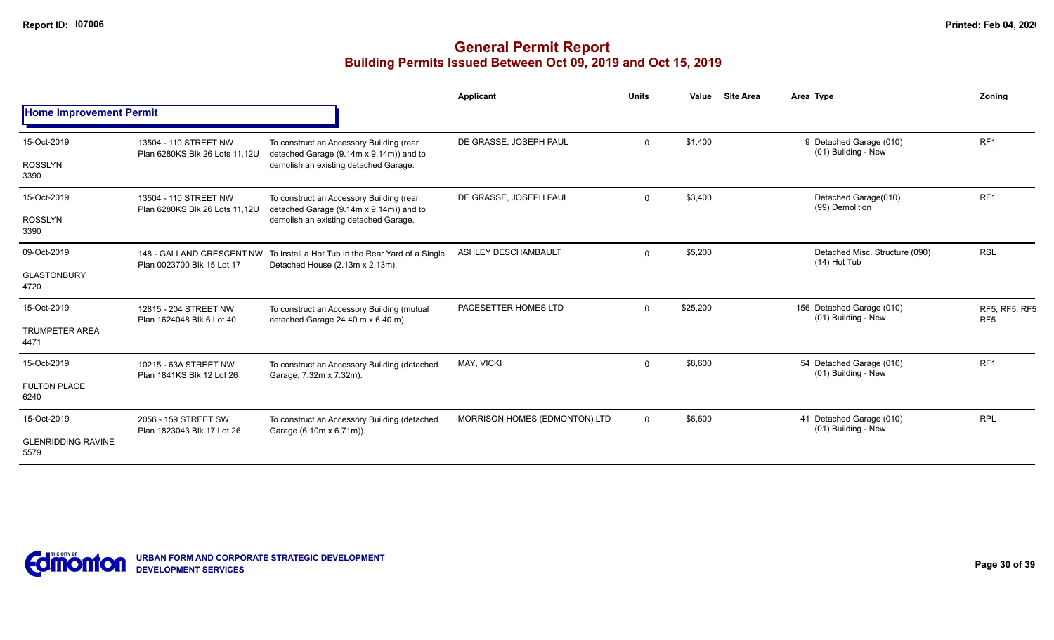|                                   |                                                         |                                                                                                                | <b>Applicant</b>              | <b>Units</b> | Value    | <b>Site Area</b> | Area Type                                        | Zoning                                  |
|-----------------------------------|---------------------------------------------------------|----------------------------------------------------------------------------------------------------------------|-------------------------------|--------------|----------|------------------|--------------------------------------------------|-----------------------------------------|
| <b>Home Improvement Permit</b>    |                                                         |                                                                                                                |                               |              |          |                  |                                                  |                                         |
| 15-Oct-2019                       | 13504 - 110 STREET NW<br>Plan 6280KS Blk 26 Lots 11.12U | To construct an Accessory Building (rear<br>detached Garage (9.14m x 9.14m)) and to                            | DE GRASSE, JOSEPH PAUL        | $\mathbf 0$  | \$1,400  |                  | 9 Detached Garage (010)<br>(01) Building - New   | RF <sub>1</sub>                         |
| <b>ROSSLYN</b><br>3390            |                                                         | demolish an existing detached Garage.                                                                          |                               |              |          |                  |                                                  |                                         |
| 15-Oct-2019                       | 13504 - 110 STREET NW<br>Plan 6280KS Blk 26 Lots 11,12U | To construct an Accessory Building (rear<br>detached Garage (9.14m x 9.14m)) and to                            | DE GRASSE, JOSEPH PAUL        | $\Omega$     | \$3,400  |                  | Detached Garage(010)<br>(99) Demolition          | RF <sub>1</sub>                         |
| <b>ROSSLYN</b><br>3390            |                                                         | demolish an existing detached Garage.                                                                          |                               |              |          |                  |                                                  |                                         |
| 09-Oct-2019                       | Plan 0023700 Blk 15 Lot 17                              | 148 - GALLAND CRESCENT NW To install a Hot Tub in the Rear Yard of a Single<br>Detached House (2.13m x 2.13m). | ASHLEY DESCHAMBAULT           | $\Omega$     | \$5,200  |                  | Detached Misc. Structure (090)<br>$(14)$ Hot Tub | <b>RSL</b>                              |
| <b>GLASTONBURY</b><br>4720        |                                                         |                                                                                                                |                               |              |          |                  |                                                  |                                         |
| 15-Oct-2019                       | 12815 - 204 STREET NW<br>Plan 1624048 Blk 6 Lot 40      | To construct an Accessory Building (mutual<br>detached Garage 24.40 m x 6.40 m).                               | PACESETTER HOMES LTD          | $\Omega$     | \$25,200 |                  | 156 Detached Garage (010)<br>(01) Building - New | <b>RF5, RF5, RF5</b><br>RF <sub>5</sub> |
| <b>TRUMPETER AREA</b><br>4471     |                                                         |                                                                                                                |                               |              |          |                  |                                                  |                                         |
| 15-Oct-2019                       | 10215 - 63A STREET NW<br>Plan 1841KS Blk 12 Lot 26      | To construct an Accessory Building (detached<br>Garage, 7.32m x 7.32m).                                        | MAY, VICKI                    | $\Omega$     | \$8,600  |                  | 54 Detached Garage (010)<br>(01) Building - New  | RF <sub>1</sub>                         |
| <b>FULTON PLACE</b><br>6240       |                                                         |                                                                                                                |                               |              |          |                  |                                                  |                                         |
| 15-Oct-2019                       | 2056 - 159 STREET SW<br>Plan 1823043 Blk 17 Lot 26      | To construct an Accessory Building (detached<br>Garage (6.10m x 6.71m)).                                       | MORRISON HOMES (EDMONTON) LTD | $\mathbf{0}$ | \$6,600  |                  | 41 Detached Garage (010)<br>(01) Building - New  | <b>RPL</b>                              |
| <b>GLENRIDDING RAVINE</b><br>5579 |                                                         |                                                                                                                |                               |              |          |                  |                                                  |                                         |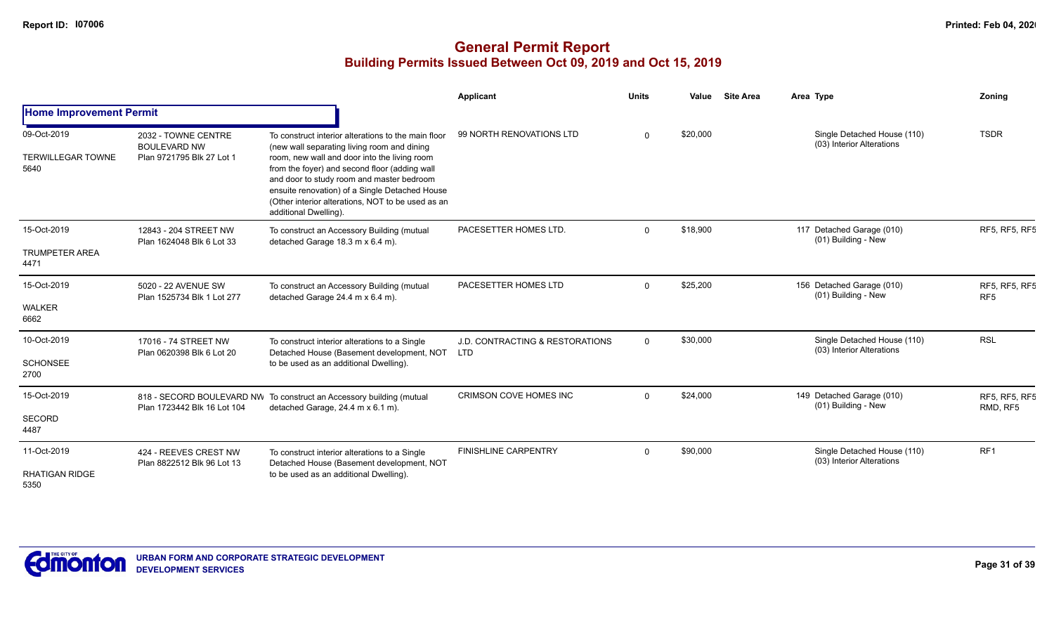|                                                 |                                                                         |                                                                                                                                                                                                                                                                                                                                                                                  | <b>Applicant</b>                                         | <b>Units</b> | Value    | <b>Site Area</b> | Area Type                                                | Zoning                                  |
|-------------------------------------------------|-------------------------------------------------------------------------|----------------------------------------------------------------------------------------------------------------------------------------------------------------------------------------------------------------------------------------------------------------------------------------------------------------------------------------------------------------------------------|----------------------------------------------------------|--------------|----------|------------------|----------------------------------------------------------|-----------------------------------------|
| <b>Home Improvement Permit</b>                  |                                                                         |                                                                                                                                                                                                                                                                                                                                                                                  |                                                          |              |          |                  |                                                          |                                         |
| 09-Oct-2019<br><b>TERWILLEGAR TOWNE</b><br>5640 | 2032 - TOWNE CENTRE<br><b>BOULEVARD NW</b><br>Plan 9721795 Blk 27 Lot 1 | To construct interior alterations to the main floor<br>(new wall separating living room and dining<br>room, new wall and door into the living room<br>from the foyer) and second floor (adding wall<br>and door to study room and master bedroom<br>ensuite renovation) of a Single Detached House<br>(Other interior alterations, NOT to be used as an<br>additional Dwelling). | 99 NORTH RENOVATIONS LTD                                 | $\Omega$     | \$20,000 |                  | Single Detached House (110)<br>(03) Interior Alterations | <b>TSDR</b>                             |
| 15-Oct-2019<br><b>TRUMPETER AREA</b><br>4471    | 12843 - 204 STREET NW<br>Plan 1624048 Blk 6 Lot 33                      | To construct an Accessory Building (mutual<br>detached Garage 18.3 m x 6.4 m).                                                                                                                                                                                                                                                                                                   | PACESETTER HOMES LTD.                                    | $\Omega$     | \$18,900 |                  | 117 Detached Garage (010)<br>(01) Building - New         | RF5, RF5, RF5                           |
| 15-Oct-2019<br><b>WALKER</b><br>6662            | 5020 - 22 AVENUE SW<br>Plan 1525734 Blk 1 Lot 277                       | To construct an Accessory Building (mutual<br>detached Garage 24.4 m x 6.4 m).                                                                                                                                                                                                                                                                                                   | PACESETTER HOMES LTD                                     | $\Omega$     | \$25,200 |                  | 156 Detached Garage (010)<br>(01) Building - New         | <b>RF5, RF5, RF5</b><br>RF <sub>5</sub> |
| 10-Oct-2019<br><b>SCHONSEE</b><br>2700          | 17016 - 74 STREET NW<br>Plan 0620398 Blk 6 Lot 20                       | To construct interior alterations to a Single<br>Detached House (Basement development, NOT<br>to be used as an additional Dwelling).                                                                                                                                                                                                                                             | <b>J.D. CONTRACTING &amp; RESTORATIONS</b><br><b>LTD</b> | $\Omega$     | \$30,000 |                  | Single Detached House (110)<br>(03) Interior Alterations | <b>RSL</b>                              |
| 15-Oct-2019<br><b>SECORD</b><br>4487            | Plan 1723442 Blk 16 Lot 104                                             | 818 - SECORD BOULEVARD NW To construct an Accessory building (mutual<br>detached Garage, 24.4 m x 6.1 m).                                                                                                                                                                                                                                                                        | <b>CRIMSON COVE HOMES INC</b>                            | $\Omega$     | \$24,000 |                  | 149 Detached Garage (010)<br>(01) Building - New         | RF5, RF5, RF5<br>RMD, RF5               |
| 11-Oct-2019<br><b>RHATIGAN RIDGE</b><br>5350    | 424 - REEVES CREST NW<br>Plan 8822512 Blk 96 Lot 13                     | To construct interior alterations to a Single<br>Detached House (Basement development, NOT<br>to be used as an additional Dwelling).                                                                                                                                                                                                                                             | <b>FINISHLINE CARPENTRY</b>                              | $\Omega$     | \$90,000 |                  | Single Detached House (110)<br>(03) Interior Alterations | RF <sub>1</sub>                         |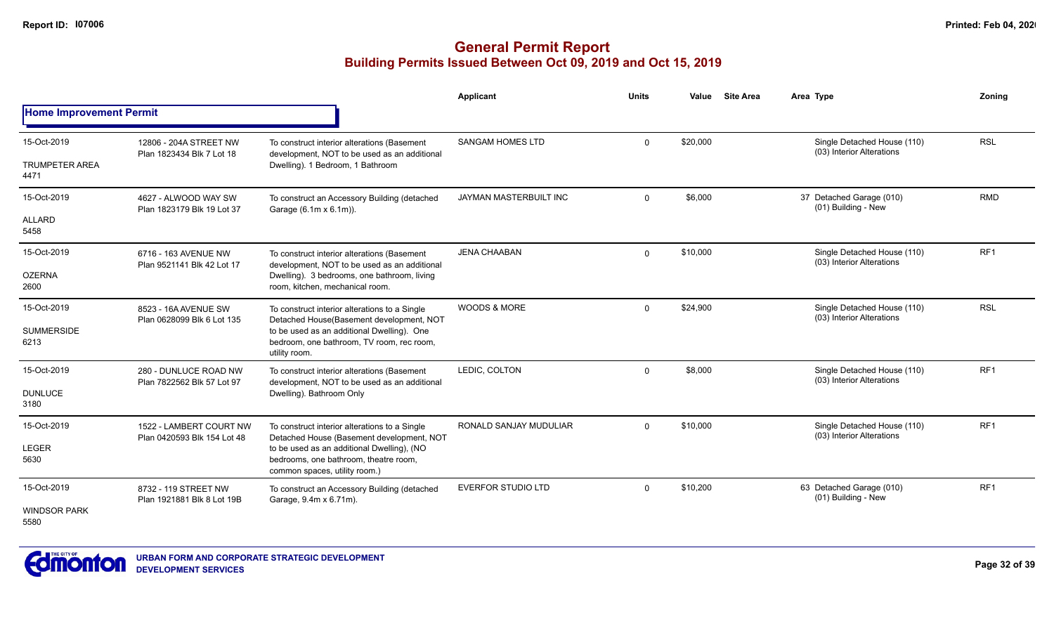|                                      |                                                        |                                                                                                                                 | <b>Applicant</b>          | <b>Units</b> | Value    | <b>Site Area</b>                                | Area Type                                                | Zoning          |
|--------------------------------------|--------------------------------------------------------|---------------------------------------------------------------------------------------------------------------------------------|---------------------------|--------------|----------|-------------------------------------------------|----------------------------------------------------------|-----------------|
| <b>Home Improvement Permit</b>       |                                                        |                                                                                                                                 |                           |              |          |                                                 |                                                          |                 |
| 15-Oct-2019<br><b>TRUMPETER AREA</b> | 12806 - 204A STREET NW<br>Plan 1823434 Blk 7 Lot 18    | To construct interior alterations (Basement<br>development, NOT to be used as an additional<br>Dwelling). 1 Bedroom, 1 Bathroom | <b>SANGAM HOMES LTD</b>   | $\Omega$     | \$20,000 |                                                 | Single Detached House (110)<br>(03) Interior Alterations | <b>RSL</b>      |
| 4471                                 |                                                        |                                                                                                                                 |                           |              |          |                                                 |                                                          |                 |
| 15-Oct-2019                          | 4627 - ALWOOD WAY SW<br>Plan 1823179 Blk 19 Lot 37     | To construct an Accessory Building (detached<br>Garage (6.1m x 6.1m)).                                                          | JAYMAN MASTERBUILT INC    | $\Omega$     | \$6,000  |                                                 | 37 Detached Garage (010)<br>(01) Building - New          | <b>RMD</b>      |
| <b>ALLARD</b><br>5458                |                                                        |                                                                                                                                 |                           |              |          |                                                 |                                                          |                 |
| 15-Oct-2019                          | 6716 - 163 AVENUE NW<br>Plan 9521141 Blk 42 Lot 17     | To construct interior alterations (Basement<br>development, NOT to be used as an additional                                     | <b>JENA CHAABAN</b>       | $\Omega$     | \$10,000 |                                                 | Single Detached House (110)<br>(03) Interior Alterations | RF <sub>1</sub> |
| <b>OZERNA</b><br>2600                |                                                        | Dwelling). 3 bedrooms, one bathroom, living<br>room, kitchen, mechanical room.                                                  |                           |              |          |                                                 |                                                          |                 |
| 15-Oct-2019                          | 8523 - 16A AVENUE SW<br>Plan 0628099 Blk 6 Lot 135     | To construct interior alterations to a Single<br>Detached House(Basement development, NOT                                       | <b>WOODS &amp; MORE</b>   | $\Omega$     | \$24,900 |                                                 | Single Detached House (110)<br>(03) Interior Alterations | <b>RSL</b>      |
| <b>SUMMERSIDE</b><br>6213            |                                                        | to be used as an additional Dwelling). One<br>bedroom, one bathroom, TV room, rec room,<br>utility room.                        |                           |              |          |                                                 |                                                          |                 |
| 15-Oct-2019                          | 280 - DUNLUCE ROAD NW<br>Plan 7822562 Blk 57 Lot 97    | To construct interior alterations (Basement<br>development, NOT to be used as an additional                                     | LEDIC, COLTON             | $\Omega$     | \$8,000  |                                                 | Single Detached House (110)<br>(03) Interior Alterations | RF <sub>1</sub> |
| <b>DUNLUCE</b><br>3180               |                                                        | Dwelling). Bathroom Only                                                                                                        |                           |              |          |                                                 |                                                          |                 |
| 15-Oct-2019                          | 1522 - LAMBERT COURT NW<br>Plan 0420593 Blk 154 Lot 48 | To construct interior alterations to a Single<br>Detached House (Basement development, NOT                                      | RONALD SANJAY MUDULIAR    | $\Omega$     | \$10,000 |                                                 | Single Detached House (110)<br>(03) Interior Alterations | RF <sub>1</sub> |
| <b>LEGER</b><br>5630                 |                                                        | to be used as an additional Dwelling), (NO<br>bedrooms, one bathroom, theatre room,<br>common spaces, utility room.)            |                           |              |          |                                                 |                                                          |                 |
| 15-Oct-2019                          | 8732 - 119 STREET NW<br>Plan 1921881 Blk 8 Lot 19B     | To construct an Accessory Building (detached<br>Garage, 9.4m x 6.71m).                                                          | <b>EVERFOR STUDIO LTD</b> | $\Omega$     | \$10,200 | 63 Detached Garage (010)<br>(01) Building - New | RF <sub>1</sub>                                          |                 |
| <b>WINDSOR PARK</b><br>5580          |                                                        |                                                                                                                                 |                           |              |          |                                                 |                                                          |                 |

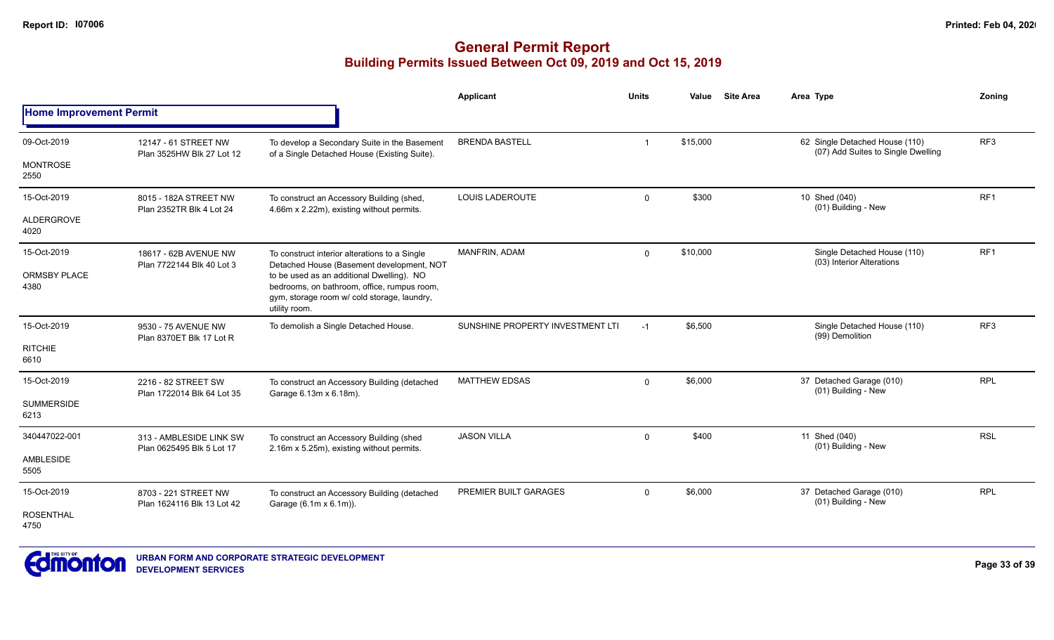|                                |                                                    |                                                                                                                                                          | Applicant                        | <b>Units</b>            | Value    | <b>Site Area</b> | Area Type                                                            | Zoning          |
|--------------------------------|----------------------------------------------------|----------------------------------------------------------------------------------------------------------------------------------------------------------|----------------------------------|-------------------------|----------|------------------|----------------------------------------------------------------------|-----------------|
| <b>Home Improvement Permit</b> |                                                    |                                                                                                                                                          |                                  |                         |          |                  |                                                                      |                 |
| 09-Oct-2019                    | 12147 - 61 STREET NW<br>Plan 3525HW Blk 27 Lot 12  | To develop a Secondary Suite in the Basement<br>of a Single Detached House (Existing Suite).                                                             | <b>BRENDA BASTELL</b>            | $\overline{\mathbf{1}}$ | \$15,000 |                  | 62 Single Detached House (110)<br>(07) Add Suites to Single Dwelling | RF3             |
| <b>MONTROSE</b><br>2550        |                                                    |                                                                                                                                                          |                                  |                         |          |                  |                                                                      |                 |
| 15-Oct-2019                    | 8015 - 182A STREET NW<br>Plan 2352TR Blk 4 Lot 24  | To construct an Accessory Building (shed,<br>4.66m x 2.22m), existing without permits.                                                                   | <b>LOUIS LADEROUTE</b>           | $\mathbf 0$             | \$300    |                  | 10 Shed (040)<br>(01) Building - New                                 | RF <sub>1</sub> |
| ALDERGROVE<br>4020             |                                                    |                                                                                                                                                          |                                  |                         |          |                  |                                                                      |                 |
| 15-Oct-2019                    | 18617 - 62B AVENUE NW<br>Plan 7722144 Blk 40 Lot 3 | To construct interior alterations to a Single<br>Detached House (Basement development, NOT                                                               | MANFRIN, ADAM                    | $\mathbf{0}$            | \$10,000 |                  | Single Detached House (110)<br>(03) Interior Alterations             | RF1             |
| <b>ORMSBY PLACE</b><br>4380    |                                                    | to be used as an additional Dwelling). NO<br>bedrooms, on bathroom, office, rumpus room,<br>gym, storage room w/ cold storage, laundry,<br>utility room. |                                  |                         |          |                  |                                                                      |                 |
| 15-Oct-2019                    | 9530 - 75 AVENUE NW<br>Plan 8370ET Blk 17 Lot R    | To demolish a Single Detached House.                                                                                                                     | SUNSHINE PROPERTY INVESTMENT LTI | $-1$                    | \$6,500  |                  | Single Detached House (110)<br>(99) Demolition                       | RF <sub>3</sub> |
| <b>RITCHIE</b><br>6610         |                                                    |                                                                                                                                                          |                                  |                         |          |                  |                                                                      |                 |
| 15-Oct-2019                    | 2216 - 82 STREET SW<br>Plan 1722014 Blk 64 Lot 35  | To construct an Accessory Building (detached<br>Garage 6.13m x 6.18m).                                                                                   | <b>MATTHEW EDSAS</b>             | $\Omega$                | \$6,000  |                  | 37 Detached Garage (010)<br>(01) Building - New                      | <b>RPL</b>      |
| <b>SUMMERSIDE</b><br>6213      |                                                    |                                                                                                                                                          |                                  |                         |          |                  |                                                                      |                 |
| 340447022-001                  | 313 - AMBLESIDE LINK SW                            | To construct an Accessory Building (shed<br>2.16m x 5.25m), existing without permits.                                                                    | <b>JASON VILLA</b>               | $\mathbf 0$             | \$400    |                  | 11 Shed (040)<br>(01) Building - New                                 | <b>RSL</b>      |
| AMBLESIDE<br>5505              | Plan 0625495 Blk 5 Lot 17                          |                                                                                                                                                          |                                  |                         |          |                  |                                                                      |                 |
| 15-Oct-2019                    | 8703 - 221 STREET NW<br>Plan 1624116 Blk 13 Lot 42 | To construct an Accessory Building (detached<br>Garage (6.1m x 6.1m)).                                                                                   | PREMIER BUILT GARAGES            | $\Omega$                | \$6,000  |                  | 37 Detached Garage (010)<br>(01) Building - New                      | <b>RPL</b>      |
| <b>ROSENTHAL</b><br>4750       |                                                    |                                                                                                                                                          |                                  |                         |          |                  |                                                                      |                 |

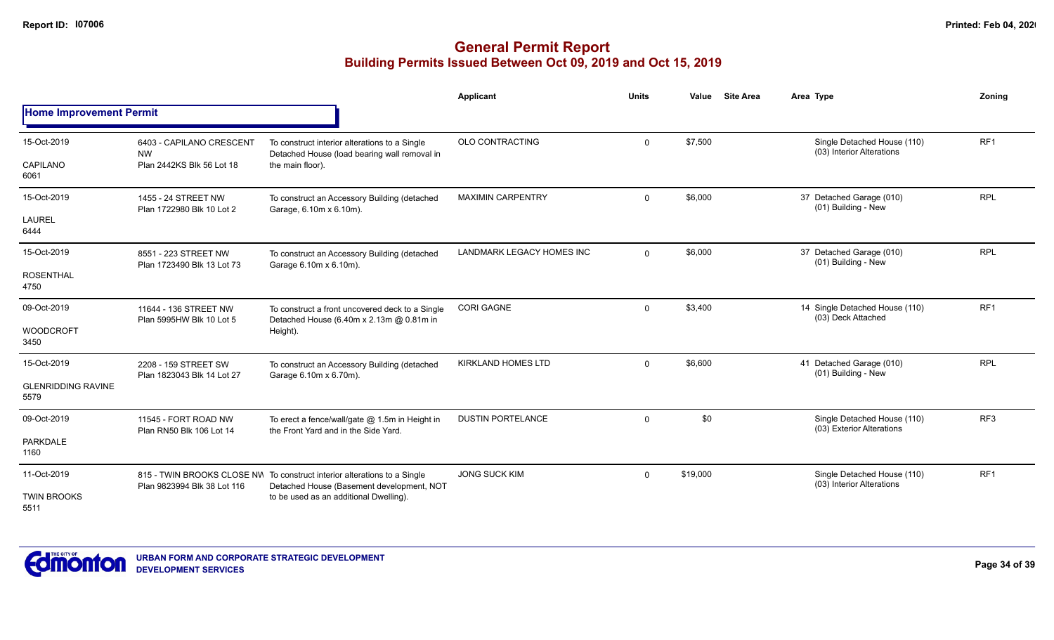|                                                  |                                                                    |                                                                                                                                                                 | Applicant                 | <b>Units</b> | Value    | <b>Site Area</b> | Area Type                                                | Zonina          |
|--------------------------------------------------|--------------------------------------------------------------------|-----------------------------------------------------------------------------------------------------------------------------------------------------------------|---------------------------|--------------|----------|------------------|----------------------------------------------------------|-----------------|
| <b>Home Improvement Permit</b>                   |                                                                    |                                                                                                                                                                 |                           |              |          |                  |                                                          |                 |
| 15-Oct-2019<br>CAPILANO<br>6061                  | 6403 - CAPILANO CRESCENT<br><b>NW</b><br>Plan 2442KS Blk 56 Lot 18 | To construct interior alterations to a Single<br>Detached House (load bearing wall removal in<br>the main floor).                                               | <b>OLO CONTRACTING</b>    | $\mathbf{0}$ | \$7,500  |                  | Single Detached House (110)<br>(03) Interior Alterations | RF <sub>1</sub> |
| 15-Oct-2019<br><b>LAUREL</b><br>6444             | 1455 - 24 STREET NW<br>Plan 1722980 Blk 10 Lot 2                   | To construct an Accessory Building (detached<br>Garage, 6.10m x 6.10m).                                                                                         | <b>MAXIMIN CARPENTRY</b>  | $\Omega$     | \$6,000  |                  | 37 Detached Garage (010)<br>(01) Building - New          | <b>RPL</b>      |
| 15-Oct-2019<br><b>ROSENTHAL</b><br>4750          | 8551 - 223 STREET NW<br>Plan 1723490 Blk 13 Lot 73                 | To construct an Accessory Building (detached<br>Garage 6.10m x 6.10m).                                                                                          | LANDMARK LEGACY HOMES INC | $\mathbf 0$  | \$6,000  |                  | 37 Detached Garage (010)<br>(01) Building - New          | <b>RPL</b>      |
| 09-Oct-2019<br><b>WOODCROFT</b><br>3450          | 11644 - 136 STREET NW<br>Plan 5995HW Blk 10 Lot 5                  | To construct a front uncovered deck to a Single<br>Detached House (6.40m x 2.13m @ 0.81m in<br>Height).                                                         | <b>CORI GAGNE</b>         | $\mathbf 0$  | \$3,400  |                  | 14 Single Detached House (110)<br>(03) Deck Attached     | RF1             |
| 15-Oct-2019<br><b>GLENRIDDING RAVINE</b><br>5579 | 2208 - 159 STREET SW<br>Plan 1823043 Blk 14 Lot 27                 | To construct an Accessory Building (detached<br>Garage 6.10m x 6.70m).                                                                                          | <b>KIRKLAND HOMES LTD</b> | $\Omega$     | \$6,600  |                  | 41 Detached Garage (010)<br>(01) Building - New          | <b>RPL</b>      |
| 09-Oct-2019<br><b>PARKDALE</b><br>1160           | 11545 - FORT ROAD NW<br>Plan RN50 Blk 106 Lot 14                   | To erect a fence/wall/gate @ 1.5m in Height in<br>the Front Yard and in the Side Yard.                                                                          | <b>DUSTIN PORTELANCE</b>  | $\mathbf{0}$ | \$0      |                  | Single Detached House (110)<br>(03) Exterior Alterations | RF3             |
| 11-Oct-2019<br><b>TWIN BROOKS</b><br>5511        | Plan 9823994 Blk 38 Lot 116                                        | 815 - TWIN BROOKS CLOSE NV To construct interior alterations to a Single<br>Detached House (Basement development, NOT<br>to be used as an additional Dwelling). | <b>JONG SUCK KIM</b>      | $\mathbf{0}$ | \$19,000 |                  | Single Detached House (110)<br>(03) Interior Alterations | RF <sub>1</sub> |

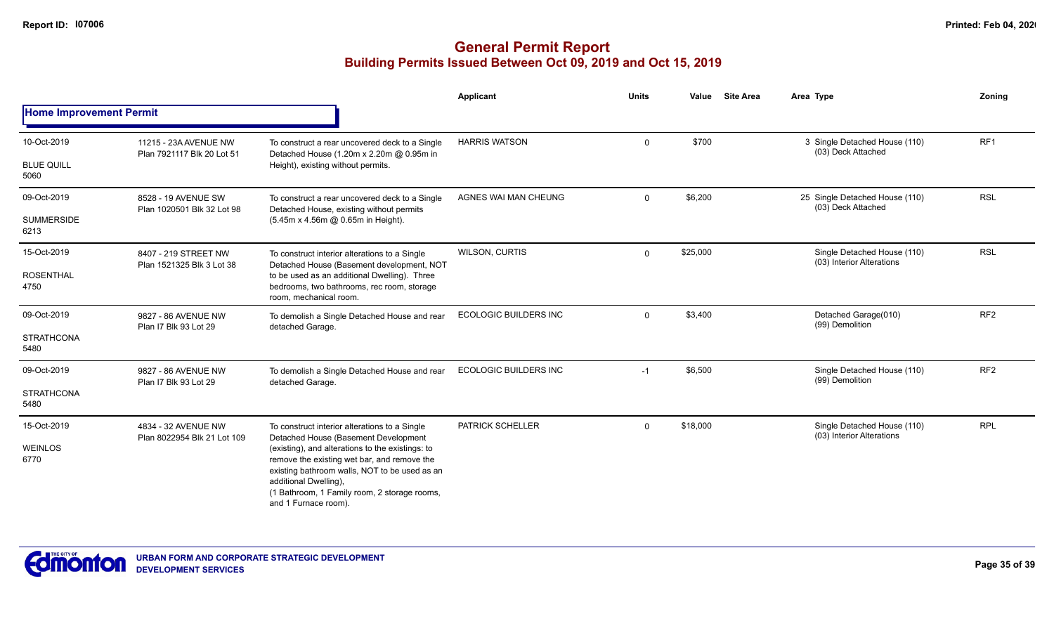|                                |                                                     |                                                                                                                                                                                                                                                   | <b>Applicant</b>             | <b>Units</b> | Value    | <b>Site Area</b> | Area Type                                                | Zoning          |
|--------------------------------|-----------------------------------------------------|---------------------------------------------------------------------------------------------------------------------------------------------------------------------------------------------------------------------------------------------------|------------------------------|--------------|----------|------------------|----------------------------------------------------------|-----------------|
| <b>Home Improvement Permit</b> |                                                     |                                                                                                                                                                                                                                                   |                              |              |          |                  |                                                          |                 |
| 10-Oct-2019                    | 11215 - 23A AVENUE NW<br>Plan 7921117 Blk 20 Lot 51 | To construct a rear uncovered deck to a Single<br>Detached House (1.20m x 2.20m @ 0.95m in                                                                                                                                                        | <b>HARRIS WATSON</b>         | $\mathbf 0$  | \$700    |                  | 3 Single Detached House (110)<br>(03) Deck Attached      | RF1             |
| <b>BLUE QUILL</b><br>5060      |                                                     | Height), existing without permits.                                                                                                                                                                                                                |                              |              |          |                  |                                                          |                 |
| 09-Oct-2019                    | 8528 - 19 AVENUE SW<br>Plan 1020501 Blk 32 Lot 98   | To construct a rear uncovered deck to a Single<br>Detached House, existing without permits                                                                                                                                                        | AGNES WAI MAN CHEUNG         | $\mathbf 0$  | \$6,200  |                  | 25 Single Detached House (110)<br>(03) Deck Attached     | <b>RSL</b>      |
| <b>SUMMERSIDE</b><br>6213      |                                                     | (5.45m x 4.56m @ 0.65m in Height).                                                                                                                                                                                                                |                              |              |          |                  |                                                          |                 |
| 15-Oct-2019                    | 8407 - 219 STREET NW<br>Plan 1521325 Blk 3 Lot 38   | To construct interior alterations to a Single<br>Detached House (Basement development, NOT                                                                                                                                                        | <b>WILSON, CURTIS</b>        | $\mathbf 0$  | \$25,000 |                  | Single Detached House (110)<br>(03) Interior Alterations | <b>RSL</b>      |
| <b>ROSENTHAL</b><br>4750       |                                                     | to be used as an additional Dwelling). Three<br>bedrooms, two bathrooms, rec room, storage<br>room, mechanical room.                                                                                                                              |                              |              |          |                  |                                                          |                 |
| 09-Oct-2019                    | 9827 - 86 AVENUE NW<br>Plan I7 Blk 93 Lot 29        | To demolish a Single Detached House and rear<br>detached Garage.                                                                                                                                                                                  | <b>ECOLOGIC BUILDERS INC</b> | $\mathbf 0$  | \$3,400  |                  | Detached Garage(010)<br>(99) Demolition                  | RF <sub>2</sub> |
| <b>STRATHCONA</b><br>5480      |                                                     |                                                                                                                                                                                                                                                   |                              |              |          |                  |                                                          |                 |
| 09-Oct-2019                    | 9827 - 86 AVENUE NW<br>Plan I7 Blk 93 Lot 29        | To demolish a Single Detached House and rear<br>detached Garage.                                                                                                                                                                                  | <b>ECOLOGIC BUILDERS INC</b> | $-1$         | \$6,500  |                  | Single Detached House (110)<br>(99) Demolition           | RF <sub>2</sub> |
| <b>STRATHCONA</b><br>5480      |                                                     |                                                                                                                                                                                                                                                   |                              |              |          |                  |                                                          |                 |
| 15-Oct-2019                    | 4834 - 32 AVENUE NW<br>Plan 8022954 Blk 21 Lot 109  | To construct interior alterations to a Single<br>Detached House (Basement Development                                                                                                                                                             | PATRICK SCHELLER             | $\mathbf 0$  | \$18,000 |                  | Single Detached House (110)<br>(03) Interior Alterations | <b>RPL</b>      |
| <b>WEINLOS</b><br>6770         |                                                     | (existing), and alterations to the existings: to<br>remove the existing wet bar, and remove the<br>existing bathroom walls, NOT to be used as an<br>additional Dwelling),<br>(1 Bathroom, 1 Family room, 2 storage rooms,<br>and 1 Furnace room). |                              |              |          |                  |                                                          |                 |

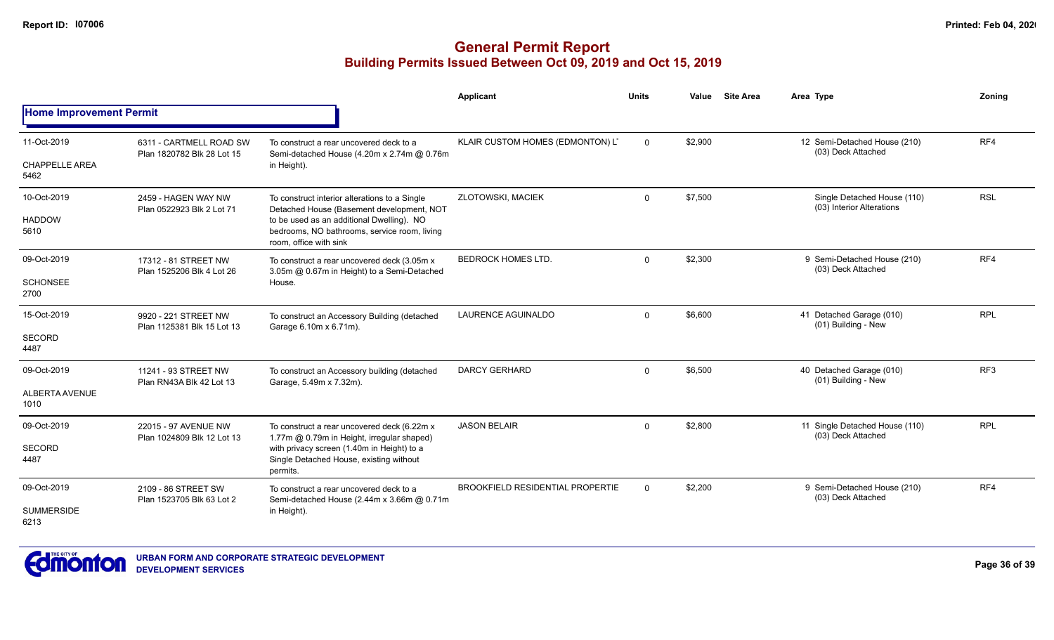|                                |                                                       |                                                                                                                     | <b>Applicant</b>                        | <b>Units</b> | Value   | <b>Site Area</b> | Area Type                                                | Zonina          |
|--------------------------------|-------------------------------------------------------|---------------------------------------------------------------------------------------------------------------------|-----------------------------------------|--------------|---------|------------------|----------------------------------------------------------|-----------------|
| <b>Home Improvement Permit</b> |                                                       |                                                                                                                     |                                         |              |         |                  |                                                          |                 |
| 11-Oct-2019                    | 6311 - CARTMELL ROAD SW<br>Plan 1820782 Blk 28 Lot 15 | To construct a rear uncovered deck to a<br>Semi-detached House (4.20m x 2.74m @ 0.76m                               | KLAIR CUSTOM HOMES (EDMONTON) L'        | $\Omega$     | \$2,900 |                  | 12 Semi-Detached House (210)<br>(03) Deck Attached       | RF4             |
| <b>CHAPPELLE AREA</b><br>5462  |                                                       | in Height).                                                                                                         |                                         |              |         |                  |                                                          |                 |
| 10-Oct-2019                    | 2459 - HAGEN WAY NW<br>Plan 0522923 Blk 2 Lot 71      | To construct interior alterations to a Single<br>Detached House (Basement development, NOT                          | <b>ZLOTOWSKI, MACIEK</b>                | $\mathbf 0$  | \$7,500 |                  | Single Detached House (110)<br>(03) Interior Alterations | <b>RSL</b>      |
| <b>HADDOW</b><br>5610          | 17312 - 81 STREET NW<br>Plan 1525206 Blk 4 Lot 26     | to be used as an additional Dwelling). NO<br>bedrooms, NO bathrooms, service room, living<br>room, office with sink |                                         |              |         |                  |                                                          |                 |
| 09-Oct-2019                    |                                                       | To construct a rear uncovered deck (3.05m x<br>3.05m @ 0.67m in Height) to a Semi-Detached                          | <b>BEDROCK HOMES LTD.</b>               | $\Omega$     | \$2,300 |                  | 9 Semi-Detached House (210)<br>(03) Deck Attached        | RF4             |
| <b>SCHONSEE</b><br>2700        |                                                       | House.                                                                                                              |                                         |              |         |                  |                                                          |                 |
| 15-Oct-2019                    | 9920 - 221 STREET NW<br>Plan 1125381 Blk 15 Lot 13    | To construct an Accessory Building (detached<br>Garage 6.10m x 6.71m).                                              | <b>LAURENCE AGUINALDO</b>               | $\Omega$     | \$6,600 |                  | 41 Detached Garage (010)<br>(01) Building - New          | <b>RPL</b>      |
| <b>SECORD</b><br>4487          |                                                       |                                                                                                                     |                                         |              |         |                  |                                                          |                 |
| 09-Oct-2019                    | 11241 - 93 STREET NW<br>Plan RN43A Blk 42 Lot 13      | To construct an Accessory building (detached<br>Garage, 5.49m x 7.32m).                                             | <b>DARCY GERHARD</b>                    | $\Omega$     | \$6,500 |                  | 40 Detached Garage (010)<br>(01) Building - New          | RF <sub>3</sub> |
| ALBERTA AVENUE<br>1010         |                                                       |                                                                                                                     |                                         |              |         |                  |                                                          |                 |
| 09-Oct-2019                    | 22015 - 97 AVENUE NW                                  | To construct a rear uncovered deck (6.22m x<br>1.77m @ 0.79m in Height, irregular shaped)                           | <b>JASON BELAIR</b>                     | $\Omega$     | \$2,800 |                  | 11 Single Detached House (110)<br>(03) Deck Attached     | <b>RPL</b>      |
| <b>SECORD</b><br>4487          | Plan 1024809 Blk 12 Lot 13                            | with privacy screen (1.40m in Height) to a<br>Single Detached House, existing without<br>permits.                   |                                         |              |         |                  |                                                          |                 |
| 09-Oct-2019                    | 2109 - 86 STREET SW<br>Plan 1523705 Blk 63 Lot 2      | To construct a rear uncovered deck to a                                                                             | <b>BROOKFIELD RESIDENTIAL PROPERTIE</b> | $\mathbf 0$  | \$2,200 |                  | 9 Semi-Detached House (210)<br>(03) Deck Attached        | RF4             |
| <b>SUMMERSIDE</b><br>6213      |                                                       | Semi-detached House (2.44m x 3.66m @ 0.71m<br>in Height).                                                           |                                         |              |         |                  |                                                          |                 |

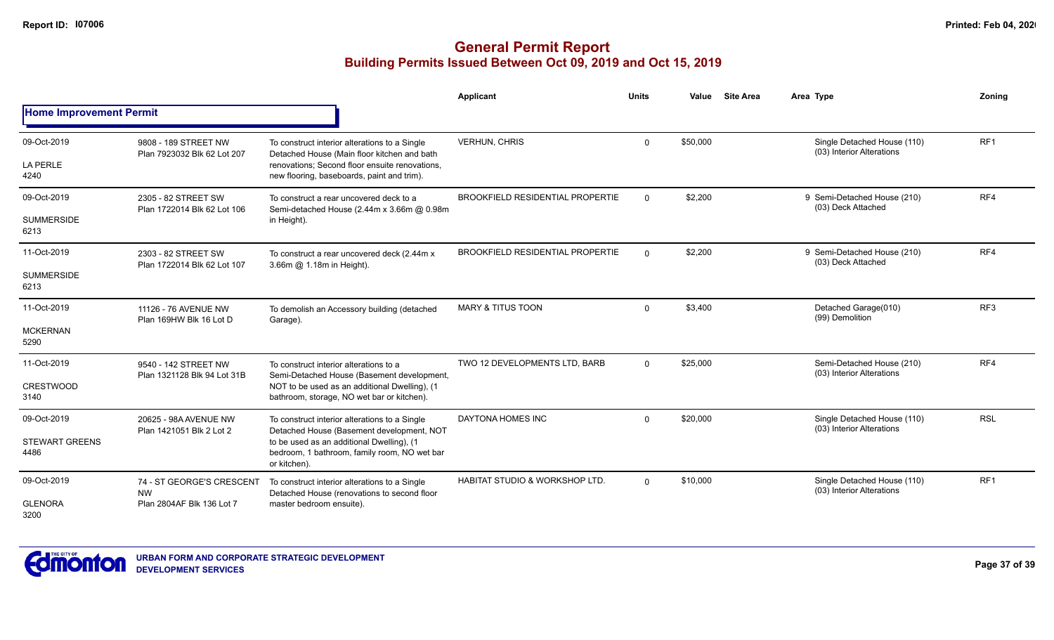|                                |                                                                     |                                                                                                           | Applicant                                 | <b>Units</b> | Value    | <b>Site Area</b> | Area Type                                                | Zoning          |
|--------------------------------|---------------------------------------------------------------------|-----------------------------------------------------------------------------------------------------------|-------------------------------------------|--------------|----------|------------------|----------------------------------------------------------|-----------------|
| <b>Home Improvement Permit</b> |                                                                     |                                                                                                           |                                           |              |          |                  |                                                          |                 |
| 09-Oct-2019                    | 9808 - 189 STREET NW<br>Plan 7923032 Blk 62 Lot 207                 | To construct interior alterations to a Single<br>Detached House (Main floor kitchen and bath              | <b>VERHUN, CHRIS</b>                      | $\Omega$     | \$50,000 |                  | Single Detached House (110)<br>(03) Interior Alterations | RF <sub>1</sub> |
| <b>LA PERLE</b><br>4240        |                                                                     | renovations; Second floor ensuite renovations,<br>new flooring, baseboards, paint and trim).              |                                           |              |          |                  |                                                          |                 |
| 09-Oct-2019                    | 2305 - 82 STREET SW<br>Plan 1722014 Blk 62 Lot 106                  | To construct a rear uncovered deck to a<br>Semi-detached House (2.44m x 3.66m @ 0.98m<br>in Height).      | <b>BROOKFIELD RESIDENTIAL PROPERTIE</b>   | $\Omega$     | \$2,200  |                  | 9 Semi-Detached House (210)<br>(03) Deck Attached        | RF4             |
| <b>SUMMERSIDE</b><br>6213      |                                                                     |                                                                                                           |                                           |              |          |                  |                                                          |                 |
| 11-Oct-2019                    | 2303 - 82 STREET SW<br>Plan 1722014 Blk 62 Lot 107                  | To construct a rear uncovered deck (2.44m x<br>3.66m @ 1.18m in Height).                                  | <b>BROOKFIELD RESIDENTIAL PROPERTIE</b>   | $\mathbf 0$  | \$2,200  |                  | 9 Semi-Detached House (210)<br>(03) Deck Attached        | RF4             |
| <b>SUMMERSIDE</b><br>6213      |                                                                     |                                                                                                           |                                           |              |          |                  |                                                          |                 |
| 11-Oct-2019                    | 11126 - 76 AVENUE NW<br>Plan 169HW Blk 16 Lot D                     | To demolish an Accessory building (detached<br>Garage).                                                   | <b>MARY &amp; TITUS TOON</b>              | $\Omega$     | \$3,400  |                  | Detached Garage(010)<br>(99) Demolition                  | RF <sub>3</sub> |
| <b>MCKERNAN</b><br>5290        |                                                                     |                                                                                                           |                                           |              |          |                  |                                                          |                 |
| 11-Oct-2019                    | 9540 - 142 STREET NW<br>Plan 1321128 Blk 94 Lot 31B                 | To construct interior alterations to a<br>Semi-Detached House (Basement development,                      | TWO 12 DEVELOPMENTS LTD, BARB             | $\Omega$     | \$25,000 |                  | Semi-Detached House (210)<br>(03) Interior Alterations   | RF4             |
| <b>CRESTWOOD</b><br>3140       |                                                                     | NOT to be used as an additional Dwelling), (1<br>bathroom, storage, NO wet bar or kitchen).               |                                           |              |          |                  |                                                          |                 |
| 09-Oct-2019                    | 20625 - 98A AVENUE NW<br>Plan 1421051 Blk 2 Lot 2                   | To construct interior alterations to a Single<br>Detached House (Basement development, NOT                | DAYTONA HOMES INC                         | $\Omega$     | \$20,000 |                  | Single Detached House (110)<br>(03) Interior Alterations | <b>RSL</b>      |
| <b>STEWART GREENS</b><br>4486  |                                                                     | to be used as an additional Dwelling), (1<br>bedroom, 1 bathroom, family room, NO wet bar<br>or kitchen). |                                           |              |          |                  |                                                          |                 |
| 09-Oct-2019                    | 74 - ST GEORGE'S CRESCENT<br><b>NW</b><br>Plan 2804AF Blk 136 Lot 7 | To construct interior alterations to a Single<br>Detached House (renovations to second floor              | <b>HABITAT STUDIO &amp; WORKSHOP LTD.</b> | $\Omega$     | \$10,000 |                  | Single Detached House (110)<br>(03) Interior Alterations | RF1             |
| <b>GLENORA</b><br>3200         |                                                                     | master bedroom ensuite).                                                                                  |                                           |              |          |                  |                                                          |                 |

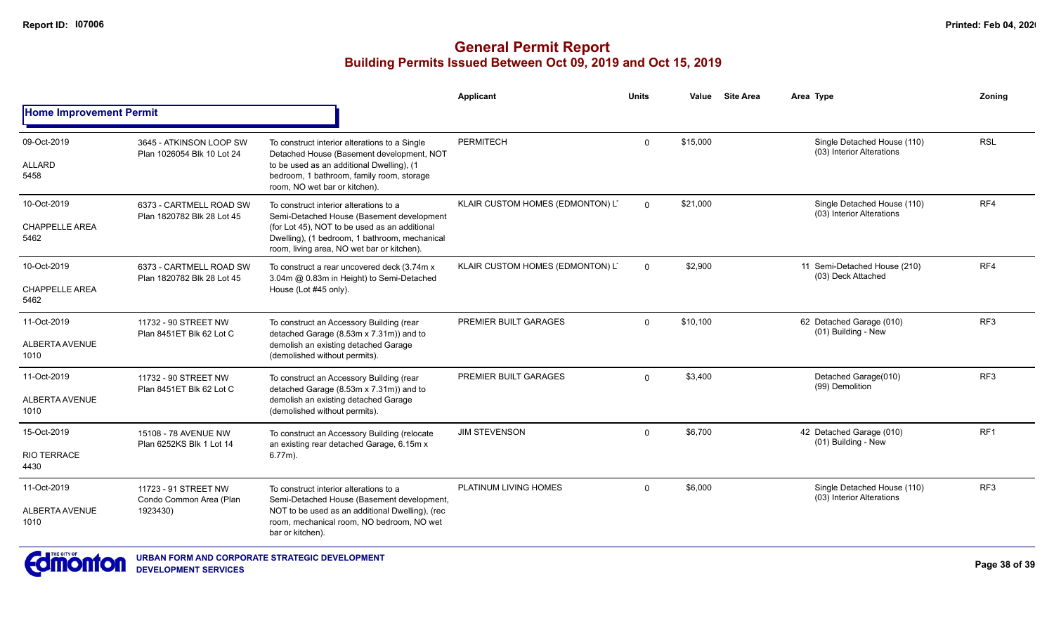|                                              |                                                             |                                                                                                                                                                                                                                     | Applicant                        | <b>Units</b> | Value    | <b>Site Area</b> | Area Type                                                | Zoning          |
|----------------------------------------------|-------------------------------------------------------------|-------------------------------------------------------------------------------------------------------------------------------------------------------------------------------------------------------------------------------------|----------------------------------|--------------|----------|------------------|----------------------------------------------------------|-----------------|
| <b>Home Improvement Permit</b>               |                                                             |                                                                                                                                                                                                                                     |                                  |              |          |                  |                                                          |                 |
| 09-Oct-2019<br><b>ALLARD</b><br>5458         | 3645 - ATKINSON LOOP SW<br>Plan 1026054 Blk 10 Lot 24       | To construct interior alterations to a Single<br>Detached House (Basement development, NOT<br>to be used as an additional Dwelling), (1<br>bedroom, 1 bathroom, family room, storage<br>room, NO wet bar or kitchen).               | <b>PERMITECH</b>                 | $\Omega$     | \$15,000 |                  | Single Detached House (110)<br>(03) Interior Alterations | <b>RSL</b>      |
| 10-Oct-2019<br><b>CHAPPELLE AREA</b><br>5462 | 6373 - CARTMELL ROAD SW<br>Plan 1820782 Blk 28 Lot 45       | To construct interior alterations to a<br>Semi-Detached House (Basement development<br>(for Lot 45), NOT to be used as an additional<br>Dwelling), (1 bedroom, 1 bathroom, mechanical<br>room, living area, NO wet bar or kitchen). | KLAIR CUSTOM HOMES (EDMONTON) L' | $\Omega$     | \$21.000 |                  | Single Detached House (110)<br>(03) Interior Alterations | RF4             |
| 10-Oct-2019<br><b>CHAPPELLE AREA</b><br>5462 | 6373 - CARTMELL ROAD SW<br>Plan 1820782 Blk 28 Lot 45       | To construct a rear uncovered deck (3.74m x)<br>3.04m @ 0.83m in Height) to Semi-Detached<br>House (Lot #45 only).                                                                                                                  | KLAIR CUSTOM HOMES (EDMONTON) L' | $\Omega$     | \$2,900  |                  | 11 Semi-Detached House (210)<br>(03) Deck Attached       | RF4             |
| 11-Oct-2019<br>ALBERTA AVENUE<br>1010        | 11732 - 90 STREET NW<br>Plan 8451ET Blk 62 Lot C            | To construct an Accessory Building (rear<br>detached Garage (8.53m x 7.31m)) and to<br>demolish an existing detached Garage<br>(demolished without permits).                                                                        | PREMIER BUILT GARAGES            | $\Omega$     | \$10,100 |                  | 62 Detached Garage (010)<br>(01) Building - New          | RF <sub>3</sub> |
| 11-Oct-2019<br>ALBERTA AVENUE<br>1010        | 11732 - 90 STREET NW<br>Plan 8451ET Blk 62 Lot C            | To construct an Accessory Building (rear<br>detached Garage (8.53m x 7.31m)) and to<br>demolish an existing detached Garage<br>(demolished without permits).                                                                        | PREMIER BUILT GARAGES            | $\Omega$     | \$3,400  |                  | Detached Garage(010)<br>(99) Demolition                  | RF <sub>3</sub> |
| 15-Oct-2019<br><b>RIO TERRACE</b><br>4430    | 15108 - 78 AVENUE NW<br>Plan 6252KS Blk 1 Lot 14            | To construct an Accessory Building (relocate<br>an existing rear detached Garage, 6.15m x<br>$6.77m$ ).                                                                                                                             | <b>JIM STEVENSON</b>             | $\Omega$     | \$6.700  |                  | 42 Detached Garage (010)<br>(01) Building - New          | RF <sub>1</sub> |
| 11-Oct-2019<br>ALBERTA AVENUE<br>1010        | 11723 - 91 STREET NW<br>Condo Common Area (Plan<br>1923430) | To construct interior alterations to a<br>Semi-Detached House (Basement development,<br>NOT to be used as an additional Dwelling), (rec<br>room, mechanical room, NO bedroom, NO wet<br>bar or kitchen).                            | PLATINUM LIVING HOMES            | $\Omega$     | \$6,000  |                  | Single Detached House (110)<br>(03) Interior Alterations | RF3             |